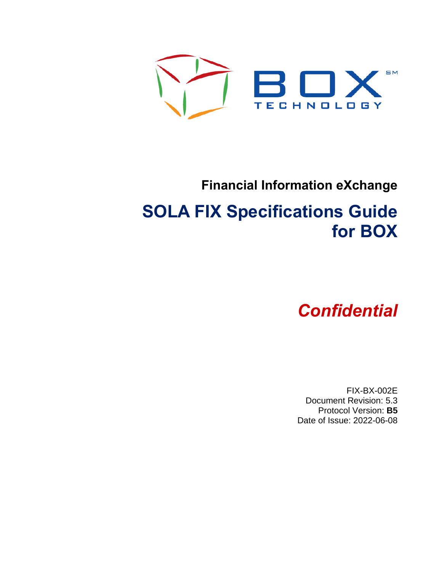

## **Financial Information eXchange**

# **SOLA FIX Specifications Guide for BOX**

# *Confidential*

FIX-BX-002E Document Revision: 5.3 Protocol Version: **B5** Date of Issue: 2022-06-08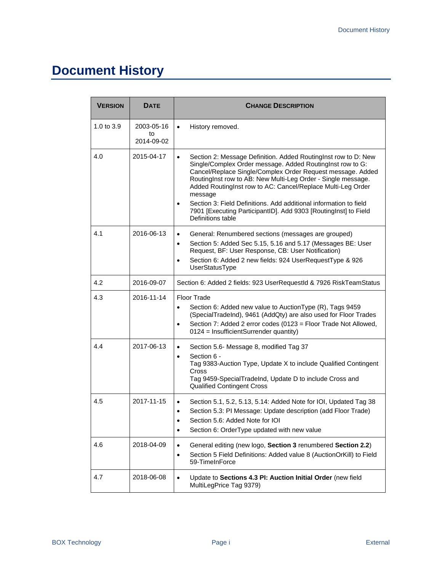## **Document History**

| <b>VERSION</b> | <b>DATE</b>                    | <b>CHANGE DESCRIPTION</b>                                                                                                                                                                                                                                                                                                                                                                                                                                                                        |
|----------------|--------------------------------|--------------------------------------------------------------------------------------------------------------------------------------------------------------------------------------------------------------------------------------------------------------------------------------------------------------------------------------------------------------------------------------------------------------------------------------------------------------------------------------------------|
| 1.0 to 3.9     | 2003-05-16<br>to<br>2014-09-02 | History removed.<br>$\bullet$                                                                                                                                                                                                                                                                                                                                                                                                                                                                    |
| 4.0            | 2015-04-17                     | Section 2: Message Definition. Added RoutingInst row to D: New<br>Single/Complex Order message. Added RoutingInst row to G:<br>Cancel/Replace Single/Complex Order Request message. Added<br>RoutingInst row to AB: New Multi-Leg Order - Single message.<br>Added RoutingInst row to AC: Cancel/Replace Multi-Leg Order<br>message<br>Section 3: Field Definitions. Add additional information to field<br>7901 [Executing ParticipantID]. Add 9303 [RoutingInst] to Field<br>Definitions table |
| 4.1            | 2016-06-13                     | General: Renumbered sections (messages are grouped)<br>$\bullet$<br>Section 5: Added Sec 5.15, 5.16 and 5.17 (Messages BE: User<br>$\bullet$<br>Request, BF: User Response, CB: User Notification)<br>Section 6: Added 2 new fields: 924 UserRequestType & 926<br>$\bullet$<br>UserStatusType                                                                                                                                                                                                    |
| 4.2            | 2016-09-07                     | Section 6: Added 2 fields: 923 UserRequestId & 7926 RiskTeamStatus                                                                                                                                                                                                                                                                                                                                                                                                                               |
| 4.3            | 2016-11-14                     | Floor Trade<br>Section 6: Added new value to Auction Type (R), Tags 9459<br>$\bullet$<br>(SpecialTradeInd), 9461 (AddQty) are also used for Floor Trades<br>Section 7: Added 2 error codes (0123 = Floor Trade Not Allowed,<br>$\bullet$<br>0124 = InsufficientSurrender quantity)                                                                                                                                                                                                               |
| 4.4            | 2017-06-13                     | Section 5.6- Message 8, modified Tag 37<br>$\bullet$<br>Section 6 -<br>$\bullet$<br>Tag 9383-Auction Type, Update X to include Qualified Contingent<br>Cross<br>Tag 9459-SpecialTradeInd, Update D to include Cross and<br><b>Qualified Contingent Cross</b>                                                                                                                                                                                                                                     |
| 4.5            | 2017-11-15                     | Section 5.1, 5.2, 5.13, 5.14: Added Note for IOI, Updated Tag 38<br>$\bullet$<br>Section 5.3: PI Message: Update description (add Floor Trade)<br>Section 5.6: Added Note for IOI<br>Section 6: OrderType updated with new value<br>$\bullet$                                                                                                                                                                                                                                                    |
| 4.6            | 2018-04-09                     | General editing (new logo, Section 3 renumbered Section 2.2)<br>$\bullet$<br>Section 5 Field Definitions: Added value 8 (AuctionOrKill) to Field<br>$\bullet$<br>59-TimeInForce                                                                                                                                                                                                                                                                                                                  |
| 4.7            | 2018-06-08                     | Update to Sections 4.3 PI: Auction Initial Order (new field<br>MultiLegPrice Tag 9379)                                                                                                                                                                                                                                                                                                                                                                                                           |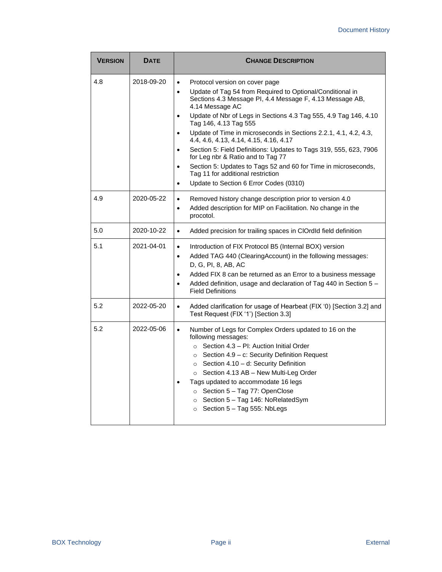| <b>VERSION</b> | <b>DATE</b> | <b>CHANGE DESCRIPTION</b>                                                                                                                                                                                                                                                                                                                                                                                                                                                                                                                                                                                                                                                                                         |
|----------------|-------------|-------------------------------------------------------------------------------------------------------------------------------------------------------------------------------------------------------------------------------------------------------------------------------------------------------------------------------------------------------------------------------------------------------------------------------------------------------------------------------------------------------------------------------------------------------------------------------------------------------------------------------------------------------------------------------------------------------------------|
| 4.8            | 2018-09-20  | Protocol version on cover page<br>Update of Tag 54 from Required to Optional/Conditional in<br>$\bullet$<br>Sections 4.3 Message PI, 4.4 Message F, 4.13 Message AB,<br>4.14 Message AC<br>Update of Nbr of Legs in Sections 4.3 Tag 555, 4.9 Tag 146, 4.10<br>$\bullet$<br>Tag 146, 4.13 Tag 555<br>Update of Time in microseconds in Sections 2.2.1, 4.1, 4.2, 4.3,<br>$\bullet$<br>4.4, 4.6, 4.13, 4.14, 4.15, 4.16, 4.17<br>Section 5: Field Definitions: Updates to Tags 319, 555, 623, 7906<br>$\bullet$<br>for Leg nbr & Ratio and to Tag 77<br>Section 5: Updates to Tags 52 and 60 for Time in microseconds,<br>Tag 11 for additional restriction<br>Update to Section 6 Error Codes (0310)<br>$\bullet$ |
| 4.9            | 2020-05-22  | Removed history change description prior to version 4.0<br>$\bullet$<br>Added description for MIP on Facilitation. No change in the<br>$\bullet$<br>procotol.                                                                                                                                                                                                                                                                                                                                                                                                                                                                                                                                                     |
| 5.0            | 2020-10-22  | Added precision for trailing spaces in ClOrdId field definition<br>$\bullet$                                                                                                                                                                                                                                                                                                                                                                                                                                                                                                                                                                                                                                      |
| 5.1            | 2021-04-01  | Introduction of FIX Protocol B5 (Internal BOX) version<br>$\bullet$<br>Added TAG 440 (ClearingAccount) in the following messages:<br>$\bullet$<br>D, G, PI, 8, AB, AC<br>Added FIX 8 can be returned as an Error to a business message<br>$\bullet$<br>Added definition, usage and declaration of Tag 440 in Section 5 -<br>$\bullet$<br><b>Field Definitions</b>                                                                                                                                                                                                                                                                                                                                                 |
| 5.2            | 2022-05-20  | Added clarification for usage of Hearbeat (FIX '0) [Section 3.2] and<br>$\bullet$<br>Test Request (FIX '1') [Section 3.3]                                                                                                                                                                                                                                                                                                                                                                                                                                                                                                                                                                                         |
| 5.2            | 2022-05-06  | Number of Legs for Complex Orders updated to 16 on the<br>$\bullet$<br>following messages:<br>$\circ$ Section 4.3 – PI: Auction Initial Order<br>$\circ$ Section 4.9 – c: Security Definition Request<br>$\circ$ Section 4.10 - d: Security Definition<br>○ Section 4.13 AB - New Multi-Leg Order<br>Tags updated to accommodate 16 legs<br>○ Section 5 - Tag 77: OpenClose<br>○ Section 5 - Tag 146: NoRelatedSym<br>$\circ$ Section 5 - Tag 555: NbLegs                                                                                                                                                                                                                                                         |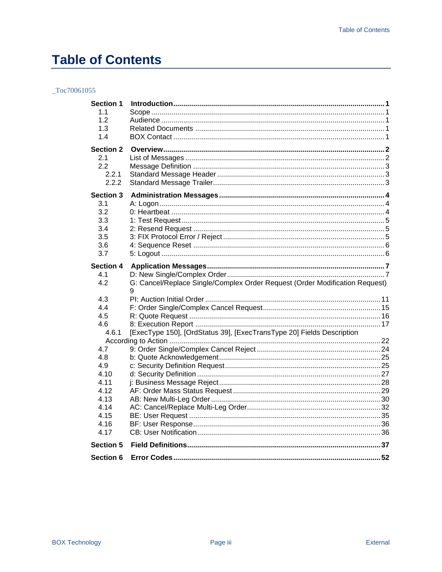## <span id="page-4-0"></span>**Table of Contents**

#### \_Toc70061055

| <b>Section 1</b> |                                                                             |  |
|------------------|-----------------------------------------------------------------------------|--|
| 1.1              |                                                                             |  |
| 1.2              |                                                                             |  |
| 1.3              |                                                                             |  |
| 1.4              |                                                                             |  |
| <b>Section 2</b> |                                                                             |  |
| 2.1              |                                                                             |  |
| 2.2              |                                                                             |  |
|                  |                                                                             |  |
| 2.2.1            |                                                                             |  |
| 2.2.2            |                                                                             |  |
| <b>Section 3</b> |                                                                             |  |
| 3.1              |                                                                             |  |
| 3.2              |                                                                             |  |
| 3.3              |                                                                             |  |
| 3.4              |                                                                             |  |
| 3.5              |                                                                             |  |
| 3.6              |                                                                             |  |
| 3.7              |                                                                             |  |
| <b>Section 4</b> |                                                                             |  |
| 4.1              |                                                                             |  |
| 4.2              | G: Cancel/Replace Single/Complex Order Request (Order Modification Request) |  |
|                  | 9                                                                           |  |
| 4.3              |                                                                             |  |
| 4.4              |                                                                             |  |
| 4.5              |                                                                             |  |
| 4.6              |                                                                             |  |
| 4.6.1            | [ExecType 150], [OrdStatus 39], [ExecTransType 20] Fields Description       |  |
|                  |                                                                             |  |
| 4.7              |                                                                             |  |
| 4.8              |                                                                             |  |
| 4.9              |                                                                             |  |
| 4.10             |                                                                             |  |
| 4.11             |                                                                             |  |
| 4.12             |                                                                             |  |
| 4.13             |                                                                             |  |
| 4.14             |                                                                             |  |
| 4.15             |                                                                             |  |
| 4.16             |                                                                             |  |
| 4.17             |                                                                             |  |
| <b>Section 5</b> |                                                                             |  |
| Section 6        |                                                                             |  |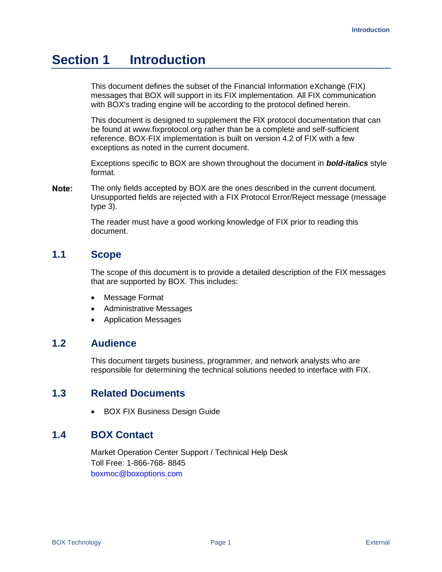## <span id="page-6-0"></span>**Section 1 Introduction**

This document defines the subset of the Financial Information eXchange (FIX) messages that BOX will support in its FIX implementation. All FIX communication with BOX's trading engine will be according to the protocol defined herein.

This document is designed to supplement the FIX protocol documentation that can be found at www.fixprotocol.org rather than be a complete and self-sufficient reference. BOX-FIX implementation is built on version 4.2 of FIX with a few exceptions as noted in the current document.

Exceptions specific to BOX are shown throughout the document in *bold-italics* style format.

Note: The only fields accepted by BOX are the ones described in the current document. Unsupported fields are rejected with a FIX Protocol Error/Reject message (message type 3).

> The reader must have a good working knowledge of FIX prior to reading this document.

#### <span id="page-6-1"></span>**1.1 Scope**

The scope of this document is to provide a detailed description of the FIX messages that are supported by BOX. This includes:

- Message Format
- Administrative Messages
- Application Messages

#### <span id="page-6-2"></span>**1.2 Audience**

This document targets business, programmer, and network analysts who are responsible for determining the technical solutions needed to interface with FIX.

#### <span id="page-6-3"></span>**1.3 Related Documents**

• BOX FIX Business Design Guide

#### <span id="page-6-4"></span>**1.4 BOX Contact**

Market Operation Center Support / Technical Help Desk Toll Free: 1-866-768- 8845 boxmoc@boxoptions.com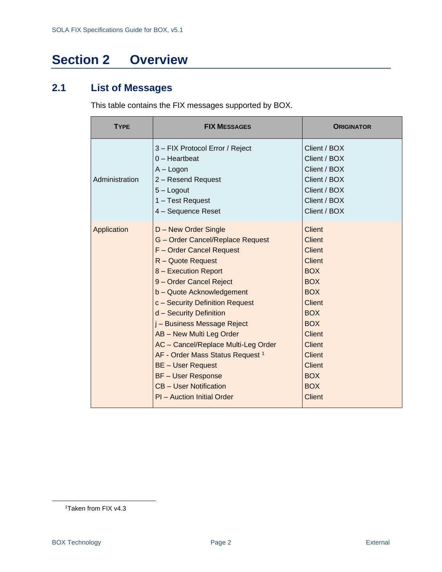## <span id="page-7-0"></span>**Section 2 Overview**

#### <span id="page-7-1"></span>**2.1 List of Messages**

This table contains the FIX messages supported by BOX.

| <b>TYPE</b>    | <b>FIX MESSAGES</b>                                                                                                                                                                                                                                                                                                                                                                                                                                                                                                                 | <b>ORIGINATOR</b>                                                                                                                                                                                                                                          |
|----------------|-------------------------------------------------------------------------------------------------------------------------------------------------------------------------------------------------------------------------------------------------------------------------------------------------------------------------------------------------------------------------------------------------------------------------------------------------------------------------------------------------------------------------------------|------------------------------------------------------------------------------------------------------------------------------------------------------------------------------------------------------------------------------------------------------------|
| Administration | 3 - FIX Protocol Error / Reject<br>$0$ – Heartbeat<br>A – Logon<br>2 - Resend Request<br>$5 -$ Logout<br>1 - Test Request<br>4 - Sequence Reset                                                                                                                                                                                                                                                                                                                                                                                     | Client / BOX<br>Client / BOX<br>Client / BOX<br>Client / BOX<br>Client / BOX<br>Client / BOX<br>Client / BOX                                                                                                                                               |
| Application    | D - New Order Single<br>G - Order Cancel/Replace Request<br>F - Order Cancel Request<br>R - Quote Request<br>8 - Execution Report<br>9 - Order Cancel Reject<br>b - Quote Acknowledgement<br>c - Security Definition Request<br>d - Security Definition<br>j - Business Message Reject<br>AB - New Multi Leg Order<br>AC - Cancel/Replace Multi-Leg Order<br>AF - Order Mass Status Request <sup>1</sup><br><b>BE-User Request</b><br><b>BF-User Response</b><br><b>CB</b> - User Notification<br><b>PI</b> - Auction Initial Order | <b>Client</b><br><b>Client</b><br><b>Client</b><br><b>Client</b><br><b>BOX</b><br><b>BOX</b><br><b>BOX</b><br><b>Client</b><br><b>BOX</b><br><b>BOX</b><br><b>Client</b><br>Client<br>Client<br><b>Client</b><br><b>BOX</b><br><b>BOX</b><br><b>Client</b> |

<sup>1</sup>Taken from FIX v4.3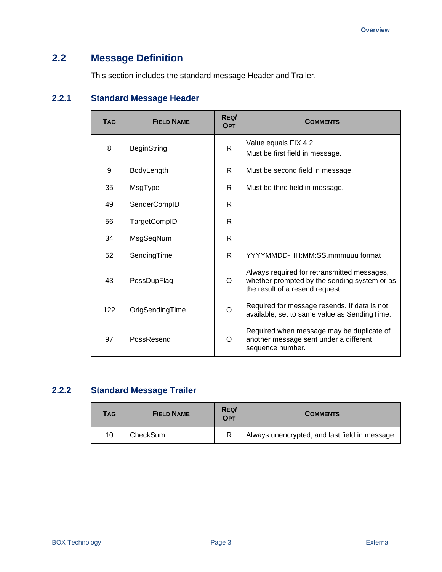### <span id="page-8-0"></span>**2.2 Message Definition**

This section includes the standard message Header and Trailer.

#### <span id="page-8-1"></span>**2.2.1 Standard Message Header**

| <b>TAG</b> | <b>FIELD NAME</b>   | REQ/<br><b>OPT</b> | <b>COMMENTS</b>                                                                                                                |
|------------|---------------------|--------------------|--------------------------------------------------------------------------------------------------------------------------------|
| 8          | <b>BeginString</b>  | R.                 | Value equals FIX.4.2<br>Must be first field in message.                                                                        |
| 9          | BodyLength          | R                  | Must be second field in message.                                                                                               |
| 35         | MsgType             | R                  | Must be third field in message.                                                                                                |
| 49         | SenderCompID        | R.                 |                                                                                                                                |
| 56         | <b>TargetCompID</b> | R                  |                                                                                                                                |
| 34         | MsgSeqNum           | R                  |                                                                                                                                |
| 52         | SendingTime         | R.                 | YYYYMMDD-HH:MM:SS.mmmuuu format                                                                                                |
| 43         | PossDupFlag         | $\Omega$           | Always required for retransmitted messages,<br>whether prompted by the sending system or as<br>the result of a resend request. |
| 122        | OrigSendingTime     | $\Omega$           | Required for message resends. If data is not<br>available, set to same value as SendingTime.                                   |
| 97         | PossResend          | $\Omega$           | Required when message may be duplicate of<br>another message sent under a different<br>sequence number.                        |

#### <span id="page-8-2"></span>**2.2.2 Standard Message Trailer**

| TAG | <b>FIELD NAME</b> | REQ/<br><b>OPT</b> | <b>COMMENTS</b>                               |
|-----|-------------------|--------------------|-----------------------------------------------|
| 10  | CheckSum          |                    | Always unencrypted, and last field in message |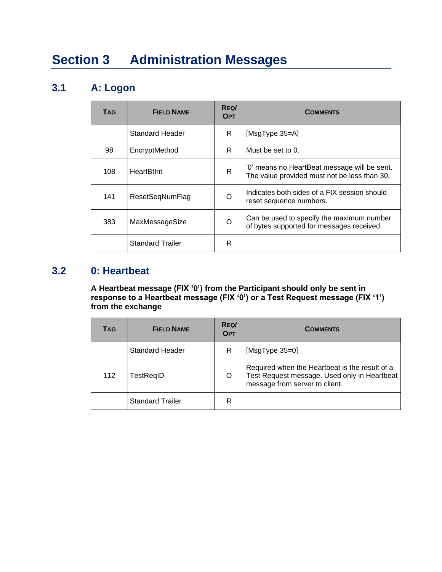## <span id="page-9-0"></span>**Section 3 Administration Messages**

#### <span id="page-9-1"></span>**3.1 A: Logon**

| TAG | <b>FIELD NAME</b>       | REQ/<br><b>OPT</b> | <b>COMMENTS</b>                                                                              |
|-----|-------------------------|--------------------|----------------------------------------------------------------------------------------------|
|     | <b>Standard Header</b>  | R                  | [MsgType 35=A]                                                                               |
| 98  | EncryptMethod           | R                  | Must be set to $0$ .                                                                         |
| 108 | HeartBtInt              | R                  | '0' means no HeartBeat message will be sent.<br>The value provided must not be less than 30. |
| 141 | ResetSegNumFlag         | $\Omega$           | Indicates both sides of a FIX session should<br>reset sequence numbers.                      |
| 383 | MaxMessageSize          | O                  | Can be used to specify the maximum number<br>of bytes supported for messages received.       |
|     | <b>Standard Trailer</b> | R                  |                                                                                              |

#### <span id="page-9-2"></span>**3.2 0: Heartbeat**

**A Heartbeat message (FIX '0') from the Participant should only be sent in response to a Heartbeat message (FIX '0') or a Test Request message (FIX '1') from the exchange**

<span id="page-9-3"></span>

| <b>TAG</b> | <b>FIELD NAME</b>       | REQ/<br><b>OPT</b> | <b>COMMENTS</b>                                                                                                                  |
|------------|-------------------------|--------------------|----------------------------------------------------------------------------------------------------------------------------------|
|            | <b>Standard Header</b>  | R                  | [MsgType 35=0]                                                                                                                   |
| 112        | TestRegID               | Ő                  | Required when the Heartbeat is the result of a<br>Test Request message. Used only in Heartbeat<br>message from server to client. |
|            | <b>Standard Trailer</b> | R                  |                                                                                                                                  |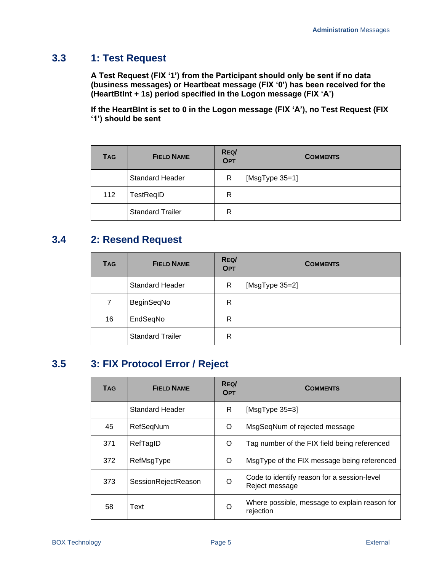#### **3.3 1: Test Request**

**A Test Request (FIX '1') from the Participant should only be sent if no data (business messages) or Heartbeat message (FIX '0') has been received for the (HeartBtInt + 1s) period specified in the Logon message (FIX 'A')** 

**If the HeartBInt is set to 0 in the Logon message (FIX 'A'), no Test Request (FIX '1') should be sent**

| <b>TAG</b> | <b>FIELD NAME</b>       | REQ/<br><b>OPT</b> | <b>COMMENTS</b> |
|------------|-------------------------|--------------------|-----------------|
|            | <b>Standard Header</b>  | R                  | [MsgType 35=1]  |
| 112        | TestReqID               | R                  |                 |
|            | <b>Standard Trailer</b> | R                  |                 |

#### <span id="page-10-0"></span>**3.4 2: Resend Request**

| <b>TAG</b> | <b>FIELD NAME</b>       | REQ/<br><b>OPT</b> | <b>COMMENTS</b> |
|------------|-------------------------|--------------------|-----------------|
|            | <b>Standard Header</b>  | R                  | [MsgType 35=2]  |
| 7          | BeginSeqNo              | R                  |                 |
| 16         | EndSeqNo                | R                  |                 |
|            | <b>Standard Trailer</b> | R                  |                 |

#### <span id="page-10-1"></span>**3.5 3: FIX Protocol Error / Reject**

| TAG | <b>FIELD NAME</b>      | REQ/<br><b>OPT</b> | <b>COMMENTS</b>                                               |
|-----|------------------------|--------------------|---------------------------------------------------------------|
|     | <b>Standard Header</b> | R                  | [MsgType 35=3]                                                |
| 45  | RefSegNum              | O                  | MsgSegNum of rejected message                                 |
| 371 | RefTagID               | O                  | Tag number of the FIX field being referenced                  |
| 372 | RefMsgType             | O                  | MsgType of the FIX message being referenced                   |
| 373 | SessionRejectReason    | Ω                  | Code to identify reason for a session-level<br>Reject message |
| 58  | Text                   | Ω                  | Where possible, message to explain reason for<br>rejection    |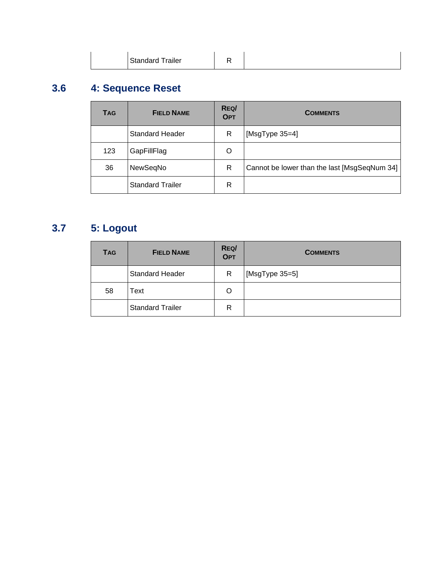| <b>Standard Trailer</b> |
|-------------------------|
|-------------------------|

## <span id="page-11-0"></span>**3.6 4: Sequence Reset**

| <b>TAG</b> | <b>FIELD NAME</b>       | REQ/<br><b>OPT</b> | <b>COMMENTS</b>                              |
|------------|-------------------------|--------------------|----------------------------------------------|
|            | <b>Standard Header</b>  | R                  | [ $MsgType 35=4$ ]                           |
| 123        | GapFillFlag             | O                  |                                              |
| 36         | NewSeqNo                | R                  | Cannot be lower than the last [MsgSeqNum 34] |
|            | <b>Standard Trailer</b> | R                  |                                              |

### <span id="page-11-1"></span>**3.7 5: Logout**

| <b>TAG</b> | <b>FIELD NAME</b>       | REQ/<br><b>OPT</b> | <b>COMMENTS</b> |
|------------|-------------------------|--------------------|-----------------|
|            | <b>Standard Header</b>  | R                  | [MsgType 35=5]  |
| 58         | Text                    | O                  |                 |
|            | <b>Standard Trailer</b> | R                  |                 |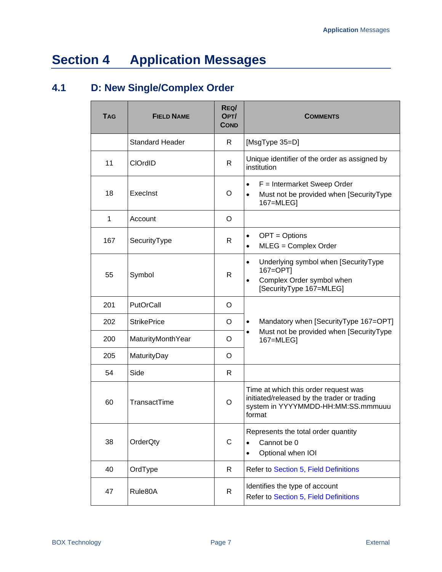## <span id="page-12-0"></span>**Section 4 Application Messages**

### <span id="page-12-1"></span>**4.1 D: New Single/Complex Order**

| <b>TAG</b>   | <b>FIELD NAME</b>      | REQ/<br>OPT/<br><b>COND</b> | <b>COMMENTS</b>                                                                                                                     |  |
|--------------|------------------------|-----------------------------|-------------------------------------------------------------------------------------------------------------------------------------|--|
|              | <b>Standard Header</b> | R.                          | [MsgType 35=D]                                                                                                                      |  |
| 11           | <b>CIOrdID</b>         | $\mathsf{R}$                | Unique identifier of the order as assigned by<br>institution                                                                        |  |
| 18           | Execlnst               | O                           | $F =$ Intermarket Sweep Order<br>$\bullet$<br>Must not be provided when [SecurityType<br>$\bullet$<br>167=MLEG]                     |  |
| $\mathbf{1}$ | Account                | O                           |                                                                                                                                     |  |
| 167          | SecurityType           | R                           | OPT = Options<br>$\bullet$<br>MLEG = Complex Order<br>$\bullet$                                                                     |  |
| 55           | Symbol                 | R                           | Underlying symbol when [SecurityType<br>$\bullet$<br>167=OPT]<br>Complex Order symbol when<br>[SecurityType 167=MLEG]               |  |
| 201          | PutOrCall              | O                           |                                                                                                                                     |  |
| 202          | <b>StrikePrice</b>     | O                           | Mandatory when [SecurityType 167=OPT]<br>$\bullet$                                                                                  |  |
| 200          | MaturityMonthYear      | O                           | Must not be provided when [SecurityType<br>167=MLEG]                                                                                |  |
| 205          | MaturityDay            | O                           |                                                                                                                                     |  |
| 54           | Side                   | R                           |                                                                                                                                     |  |
| 60           | TransactTime           | O                           | Time at which this order request was<br>initiated/released by the trader or trading<br>system in YYYYMMDD-HH:MM:SS.mmmuuu<br>format |  |
| 38           | OrderQty               | $\mathsf{C}$                | Represents the total order quantity<br>Cannot be 0<br>Optional when IOI<br>$\bullet$                                                |  |
| 40           | OrdType                | R                           | Refer to Section 5, Field Definitions                                                                                               |  |
| 47           | Rule80A                | R                           | Identifies the type of account<br>Refer to Section 5, Field Definitions                                                             |  |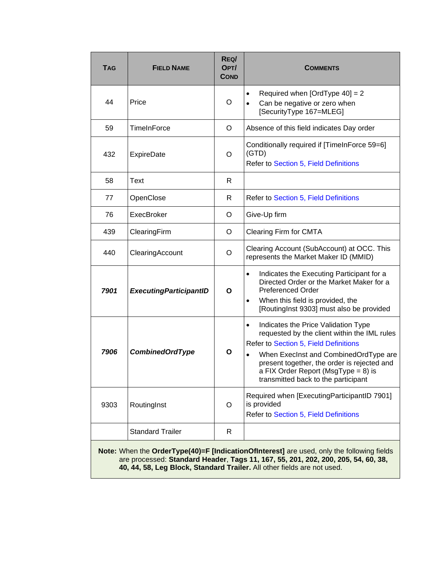| <b>TAG</b>                                                                                                                                                                                                                                                | <b>FIELD NAME</b>                  | REQ/<br>OPT/<br><b>COND</b> | <b>COMMENTS</b>                                                                                                                                                                                                                                                                                                              |  |
|-----------------------------------------------------------------------------------------------------------------------------------------------------------------------------------------------------------------------------------------------------------|------------------------------------|-----------------------------|------------------------------------------------------------------------------------------------------------------------------------------------------------------------------------------------------------------------------------------------------------------------------------------------------------------------------|--|
| 44                                                                                                                                                                                                                                                        | Price                              | O                           | Required when [OrdType $40$ ] = 2<br>$\bullet$<br>Can be negative or zero when<br>$\bullet$<br>[SecurityType 167=MLEG]                                                                                                                                                                                                       |  |
| 59                                                                                                                                                                                                                                                        | <b>TimeInForce</b>                 | O                           | Absence of this field indicates Day order                                                                                                                                                                                                                                                                                    |  |
| 432                                                                                                                                                                                                                                                       | <b>ExpireDate</b>                  | O                           | Conditionally required if [TimeInForce 59=6]<br>(GTD)<br>Refer to Section 5, Field Definitions                                                                                                                                                                                                                               |  |
| 58                                                                                                                                                                                                                                                        | <b>Text</b>                        | R                           |                                                                                                                                                                                                                                                                                                                              |  |
| 77                                                                                                                                                                                                                                                        | OpenClose                          | R                           | Refer to Section 5, Field Definitions                                                                                                                                                                                                                                                                                        |  |
| 76                                                                                                                                                                                                                                                        | ExecBroker                         | O                           | Give-Up firm                                                                                                                                                                                                                                                                                                                 |  |
| 439                                                                                                                                                                                                                                                       | ClearingFirm                       | O                           | <b>Clearing Firm for CMTA</b>                                                                                                                                                                                                                                                                                                |  |
| 440                                                                                                                                                                                                                                                       | ClearingAccount                    | O                           | Clearing Account (SubAccount) at OCC. This<br>represents the Market Maker ID (MMID)                                                                                                                                                                                                                                          |  |
| 7901                                                                                                                                                                                                                                                      | <b>ExecutingParticipantID</b><br>O |                             | Indicates the Executing Participant for a<br>$\bullet$<br>Directed Order or the Market Maker for a<br><b>Preferenced Order</b><br>When this field is provided, the<br>$\bullet$<br>[RoutingInst 9303] must also be provided                                                                                                  |  |
| 7906                                                                                                                                                                                                                                                      | <b>CombinedOrdType</b>             | O                           | Indicates the Price Validation Type<br>$\bullet$<br>requested by the client within the IML rules<br>Refer to Section 5, Field Definitions<br>When ExecInst and CombinedOrdType are<br>$\bullet$<br>present together, the order is rejected and<br>a FIX Order Report (MsgType = 8) is<br>transmitted back to the participant |  |
| 9303                                                                                                                                                                                                                                                      | RoutingInst                        | O                           | Required when [ExecutingParticipantID 7901]<br>is provided<br>Refer to Section 5, Field Definitions                                                                                                                                                                                                                          |  |
|                                                                                                                                                                                                                                                           | <b>Standard Trailer</b>            | R                           |                                                                                                                                                                                                                                                                                                                              |  |
| Note: When the OrderType(40)=F [IndicationOfInterest] are used, only the following fields<br>are processed: Standard Header, Tags 11, 167, 55, 201, 202, 200, 205, 54, 60, 38,<br>40, 44, 58, Leg Block, Standard Trailer. All other fields are not used. |                                    |                             |                                                                                                                                                                                                                                                                                                                              |  |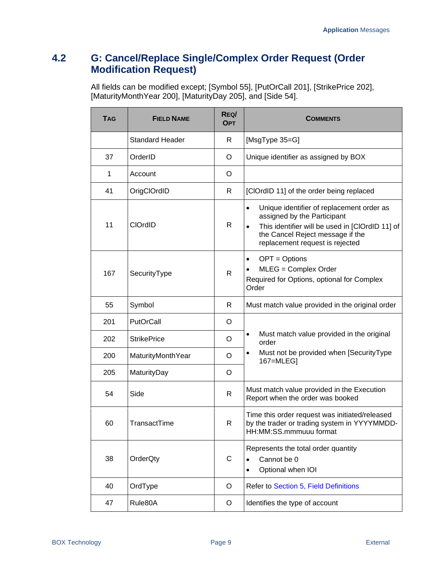#### <span id="page-14-0"></span>**4.2 G: Cancel/Replace Single/Complex Order Request (Order Modification Request)**

All fields can be modified except; [Symbol 55], [PutOrCall 201], [StrikePrice 202], [MaturityMonthYear 200], [MaturityDay 205], and [Side 54].

| <b>TAG</b> | <b>FIELD NAME</b>      | REQ/<br><b>OPT</b> | <b>COMMENTS</b>                                                                                                                                                                                                              |
|------------|------------------------|--------------------|------------------------------------------------------------------------------------------------------------------------------------------------------------------------------------------------------------------------------|
|            | <b>Standard Header</b> | R                  | [ $MsgType 35 = G$ ]                                                                                                                                                                                                         |
| 37         | OrderID                | O                  | Unique identifier as assigned by BOX                                                                                                                                                                                         |
| 1          | Account                | O                  |                                                                                                                                                                                                                              |
| 41         | OrigClOrdID            | R                  | [ClOrdID 11] of the order being replaced                                                                                                                                                                                     |
| 11         | <b>CIOrdID</b>         | $\mathsf{R}$       | Unique identifier of replacement order as<br>$\bullet$<br>assigned by the Participant<br>This identifier will be used in [ClOrdID 11] of<br>$\bullet$<br>the Cancel Reject message if the<br>replacement request is rejected |
| 167        | SecurityType           | R                  | OPT = Options<br>$\bullet$<br>MLEG = Complex Order<br>$\bullet$<br>Required for Options, optional for Complex<br>Order                                                                                                       |
| 55         | Symbol                 | R                  | Must match value provided in the original order                                                                                                                                                                              |
| 201        | PutOrCall              | O                  |                                                                                                                                                                                                                              |
| 202        | <b>StrikePrice</b>     | O                  | Must match value provided in the original<br>$\bullet$<br>order                                                                                                                                                              |
| 200        | MaturityMonthYear      | O                  | Must not be provided when [SecurityType<br>$\bullet$<br>167=MLEG]                                                                                                                                                            |
| 205        | MaturityDay            | $\circ$            |                                                                                                                                                                                                                              |
| 54         | Side                   | $\mathsf{R}$       | Must match value provided in the Execution<br>Report when the order was booked                                                                                                                                               |
| 60         | TransactTime           | $\mathsf{R}$       | Time this order request was initiated/released<br>by the trader or trading system in YYYYMMDD-<br>HH:MM:SS.mmmuuu format                                                                                                     |
| 38         | OrderQty               | $\mathsf{C}$       | Represents the total order quantity<br>Cannot be 0<br>$\bullet$<br>Optional when IOI<br>$\bullet$                                                                                                                            |
| 40         | OrdType                | O                  | Refer to Section 5, Field Definitions                                                                                                                                                                                        |
| 47         | Rule80A                | O                  | Identifies the type of account                                                                                                                                                                                               |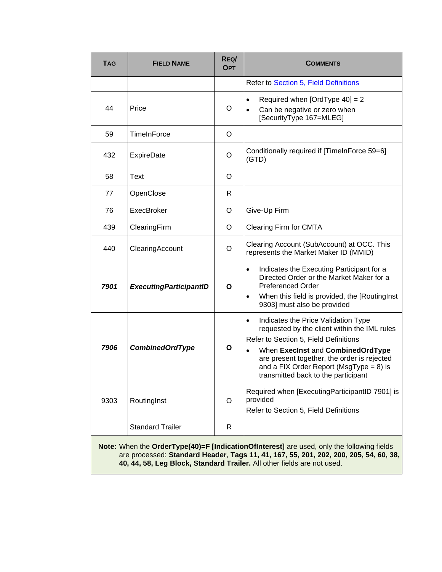| <b>TAG</b>                                                                                                                                                                                                                                                    | <b>FIELD NAME</b>             | REQ/<br><b>OPT</b>                                                                                    | <b>COMMENTS</b>                                                                                                                                                                                                                                                                                                    |  |  |
|---------------------------------------------------------------------------------------------------------------------------------------------------------------------------------------------------------------------------------------------------------------|-------------------------------|-------------------------------------------------------------------------------------------------------|--------------------------------------------------------------------------------------------------------------------------------------------------------------------------------------------------------------------------------------------------------------------------------------------------------------------|--|--|
|                                                                                                                                                                                                                                                               |                               |                                                                                                       | Refer to Section 5, Field Definitions                                                                                                                                                                                                                                                                              |  |  |
| 44                                                                                                                                                                                                                                                            | Price                         | Required when $[OrdType 40] = 2$<br>٠<br>O<br>Can be negative or zero when<br>[SecurityType 167=MLEG] |                                                                                                                                                                                                                                                                                                                    |  |  |
| 59                                                                                                                                                                                                                                                            | <b>TimeInForce</b>            | O                                                                                                     |                                                                                                                                                                                                                                                                                                                    |  |  |
| 432                                                                                                                                                                                                                                                           | ExpireDate                    | O                                                                                                     | Conditionally required if [TimeInForce 59=6]<br>(GTD)                                                                                                                                                                                                                                                              |  |  |
| 58                                                                                                                                                                                                                                                            | Text                          | O                                                                                                     |                                                                                                                                                                                                                                                                                                                    |  |  |
| 77                                                                                                                                                                                                                                                            | OpenClose                     | R                                                                                                     |                                                                                                                                                                                                                                                                                                                    |  |  |
| 76                                                                                                                                                                                                                                                            | ExecBroker                    | O                                                                                                     | Give-Up Firm                                                                                                                                                                                                                                                                                                       |  |  |
| 439                                                                                                                                                                                                                                                           | ClearingFirm                  | O                                                                                                     | <b>Clearing Firm for CMTA</b>                                                                                                                                                                                                                                                                                      |  |  |
| 440                                                                                                                                                                                                                                                           | ClearingAccount               | O                                                                                                     | Clearing Account (SubAccount) at OCC. This<br>represents the Market Maker ID (MMID)                                                                                                                                                                                                                                |  |  |
| 7901                                                                                                                                                                                                                                                          | <b>ExecutingParticipantID</b> | Ο                                                                                                     | Indicates the Executing Participant for a<br>$\bullet$<br>Directed Order or the Market Maker for a<br><b>Preferenced Order</b><br>When this field is provided, the [RoutingInst]<br>$\bullet$<br>9303] must also be provided                                                                                       |  |  |
| 7906                                                                                                                                                                                                                                                          | <b>CombinedOrdType</b>        | O                                                                                                     | Indicates the Price Validation Type<br>$\bullet$<br>requested by the client within the IML rules<br>Refer to Section 5, Field Definitions<br>When ExecInst and CombinedOrdType<br>are present together, the order is rejected<br>and a FIX Order Report (MsgType = $8$ ) is<br>transmitted back to the participant |  |  |
| 9303                                                                                                                                                                                                                                                          | RoutingInst                   | O                                                                                                     | Required when [ExecutingParticipantID 7901] is<br>provided<br>Refer to Section 5, Field Definitions                                                                                                                                                                                                                |  |  |
|                                                                                                                                                                                                                                                               | <b>Standard Trailer</b>       | R                                                                                                     |                                                                                                                                                                                                                                                                                                                    |  |  |
| Note: When the OrderType(40)=F [IndicationOfInterest] are used, only the following fields<br>are processed: Standard Header, Tags 11, 41, 167, 55, 201, 202, 200, 205, 54, 60, 38,<br>40, 44, 58, Leg Block, Standard Trailer. All other fields are not used. |                               |                                                                                                       |                                                                                                                                                                                                                                                                                                                    |  |  |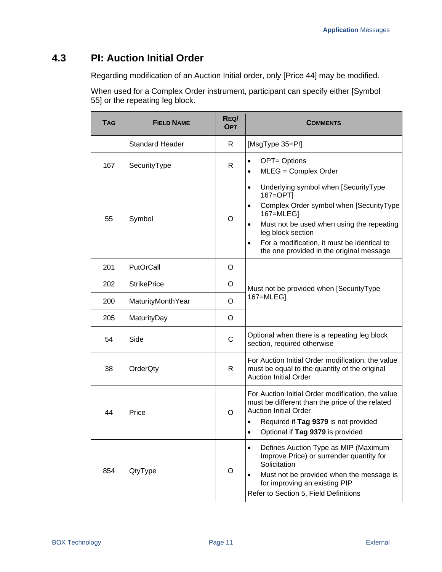#### <span id="page-16-0"></span>**4.3 PI: Auction Initial Order**

Regarding modification of an Auction Initial order, only [Price 44] may be modified.

When used for a Complex Order instrument, participant can specify either [Symbol 55] or the repeating leg block.

| <b>TAG</b> | <b>FIELD NAME</b>      | REQ/<br><b>OPT</b> | <b>COMMENTS</b>                                                                                                                                                                                                                                                                                                           |  |
|------------|------------------------|--------------------|---------------------------------------------------------------------------------------------------------------------------------------------------------------------------------------------------------------------------------------------------------------------------------------------------------------------------|--|
|            | <b>Standard Header</b> | R                  | [MsgType 35=PI]                                                                                                                                                                                                                                                                                                           |  |
| 167        | SecurityType           | R                  | <b>OPT= Options</b><br>$\bullet$<br>MLEG = Complex Order<br>$\bullet$                                                                                                                                                                                                                                                     |  |
| 55         | O<br>Symbol            |                    | Underlying symbol when [SecurityType<br>$\bullet$<br>167=OPT]<br>Complex Order symbol when [SecurityType<br>$\bullet$<br>167=MLEG]<br>Must not be used when using the repeating<br>$\bullet$<br>leg block section<br>For a modification, it must be identical to<br>$\bullet$<br>the one provided in the original message |  |
| 201        | PutOrCall              | O                  |                                                                                                                                                                                                                                                                                                                           |  |
| 202        | <b>StrikePrice</b>     | O                  | Must not be provided when [SecurityType                                                                                                                                                                                                                                                                                   |  |
| 200        | MaturityMonthYear      | O                  | 167=MLEG]                                                                                                                                                                                                                                                                                                                 |  |
| 205        | MaturityDay            | O                  |                                                                                                                                                                                                                                                                                                                           |  |
| 54         | Side                   | $\mathsf C$        | Optional when there is a repeating leg block<br>section, required otherwise                                                                                                                                                                                                                                               |  |
| 38         | OrderQty               | R                  | For Auction Initial Order modification, the value<br>must be equal to the quantity of the original<br><b>Auction Initial Order</b>                                                                                                                                                                                        |  |
| 44         | Price                  | $\circ$            | For Auction Initial Order modification, the value<br>must be different than the price of the related<br><b>Auction Initial Order</b><br>Required if Tag 9379 is not provided<br>$\bullet$<br>Optional if Tag 9379 is provided<br>$\bullet$                                                                                |  |
| 854        | QtyType                | O                  | Defines Auction Type as MIP (Maximum<br>$\bullet$<br>Improve Price) or surrender quantity for<br>Solicitation<br>Must not be provided when the message is<br>for improving an existing PIP<br>Refer to Section 5, Field Definitions                                                                                       |  |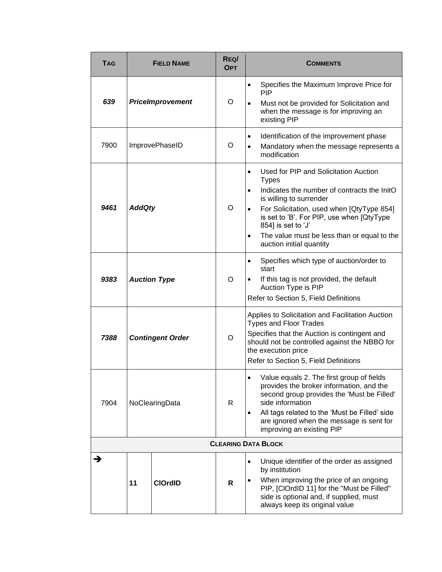| TAG  |                         | <b>FIELD NAME</b>       | REQ/<br><b>OPT</b> | <b>COMMENTS</b>                                                                                                                                                                                                                                                                                                                                                   |
|------|-------------------------|-------------------------|--------------------|-------------------------------------------------------------------------------------------------------------------------------------------------------------------------------------------------------------------------------------------------------------------------------------------------------------------------------------------------------------------|
| 639  |                         | <b>PriceImprovement</b> | O                  | Specifies the Maximum Improve Price for<br>$\bullet$<br>PIP<br>Must not be provided for Solicitation and<br>$\bullet$<br>when the message is for improving an<br>existing PIP                                                                                                                                                                                     |
| 7900 |                         | ImprovePhaseID          | O                  | Identification of the improvement phase<br>$\bullet$<br>Mandatory when the message represents a<br>$\bullet$<br>modification                                                                                                                                                                                                                                      |
| 9461 | <b>AddQty</b>           |                         | O                  | Used for PIP and Solicitation Auction<br>$\bullet$<br><b>Types</b><br>Indicates the number of contracts the InitO<br>$\bullet$<br>is willing to surrender<br>For Solicitation, used when [QtyType 854]<br>is set to 'B'. For PIP, use when [QtyType<br>854] is set to 'J'<br>The value must be less than or equal to the<br>$\bullet$<br>auction initial quantity |
| 9383 | <b>Auction Type</b>     |                         | O                  | Specifies which type of auction/order to<br>$\bullet$<br>start<br>If this tag is not provided, the default<br>$\bullet$<br>Auction Type is PIP<br>Refer to Section 5, Field Definitions                                                                                                                                                                           |
| 7388 | <b>Contingent Order</b> |                         | O                  | Applies to Solicitation and Facilitation Auction<br><b>Types and Floor Trades</b><br>Specifies that the Auction is contingent and<br>should not be controlled against the NBBO for<br>the execution price<br>Refer to Section 5, Field Definitions                                                                                                                |
| 7904 | NoClearingData          |                         | R.                 | Value equals 2. The first group of fields<br>provides the broker information, and the<br>second group provides the 'Must be Filled'<br>side information<br>All tags related to the 'Must be Filled' side<br>٠<br>are ignored when the message is sent for<br>improving an existing PIP                                                                            |
|      |                         |                         |                    | <b>CLEARING DATA BLOCK</b>                                                                                                                                                                                                                                                                                                                                        |
|      | 11                      | <b>ClOrdID</b>          | R                  | Unique identifier of the order as assigned<br>$\bullet$<br>by institution<br>When improving the price of an ongoing<br>PIP, [ClOrdID 11] for the "Must be Filled"<br>side is optional and, if supplied, must<br>always keep its original value                                                                                                                    |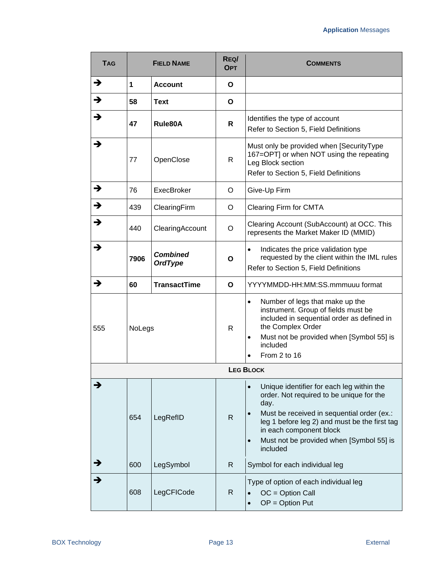| <b>TAG</b> |               | <b>FIELD NAME</b>                 | REQ/<br><b>OPT</b> | COMMENTS                                                                                                                                                                                                                                                                                                  |
|------------|---------------|-----------------------------------|--------------------|-----------------------------------------------------------------------------------------------------------------------------------------------------------------------------------------------------------------------------------------------------------------------------------------------------------|
| →          | 1.            | <b>Account</b>                    | Ο                  |                                                                                                                                                                                                                                                                                                           |
| →          | 58            | Text                              | Ο                  |                                                                                                                                                                                                                                                                                                           |
| →          | 47            | Rule80A                           | R                  | Identifies the type of account<br>Refer to Section 5, Field Definitions                                                                                                                                                                                                                                   |
| →          | 77            | OpenClose                         | R                  | Must only be provided when [SecurityType<br>167=OPT] or when NOT using the repeating<br>Leg Block section<br>Refer to Section 5, Field Definitions                                                                                                                                                        |
| →          | 76            | ExecBroker                        | O                  | Give-Up Firm                                                                                                                                                                                                                                                                                              |
| →          | 439           | ClearingFirm                      | O                  | Clearing Firm for CMTA                                                                                                                                                                                                                                                                                    |
| →          | 440           | ClearingAccount                   | O                  | Clearing Account (SubAccount) at OCC. This<br>represents the Market Maker ID (MMID)                                                                                                                                                                                                                       |
| →          | 7906          | <b>Combined</b><br><b>OrdType</b> | O                  | Indicates the price validation type<br>$\bullet$<br>requested by the client within the IML rules<br>Refer to Section 5, Field Definitions                                                                                                                                                                 |
| →          | 60            | <b>TransactTime</b>               | O                  | YYYYMMDD-HH:MM:SS.mmmuuu format                                                                                                                                                                                                                                                                           |
| 555        | <b>NoLegs</b> |                                   | R                  | Number of legs that make up the<br>$\bullet$<br>instrument. Group of fields must be<br>included in sequential order as defined in<br>the Complex Order<br>Must not be provided when [Symbol 55] is<br>$\bullet$<br>included<br>From 2 to 16                                                               |
|            |               |                                   |                    | <b>LEG BLOCK</b>                                                                                                                                                                                                                                                                                          |
| →          | 654           | LegRefID                          | R                  | Unique identifier for each leg within the<br>$\bullet$<br>order. Not required to be unique for the<br>day.<br>Must be received in sequential order (ex.:<br>leg 1 before leg 2) and must be the first tag<br>in each component block<br>Must not be provided when [Symbol 55] is<br>$\bullet$<br>included |
| →          | 600           | LegSymbol                         | R                  | Symbol for each individual leg                                                                                                                                                                                                                                                                            |
| →          | 608           | LegCFICode                        | R                  | Type of option of each individual leg<br>$OC = Option Call$<br>$OP = Option Put$                                                                                                                                                                                                                          |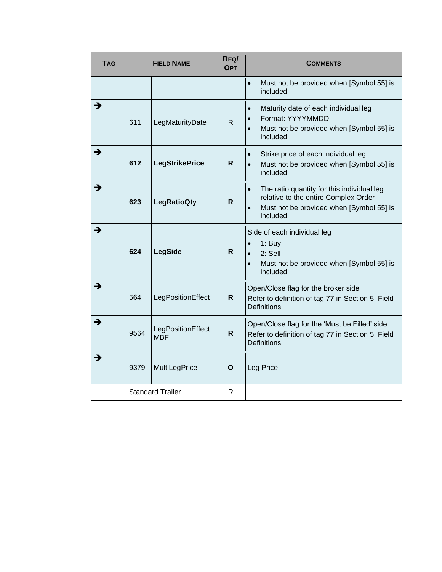| <b>TAG</b> | <b>FIELD NAME</b> |                                 | REQ/<br><b>OPT</b> | <b>COMMENTS</b>                                                                                                                                                      |
|------------|-------------------|---------------------------------|--------------------|----------------------------------------------------------------------------------------------------------------------------------------------------------------------|
|            |                   |                                 |                    | Must not be provided when [Symbol 55] is<br>$\bullet$<br>included                                                                                                    |
| →          | 611               | LegMaturityDate                 | $\mathsf{R}$       | Maturity date of each individual leg<br>$\bullet$<br>Format: YYYYMMDD<br>Must not be provided when [Symbol 55] is<br>$\bullet$<br>included                           |
| →          | 612               | <b>LegStrikePrice</b>           | R.                 | Strike price of each individual leg<br>$\bullet$<br>Must not be provided when [Symbol 55] is<br>$\bullet$<br>included                                                |
| →          | 623               | <b>LegRatioQty</b>              | R                  | The ratio quantity for this individual leg<br>$\bullet$<br>relative to the entire Complex Order<br>Must not be provided when [Symbol 55] is<br>$\bullet$<br>included |
| →          | 624               | <b>LegSide</b>                  | R                  | Side of each individual leg<br>$1:$ Buy<br>2: Sell<br>Must not be provided when [Symbol 55] is<br>$\bullet$<br>included                                              |
| →          | 564               | LegPositionEffect               | $\mathsf{R}$       | Open/Close flag for the broker side<br>Refer to definition of tag 77 in Section 5, Field<br><b>Definitions</b>                                                       |
| →          | 9564              | LegPositionEffect<br><b>MBF</b> | R                  | Open/Close flag for the 'Must be Filled' side<br>Refer to definition of tag 77 in Section 5, Field<br><b>Definitions</b>                                             |
| →          | 9379              | MultiLegPrice                   | O                  | Leg Price                                                                                                                                                            |
|            |                   | <b>Standard Trailer</b>         | R                  |                                                                                                                                                                      |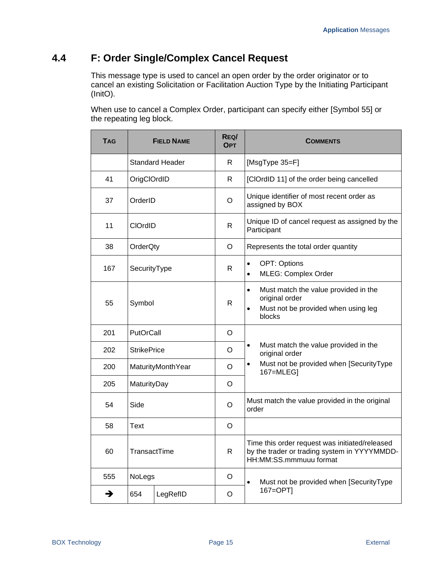### <span id="page-20-0"></span>**4.4 F: Order Single/Complex Cancel Request**

This message type is used to cancel an open order by the order originator or to cancel an existing Solicitation or Facilitation Auction Type by the Initiating Participant (InitO).

When use to cancel a Complex Order, participant can specify either [Symbol 55] or the repeating leg block.

| <b>TAG</b> | <b>FIELD NAME</b>      |                   | REQ/<br><b>OPT</b> | <b>COMMENTS</b>                                                                                                                   |
|------------|------------------------|-------------------|--------------------|-----------------------------------------------------------------------------------------------------------------------------------|
|            | <b>Standard Header</b> |                   | R                  | [MsgType 35=F]                                                                                                                    |
| 41         | OrigClOrdID            |                   | R                  | [ClOrdID 11] of the order being cancelled                                                                                         |
| 37         | OrderID                |                   | O                  | Unique identifier of most recent order as<br>assigned by BOX                                                                      |
| 11         | CIOrdID                |                   | $\mathsf{R}$       | Unique ID of cancel request as assigned by the<br>Participant                                                                     |
| 38         | <b>OrderQty</b>        |                   | O                  | Represents the total order quantity                                                                                               |
| 167        | SecurityType           |                   | R.                 | <b>OPT: Options</b><br>$\bullet$<br><b>MLEG: Complex Order</b><br>$\bullet$                                                       |
| 55         | Symbol                 |                   | $\mathsf{R}$       | Must match the value provided in the<br>$\bullet$<br>original order<br>Must not be provided when using leg<br>$\bullet$<br>blocks |
| 201        | PutOrCall              |                   | $\circ$            |                                                                                                                                   |
| 202        | <b>StrikePrice</b>     |                   | O                  | Must match the value provided in the<br>$\bullet$<br>original order                                                               |
| 200        |                        | MaturityMonthYear | O                  | Must not be provided when [SecurityType<br>$\bullet$<br>167=MLEG]                                                                 |
| 205        | MaturityDay            |                   | O                  |                                                                                                                                   |
| 54         | Side                   |                   | $\mathsf O$        | Must match the value provided in the original<br>order                                                                            |
| 58         | Text                   |                   | O                  |                                                                                                                                   |
| 60         | TransactTime           |                   | R                  | Time this order request was initiated/released<br>by the trader or trading system in YYYYMMDD-<br>HH:MM:SS.mmmuuu format          |
| 555        | NoLegs                 |                   | O                  | Must not be provided when [SecurityType<br>$\bullet$                                                                              |
| →          | 654                    | LegRefID          | O                  | 167=OPT]                                                                                                                          |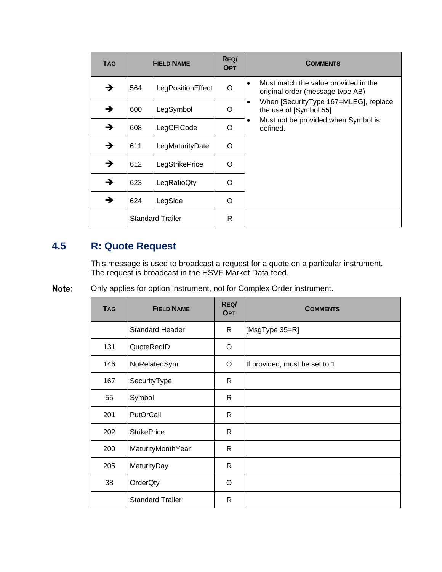| <b>TAG</b> | <b>FIELD NAME</b> |                         | REQ/<br><b>OPT</b> | <b>COMMENTS</b>                                                                       |
|------------|-------------------|-------------------------|--------------------|---------------------------------------------------------------------------------------|
| →          | 564               | LegPositionEffect       | O                  | Must match the value provided in the<br>$\bullet$<br>original order (message type AB) |
| →          | 600               | LegSymbol               | $\Omega$           | When [SecurityType 167=MLEG], replace<br>$\bullet$<br>the use of [Symbol 55]          |
| →          | 608               | LegCFICode              | $\Omega$           | Must not be provided when Symbol is<br>$\bullet$<br>defined.                          |
| →          | 611               | LegMaturityDate         | $\Omega$           |                                                                                       |
| →          | 612               | LegStrikePrice          | $\Omega$           |                                                                                       |
| →          | 623               | LegRatioQty             | $\Omega$           |                                                                                       |
| →          | 624               | LegSide                 | O                  |                                                                                       |
|            |                   | <b>Standard Trailer</b> |                    |                                                                                       |

### <span id="page-21-0"></span>**4.5 R: Quote Request**

This message is used to broadcast a request for a quote on a particular instrument. The request is broadcast in the HSVF Market Data feed.

Note: Only applies for option instrument, not for Complex Order instrument.

| <b>TAG</b> | REQ/<br><b>FIELD NAME</b><br><b>OPT</b> |    | <b>COMMENTS</b>               |
|------------|-----------------------------------------|----|-------------------------------|
|            | <b>Standard Header</b>                  | R. | [MsgType 35=R]                |
| 131        | QuoteReqID                              | O  |                               |
| 146        | NoRelatedSym                            | O  | If provided, must be set to 1 |
| 167        | SecurityType                            |    |                               |
| 55         | Symbol                                  | R. |                               |
| 201        | PutOrCall                               | R  |                               |
| 202        | <b>StrikePrice</b>                      | R  |                               |
| 200        | MaturityMonthYear                       | R  |                               |
| 205        | MaturityDay                             | R  |                               |
| 38         | OrderQty                                | O  |                               |
|            | <b>Standard Trailer</b>                 | R  |                               |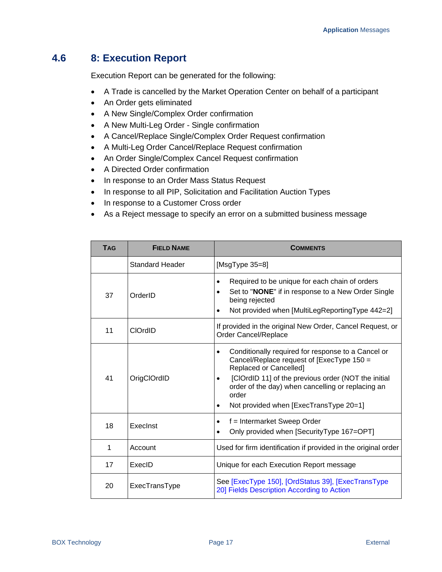#### <span id="page-22-0"></span>**4.6 8: Execution Report**

Execution Report can be generated for the following:

- A Trade is cancelled by the Market Operation Center on behalf of a participant
- An Order gets eliminated
- A New Single/Complex Order confirmation
- A New Multi-Leg Order Single confirmation
- A Cancel/Replace Single/Complex Order Request confirmation
- A Multi-Leg Order Cancel/Replace Request confirmation
- An Order Single/Complex Cancel Request confirmation
- A Directed Order confirmation
- In response to an Order Mass Status Request
- In response to all PIP, Solicitation and Facilitation Auction Types
- In response to a Customer Cross order
- As a Reject message to specify an error on a submitted business message

| <b>TAG</b> | <b>FIELD NAME</b>      | <b>COMMENTS</b>                                                                                                                                                                                                                                                                               |
|------------|------------------------|-----------------------------------------------------------------------------------------------------------------------------------------------------------------------------------------------------------------------------------------------------------------------------------------------|
|            | <b>Standard Header</b> | [ $MsgType 35=8$ ]                                                                                                                                                                                                                                                                            |
| 37         | OrderID                | Required to be unique for each chain of orders<br>Set to "NONE" if in response to a New Order Single<br>$\bullet$<br>being rejected<br>Not provided when [MultiLegReportingType 442=2]<br>$\bullet$                                                                                           |
| 11         | <b>CIOrdID</b>         | If provided in the original New Order, Cancel Request, or<br><b>Order Cancel/Replace</b>                                                                                                                                                                                                      |
| 41         | OrigClOrdID            | Conditionally required for response to a Cancel or<br>٠<br>Cancel/Replace request of [ExecType 150 =<br>Replaced or Cancelled]<br>[ClOrdID 11] of the previous order (NOT the initial<br>order of the day) when cancelling or replacing an<br>order<br>Not provided when [ExecTransType 20=1] |
| 18         | Execlnst               | f = Intermarket Sweep Order<br>$\bullet$<br>Only provided when [SecurityType 167=OPT]                                                                                                                                                                                                         |
| 1          | Account                | Used for firm identification if provided in the original order                                                                                                                                                                                                                                |
| 17         | ExecID                 | Unique for each Execution Report message                                                                                                                                                                                                                                                      |
| 20         | ExecTransType          | See [ExecType 150], [OrdStatus 39], [ExecTransType<br>20] Fields Description According to Action                                                                                                                                                                                              |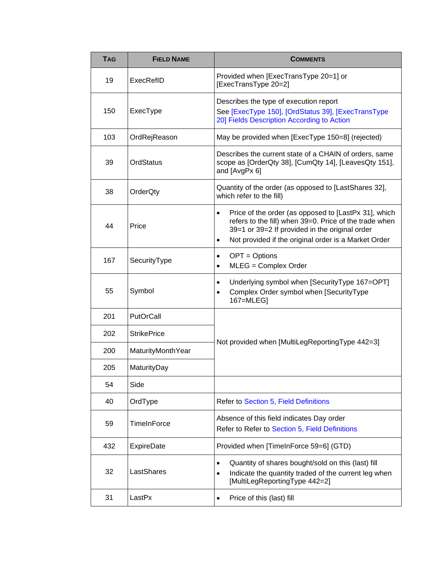| <b>TAG</b> | <b>FIELD NAME</b>  | <b>COMMENTS</b>                                                                                                                                                                                                                                    |  |
|------------|--------------------|----------------------------------------------------------------------------------------------------------------------------------------------------------------------------------------------------------------------------------------------------|--|
| 19         | ExecRefID          | Provided when [ExecTransType 20=1] or<br>[ExecTransType 20=2]                                                                                                                                                                                      |  |
| 150        | ExecType           | Describes the type of execution report<br>See [ExecType 150], [OrdStatus 39], [ExecTransType<br>20] Fields Description According to Action                                                                                                         |  |
| 103        | OrdRejReason       | May be provided when [ExecType 150=8] (rejected)                                                                                                                                                                                                   |  |
| 39         | OrdStatus          | Describes the current state of a CHAIN of orders, same<br>scope as [OrderQty 38], [CumQty 14], [LeavesQty 151],<br>and [AvgPx 6]                                                                                                                   |  |
| 38         | OrderQty           | Quantity of the order (as opposed to [LastShares 32],<br>which refer to the fill)                                                                                                                                                                  |  |
| 44         | Price              | Price of the order (as opposed to [LastPx 31], which<br>$\bullet$<br>refers to the fill) when 39=0. Price of the trade when<br>39=1 or 39=2 If provided in the original order<br>Not provided if the original order is a Market Order<br>$\bullet$ |  |
| 167        | SecurityType       | OPT = Options<br>$\bullet$<br>MLEG = Complex Order<br>$\bullet$                                                                                                                                                                                    |  |
| 55         | Symbol             | Underlying symbol when [SecurityType 167=OPT]<br>$\bullet$<br>Complex Order symbol when [SecurityType<br>$\bullet$<br>167=MLEG]                                                                                                                    |  |
| 201        | PutOrCall          |                                                                                                                                                                                                                                                    |  |
| 202        | <b>StrikePrice</b> | Not provided when [MultiLegReportingType 442=3]                                                                                                                                                                                                    |  |
| 200        | MaturityMonthYear  |                                                                                                                                                                                                                                                    |  |
| 205        | MaturityDay        |                                                                                                                                                                                                                                                    |  |
| 54         | Side               |                                                                                                                                                                                                                                                    |  |
| 40         | OrdType            | Refer to Section 5, Field Definitions                                                                                                                                                                                                              |  |
| 59         | TimeInForce        | Absence of this field indicates Day order<br>Refer to Refer to Section 5, Field Definitions                                                                                                                                                        |  |
| 432        | ExpireDate         | Provided when [TimeInForce 59=6] (GTD)                                                                                                                                                                                                             |  |
| 32         | LastShares         | Quantity of shares bought/sold on this (last) fill<br>$\bullet$<br>Indicate the quantity traded of the current leg when<br>$\bullet$<br>[MultiLegReportingType 442=2]                                                                              |  |
| 31         | LastPx             | Price of this (last) fill<br>$\bullet$                                                                                                                                                                                                             |  |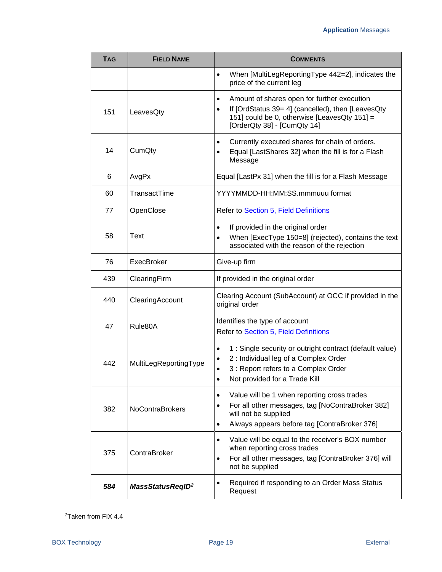| <b>TAG</b> | <b>FIELD NAME</b>            | <b>COMMENTS</b>                                                                                                                                                                                                                |  |
|------------|------------------------------|--------------------------------------------------------------------------------------------------------------------------------------------------------------------------------------------------------------------------------|--|
|            |                              | When [MultiLegReportingType 442=2], indicates the<br>$\bullet$<br>price of the current leg                                                                                                                                     |  |
| 151        | LeavesQty                    | Amount of shares open for further execution<br>$\bullet$<br>If [OrdStatus 39= 4] (cancelled), then [LeavesQty<br>$\bullet$<br>151] could be 0, otherwise [LeavesQty 151] =<br>[OrderQty 38] - [CumQty 14]                      |  |
| 14         | CumQty                       | Currently executed shares for chain of orders.<br>$\bullet$<br>Equal [LastShares 32] when the fill is for a Flash<br>$\bullet$<br>Message                                                                                      |  |
| 6          | AvgPx                        | Equal [LastPx 31] when the fill is for a Flash Message                                                                                                                                                                         |  |
| 60         | TransactTime                 | YYYYMMDD-HH:MM:SS.mmmuuu format                                                                                                                                                                                                |  |
| 77         | OpenClose                    | <b>Refer to Section 5, Field Definitions</b>                                                                                                                                                                                   |  |
| 58         | Text                         | If provided in the original order<br>$\bullet$<br>When [ExecType 150=8] (rejected), contains the text<br>$\bullet$<br>associated with the reason of the rejection                                                              |  |
| 76         | ExecBroker                   | Give-up firm                                                                                                                                                                                                                   |  |
| 439        | ClearingFirm                 | If provided in the original order                                                                                                                                                                                              |  |
| 440        | ClearingAccount              | Clearing Account (SubAccount) at OCC if provided in the<br>original order                                                                                                                                                      |  |
| 47         | Rule80A                      | Identifies the type of account<br>Refer to Section 5, Field Definitions                                                                                                                                                        |  |
| 442        | MultiLegReportingType        | 1 : Single security or outright contract (default value)<br>$\bullet$<br>2 : Individual leg of a Complex Order<br>$\bullet$<br>3 : Report refers to a Complex Order<br>$\bullet$<br>Not provided for a Trade Kill<br>$\bullet$ |  |
| 382        | NoContraBrokers              | Value will be 1 when reporting cross trades<br>$\bullet$<br>For all other messages, tag [NoContraBroker 382]<br>$\bullet$<br>will not be supplied<br>Always appears before tag [ContraBroker 376]<br>$\bullet$                 |  |
| 375        | ContraBroker                 | Value will be equal to the receiver's BOX number<br>$\bullet$<br>when reporting cross trades<br>For all other messages, tag [ContraBroker 376] will<br>$\bullet$<br>not be supplied                                            |  |
| 584        | MassStatusReqID <sup>2</sup> | Required if responding to an Order Mass Status<br>$\bullet$<br>Request                                                                                                                                                         |  |

2Taken from FIX 4.4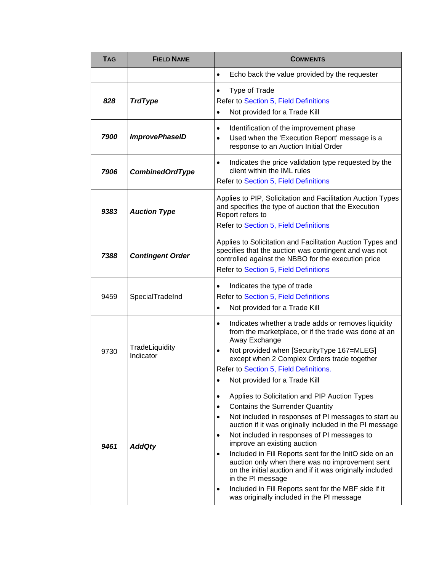| <b>TAG</b> | <b>FIELD NAME</b>           | <b>COMMENTS</b>                                                                                                                                                                                                                                                                                                                                                                                                                                                                                                                                                                                                                                                           |  |
|------------|-----------------------------|---------------------------------------------------------------------------------------------------------------------------------------------------------------------------------------------------------------------------------------------------------------------------------------------------------------------------------------------------------------------------------------------------------------------------------------------------------------------------------------------------------------------------------------------------------------------------------------------------------------------------------------------------------------------------|--|
|            |                             | Echo back the value provided by the requester<br>$\bullet$                                                                                                                                                                                                                                                                                                                                                                                                                                                                                                                                                                                                                |  |
| 828        | <b>TrdType</b>              | Type of Trade<br>$\bullet$<br>Refer to Section 5, Field Definitions<br>Not provided for a Trade Kill<br>$\bullet$                                                                                                                                                                                                                                                                                                                                                                                                                                                                                                                                                         |  |
| 7900       | <b>ImprovePhaseID</b>       | Identification of the improvement phase<br>$\bullet$<br>Used when the 'Execution Report' message is a<br>$\bullet$<br>response to an Auction Initial Order                                                                                                                                                                                                                                                                                                                                                                                                                                                                                                                |  |
| 7906       | <b>CombinedOrdType</b>      | Indicates the price validation type requested by the<br>$\bullet$<br>client within the IML rules<br>Refer to Section 5, Field Definitions                                                                                                                                                                                                                                                                                                                                                                                                                                                                                                                                 |  |
| 9383       | <b>Auction Type</b>         | Applies to PIP, Solicitation and Facilitation Auction Types<br>and specifies the type of auction that the Execution<br>Report refers to<br>Refer to Section 5, Field Definitions                                                                                                                                                                                                                                                                                                                                                                                                                                                                                          |  |
| 7388       | <b>Contingent Order</b>     | Applies to Solicitation and Facilitation Auction Types and<br>specifies that the auction was contingent and was not<br>controlled against the NBBO for the execution price<br>Refer to Section 5, Field Definitions                                                                                                                                                                                                                                                                                                                                                                                                                                                       |  |
| 9459       | SpecialTradeInd             | Indicates the type of trade<br>$\bullet$<br>Refer to Section 5, Field Definitions<br>Not provided for a Trade Kill<br>$\bullet$                                                                                                                                                                                                                                                                                                                                                                                                                                                                                                                                           |  |
| 9730       | TradeLiquidity<br>Indicator | Indicates whether a trade adds or removes liquidity<br>$\bullet$<br>from the marketplace, or if the trade was done at an<br>Away Exchange<br>Not provided when [SecurityType 167=MLEG]<br>٠<br>except when 2 Complex Orders trade together<br>Refer to Section 5, Field Definitions.<br>Not provided for a Trade Kill<br>$\bullet$                                                                                                                                                                                                                                                                                                                                        |  |
| 9461       | <b>AddQty</b>               | Applies to Solicitation and PIP Auction Types<br>$\bullet$<br><b>Contains the Surrender Quantity</b><br>$\bullet$<br>Not included in responses of PI messages to start au<br>$\bullet$<br>auction if it was originally included in the PI message<br>Not included in responses of PI messages to<br>$\bullet$<br>improve an existing auction<br>Included in Fill Reports sent for the InitO side on an<br>$\bullet$<br>auction only when there was no improvement sent<br>on the initial auction and if it was originally included<br>in the PI message<br>Included in Fill Reports sent for the MBF side if it<br>$\bullet$<br>was originally included in the PI message |  |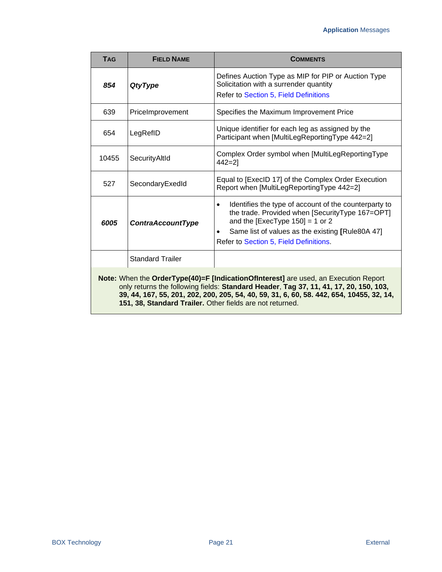| <b>TAG</b> | <b>FIELD NAME</b>                                         | <b>COMMENTS</b>                                                                                                                                                                                                                                                          |  |  |
|------------|-----------------------------------------------------------|--------------------------------------------------------------------------------------------------------------------------------------------------------------------------------------------------------------------------------------------------------------------------|--|--|
| 854        | <b>QtyType</b>                                            | Defines Auction Type as MIP for PIP or Auction Type<br>Solicitation with a surrender quantity<br><b>Refer to Section 5, Field Definitions</b>                                                                                                                            |  |  |
| 639        | PriceImprovement                                          | Specifies the Maximum Improvement Price                                                                                                                                                                                                                                  |  |  |
| 654        | LegRefID                                                  | Unique identifier for each leg as assigned by the<br>Participant when [MultiLegReportingType 442=2]                                                                                                                                                                      |  |  |
| 10455      | <b>Security AltId</b>                                     | Complex Order symbol when [MultiLegReportingType<br>442=21                                                                                                                                                                                                               |  |  |
| 527        | SecondaryExedId                                           | Equal to [ExecID 17] of the Complex Order Execution<br>Report when [MultiLegReportingType 442=2]                                                                                                                                                                         |  |  |
| 6005       | ContraAccountType                                         | Identifies the type of account of the counterparty to<br>$\bullet$<br>the trade. Provided when [SecurityType 167=OPT]<br>and the [ExecType $150$ ] = 1 or 2<br>Same list of values as the existing [Rule80A 47]<br>$\bullet$<br>Refer to Section 5, Field Definitions.   |  |  |
|            | <b>Standard Trailer</b>                                   |                                                                                                                                                                                                                                                                          |  |  |
|            | 151, 38, Standard Trailer. Other fields are not returned. | Note: When the OrderType(40)=F [IndicationOfInterest] are used, an Execution Report<br>only returns the following fields: Standard Header, Tag 37, 11, 41, 17, 20, 150, 103,<br>39, 44, 167, 55, 201, 202, 200, 205, 54, 40, 59, 31, 6, 60, 58. 442, 654, 10455, 32, 14, |  |  |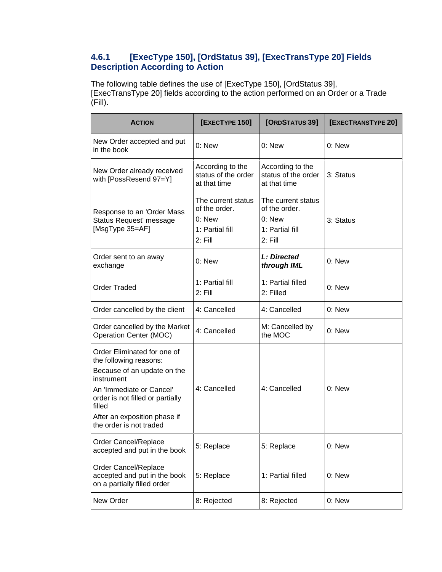#### <span id="page-27-0"></span>**4.6.1 [ExecType 150], [OrdStatus 39], [ExecTransType 20] Fields Description According to Action**

The following table defines the use of [ExecType 150], [OrdStatus 39], [ExecTransType 20] fields according to the action performed on an Order or a Trade  $(Fill)$ .

| <b>ACTION</b>                                                                                                                                                                                                                                           | <b>[EXECTYPE 150]</b>                                                         | [ORDSTATUS 39]                                                                | [EXECTRANSTYPE 20] |
|---------------------------------------------------------------------------------------------------------------------------------------------------------------------------------------------------------------------------------------------------------|-------------------------------------------------------------------------------|-------------------------------------------------------------------------------|--------------------|
| New Order accepted and put<br>in the book                                                                                                                                                                                                               | $0:$ New                                                                      | $0:$ New                                                                      | $0:$ New           |
| New Order already received<br>with [PossResend 97=Y]                                                                                                                                                                                                    | According to the<br>status of the order<br>at that time                       | According to the<br>status of the order<br>at that time                       | 3: Status          |
| Response to an 'Order Mass<br>Status Request' message<br>[MsgType 35=AF]                                                                                                                                                                                | The current status<br>of the order.<br>0: New<br>1: Partial fill<br>$2:$ Fill | The current status<br>of the order.<br>0: New<br>1: Partial fill<br>$2:$ Fill | 3: Status          |
| Order sent to an away<br>exchange                                                                                                                                                                                                                       | 0: New                                                                        | L: Directed<br>through IML                                                    | $0:$ New           |
| <b>Order Traded</b>                                                                                                                                                                                                                                     | 1: Partial fill<br>$2:$ Fill                                                  | 1: Partial filled<br>2: Filled                                                | $0:$ New           |
| Order cancelled by the client                                                                                                                                                                                                                           | 4: Cancelled                                                                  | 4: Cancelled                                                                  | 0: New             |
| Order cancelled by the Market<br><b>Operation Center (MOC)</b>                                                                                                                                                                                          | 4: Cancelled                                                                  | M: Cancelled by<br>the MOC                                                    | $0:$ New           |
| Order Eliminated for one of<br>the following reasons:<br>Because of an update on the<br>instrument<br>4: Cancelled<br>An 'Immediate or Cancel'<br>order is not filled or partially<br>filled<br>After an exposition phase if<br>the order is not traded |                                                                               | 4: Cancelled                                                                  | 0: New             |
| Order Cancel/Replace<br>accepted and put in the book                                                                                                                                                                                                    | 5: Replace                                                                    | 5: Replace                                                                    | 0: New             |
| Order Cancel/Replace<br>accepted and put in the book<br>on a partially filled order                                                                                                                                                                     | 5: Replace                                                                    | 1: Partial filled                                                             | 0: New             |
| New Order                                                                                                                                                                                                                                               | 8: Rejected                                                                   |                                                                               | 0: New             |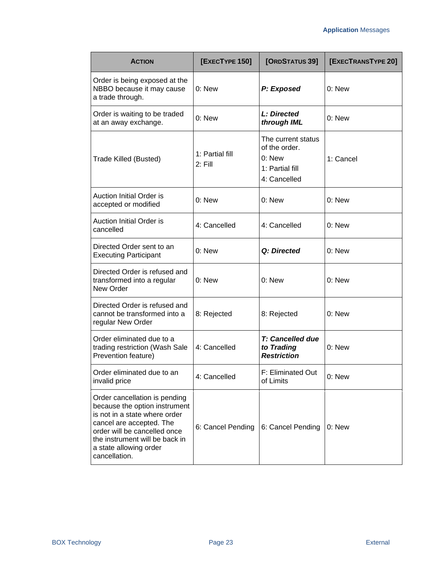| <b>ACTION</b>                                                                                                                                                                                                                            | <b>[EXECTYPE 150]</b>        | [ORDSTATUS 39]                                                                     | [EXECTRANSTYPE 20] |
|------------------------------------------------------------------------------------------------------------------------------------------------------------------------------------------------------------------------------------------|------------------------------|------------------------------------------------------------------------------------|--------------------|
| Order is being exposed at the<br>NBBO because it may cause<br>a trade through.                                                                                                                                                           | 0: New                       | P: Exposed                                                                         | $0:$ New           |
| Order is waiting to be traded<br>at an away exchange.                                                                                                                                                                                    | $0:$ New                     | L: Directed<br>through IML                                                         | $0:$ New           |
| Trade Killed (Busted)                                                                                                                                                                                                                    | 1: Partial fill<br>$2:$ Fill | The current status<br>of the order.<br>$0:$ New<br>1: Partial fill<br>4: Cancelled | 1: Cancel          |
| <b>Auction Initial Order is</b><br>accepted or modified                                                                                                                                                                                  | 0: New                       | 0: New                                                                             | $0:$ New           |
| <b>Auction Initial Order is</b><br>cancelled                                                                                                                                                                                             | 4: Cancelled                 | 4: Cancelled                                                                       | $0:$ New           |
| Directed Order sent to an<br><b>Executing Participant</b>                                                                                                                                                                                | 0: New                       | Q: Directed                                                                        | $0:$ New           |
| Directed Order is refused and<br>transformed into a regular<br>New Order                                                                                                                                                                 | $0:$ New                     | 0: New                                                                             | $0:$ New           |
| Directed Order is refused and<br>cannot be transformed into a<br>regular New Order                                                                                                                                                       | 8: Rejected                  | 8: Rejected                                                                        | 0: New             |
| Order eliminated due to a<br>trading restriction (Wash Sale<br>Prevention feature)                                                                                                                                                       | 4: Cancelled                 | T: Cancelled due<br>to Trading<br><b>Restriction</b>                               | 0: New             |
| Order eliminated due to an<br>invalid price                                                                                                                                                                                              | 4: Cancelled                 | F: Eliminated Out<br>of Limits                                                     | 0: New             |
| Order cancellation is pending<br>because the option instrument<br>is not in a state where order<br>cancel are accepted. The<br>order will be cancelled once<br>the instrument will be back in<br>a state allowing order<br>cancellation. | 6: Cancel Pending            | 6: Cancel Pending                                                                  | 0: New             |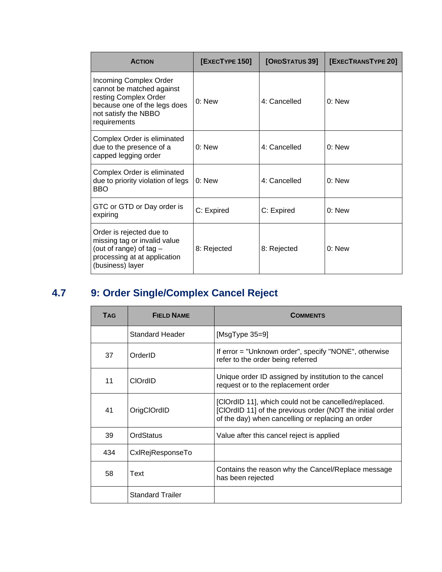| <b>ACTION</b>                                                                                                                                        | <b>[EXECTYPE 150]</b> | [ORDSTATUS 39] | [EXECTRANSTYPE 20] |
|------------------------------------------------------------------------------------------------------------------------------------------------------|-----------------------|----------------|--------------------|
| Incoming Complex Order<br>cannot be matched against<br>resting Complex Order<br>because one of the legs does<br>not satisfy the NBBO<br>requirements | $0:$ New              | 4: Cancelled   | $0.$ New           |
| Complex Order is eliminated<br>due to the presence of a<br>capped legging order                                                                      | $0:$ New              | 4: Cancelled   | $0:$ New           |
| Complex Order is eliminated<br>due to priority violation of legs<br><b>BBO</b>                                                                       | $0:$ New              | 4: Cancelled   | $0:$ New           |
| GTC or GTD or Day order is<br>expiring                                                                                                               | C: Expired            | C: Expired     | $0:$ New           |
| Order is rejected due to<br>missing tag or invalid value<br>(out of range) of tag $-$<br>processing at at application<br>(business) layer            | 8: Rejected           | 8: Rejected    | $0:$ New           |

## <span id="page-29-0"></span>**4.7 9: Order Single/Complex Cancel Reject**

| <b>TAG</b> | <b>FIELD NAME</b>       | COMMENTS                                                                                                                                                               |
|------------|-------------------------|------------------------------------------------------------------------------------------------------------------------------------------------------------------------|
|            | Standard Header         | [MsgType $35=9$ ]                                                                                                                                                      |
| 37         | OrderID                 | If error = "Unknown order", specify "NONE", otherwise<br>refer to the order being referred                                                                             |
| 11         | CIOrdID                 | Unique order ID assigned by institution to the cancel<br>request or to the replacement order                                                                           |
| 41         | OrigClOrdID             | [CIOrdID 11], which could not be cancelled/replaced.<br>[ClOrdID 11] of the previous order (NOT the initial order<br>of the day) when cancelling or replacing an order |
| 39         | OrdStatus               | Value after this cancel reject is applied                                                                                                                              |
| 434        | CxlRejResponseTo        |                                                                                                                                                                        |
| 58         | Text                    | Contains the reason why the Cancel/Replace message<br>has been rejected                                                                                                |
|            | <b>Standard Trailer</b> |                                                                                                                                                                        |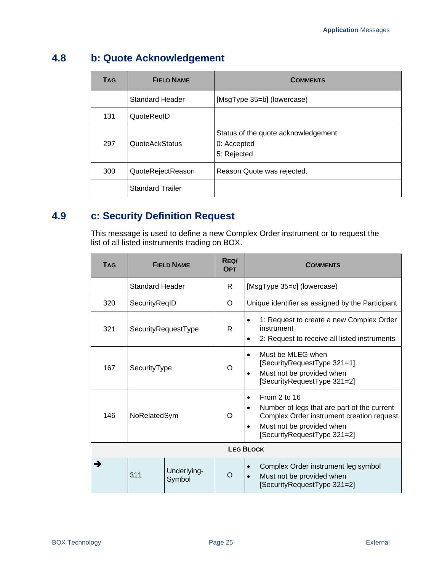### <span id="page-30-0"></span>**4.8 b: Quote Acknowledgement**

| <b>TAG</b> | <b>FIELD NAME</b>       | <b>COMMENTS</b>                                                   |  |
|------------|-------------------------|-------------------------------------------------------------------|--|
|            | <b>Standard Header</b>  | [MsgType 35=b] (lowercase)                                        |  |
| 131        | QuoteReqID              |                                                                   |  |
| 297        | <b>QuoteAckStatus</b>   | Status of the quote acknowledgement<br>0: Accepted<br>5: Rejected |  |
| 300        | QuoteRejectReason       | Reason Quote was rejected.                                        |  |
|            | <b>Standard Trailer</b> |                                                                   |  |

### <span id="page-30-1"></span>**4.9 c: Security Definition Request**

This message is used to define a new Complex Order instrument or to request the list of all listed instruments trading on BOX.

| <b>TAG</b>       | <b>FIELD NAME</b>      |                       | REQ/<br><b>OPT</b> | <b>COMMENTS</b>                                                                                                                                                                                                 |  |
|------------------|------------------------|-----------------------|--------------------|-----------------------------------------------------------------------------------------------------------------------------------------------------------------------------------------------------------------|--|
|                  | <b>Standard Header</b> |                       | R                  | [MsgType 35=c] (lowercase)                                                                                                                                                                                      |  |
| 320              | SecurityReqID          |                       | O                  | Unique identifier as assigned by the Participant                                                                                                                                                                |  |
| 321              | SecurityRequestType    |                       | R                  | 1: Request to create a new Complex Order<br>$\bullet$<br>instrument<br>2: Request to receive all listed instruments<br>$\bullet$                                                                                |  |
| 167              | SecurityType           |                       | O                  | Must be MLEG when<br>$\bullet$<br>[SecurityRequestType 321=1]<br>Must not be provided when<br>$\bullet$<br>[SecurityRequestType 321=2]                                                                          |  |
| 146              | NoRelatedSym           |                       | $\Omega$           | From $2$ to $16$<br>$\bullet$<br>Number of legs that are part of the current<br>$\bullet$<br>Complex Order instrument creation request<br>Must not be provided when<br>$\bullet$<br>[SecurityRequestType 321=2] |  |
| <b>LEG BLOCK</b> |                        |                       |                    |                                                                                                                                                                                                                 |  |
| →                | 311                    | Underlying-<br>Symbol | $\Omega$           | Complex Order instrument leg symbol<br>$\bullet$<br>Must not be provided when<br>[SecurityRequestType 321=2]                                                                                                    |  |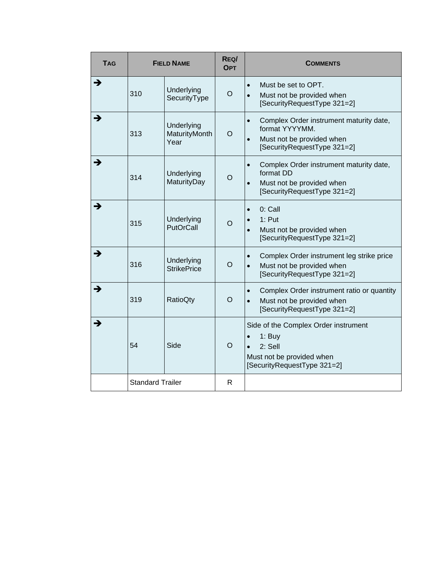| <b>TAG</b> |                         | <b>FIELD NAME</b>                   | REQ/<br><b>OPT</b> | <b>COMMENTS</b>                                                                                                                                 |
|------------|-------------------------|-------------------------------------|--------------------|-------------------------------------------------------------------------------------------------------------------------------------------------|
| →          | 310                     | Underlying<br>SecurityType          | $\circ$            | Must be set to OPT.<br>$\bullet$<br>Must not be provided when<br>$\bullet$<br>[SecurityRequestType 321=2]                                       |
| →          | 313                     | Underlying<br>MaturityMonth<br>Year | $\circ$            | Complex Order instrument maturity date,<br>$\bullet$<br>format YYYYMM.<br>Must not be provided when<br>$\bullet$<br>[SecurityRequestType 321=2] |
| →          | 314                     | Underlying<br>MaturityDay           | $\circ$            | Complex Order instrument maturity date,<br>$\bullet$<br>format DD<br>Must not be provided when<br>[SecurityRequestType 321=2]                   |
| →          | 315                     | Underlying<br>PutOrCall             | $\circ$            | 0: Call<br>$\bullet$<br>1: Put<br>Must not be provided when<br>[SecurityRequestType 321=2]                                                      |
| →          | 316                     | Underlying<br><b>StrikePrice</b>    | $\circ$            | Complex Order instrument leg strike price<br>$\bullet$<br>Must not be provided when<br>$\bullet$<br>[SecurityRequestType 321=2]                 |
| →          | 319                     | <b>RatioQty</b>                     | $\Omega$           | Complex Order instrument ratio or quantity<br>$\bullet$<br>Must not be provided when<br>[SecurityRequestType 321=2]                             |
| →          | 54                      | Side                                | $\circ$            | Side of the Complex Order instrument<br>$1:$ Buy<br>2: Sell<br>Must not be provided when<br>[SecurityRequestType 321=2]                         |
|            | <b>Standard Trailer</b> |                                     | R                  |                                                                                                                                                 |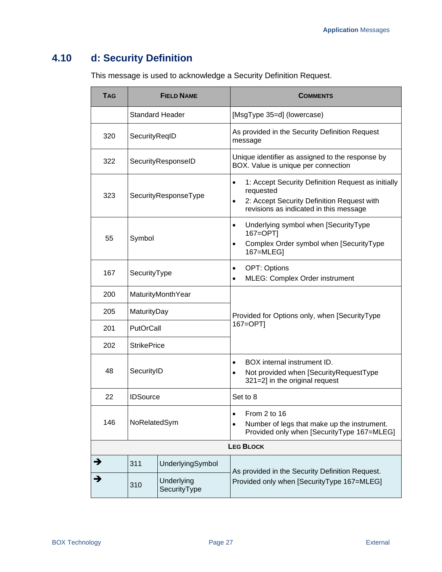### <span id="page-32-0"></span>**4.10 d: Security Definition**

This message is used to acknowledge a Security Definition Request.

| <b>TAG</b> | <b>FIELD NAME</b>  |                            | <b>COMMENTS</b>                               |                                                                                                                                                         |  |
|------------|--------------------|----------------------------|-----------------------------------------------|---------------------------------------------------------------------------------------------------------------------------------------------------------|--|
|            |                    | <b>Standard Header</b>     |                                               | [MsgType 35=d] (lowercase)                                                                                                                              |  |
| 320        | SecurityReqID      |                            | message                                       | As provided in the Security Definition Request                                                                                                          |  |
| 322        |                    | SecurityResponseID         |                                               | Unique identifier as assigned to the response by<br>BOX. Value is unique per connection                                                                 |  |
| 323        |                    | SecurityResponseType       | $\bullet$<br>$\bullet$                        | 1: Accept Security Definition Request as initially<br>requested<br>2: Accept Security Definition Request with<br>revisions as indicated in this message |  |
| 55         | Symbol             |                            | $\bullet$<br>$\bullet$                        | Underlying symbol when [SecurityType<br>167=OPT]<br>Complex Order symbol when [SecurityType<br>167=MLEG]                                                |  |
| 167        | SecurityType       |                            | $\bullet$<br>$\bullet$                        | <b>OPT: Options</b><br>MLEG: Complex Order instrument                                                                                                   |  |
| 200        | MaturityMonthYear  |                            | Provided for Options only, when [SecurityType |                                                                                                                                                         |  |
| 205        | MaturityDay        |                            |                                               |                                                                                                                                                         |  |
| 201        | PutOrCall          |                            | 167=OPT]                                      |                                                                                                                                                         |  |
| 202        | <b>StrikePrice</b> |                            |                                               |                                                                                                                                                         |  |
| 48         | SecurityID         |                            | $\bullet$<br>$\bullet$                        | BOX internal instrument ID.<br>Not provided when [SecurityRequestType<br>321=2] in the original request                                                 |  |
| 22         | <b>IDSource</b>    |                            | Set to 8                                      |                                                                                                                                                         |  |
| 146        | NoRelatedSym       |                            | $\bullet$<br>$\bullet$                        | From 2 to 16<br>Number of legs that make up the instrument.<br>Provided only when [SecurityType 167=MLEG]                                               |  |
|            |                    |                            |                                               | <b>LEG BLOCK</b>                                                                                                                                        |  |
| →          | 311                | UnderlyingSymbol           |                                               | As provided in the Security Definition Request.                                                                                                         |  |
| →          | 310                | Underlying<br>SecurityType | Provided only when [SecurityType 167=MLEG]    |                                                                                                                                                         |  |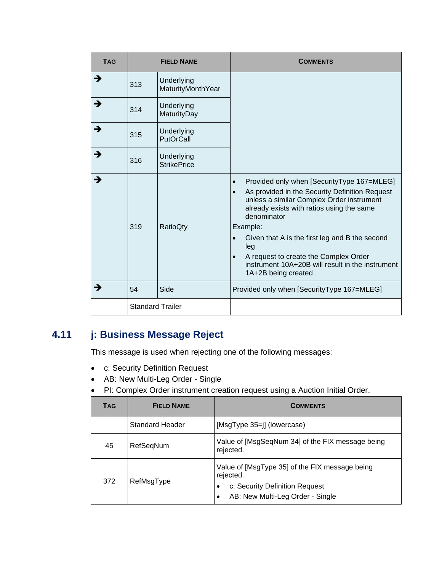| <b>TAG</b> |                         | <b>FIELD NAME</b>                | <b>COMMENTS</b>                                                                                                                                                                                                                                                                                                                                                                                                                       |
|------------|-------------------------|----------------------------------|---------------------------------------------------------------------------------------------------------------------------------------------------------------------------------------------------------------------------------------------------------------------------------------------------------------------------------------------------------------------------------------------------------------------------------------|
| →          | 313                     | Underlying<br>MaturityMonthYear  |                                                                                                                                                                                                                                                                                                                                                                                                                                       |
| →          | 314                     | Underlying<br>MaturityDay        |                                                                                                                                                                                                                                                                                                                                                                                                                                       |
| →          | 315                     | Underlying<br>PutOrCall          |                                                                                                                                                                                                                                                                                                                                                                                                                                       |
| →          | 316                     | Underlying<br><b>StrikePrice</b> |                                                                                                                                                                                                                                                                                                                                                                                                                                       |
| →          | 319                     | <b>RatioQty</b>                  | Provided only when [SecurityType 167=MLEG]<br>$\bullet$<br>As provided in the Security Definition Request<br>unless a similar Complex Order instrument<br>already exists with ratios using the same<br>denominator<br>Example:<br>Given that A is the first leg and B the second<br>$\bullet$<br>leg<br>A request to create the Complex Order<br>$\bullet$<br>instrument 10A+20B will result in the instrument<br>1A+2B being created |
|            | 54                      | Side                             | Provided only when [SecurityType 167=MLEG]                                                                                                                                                                                                                                                                                                                                                                                            |
|            | <b>Standard Trailer</b> |                                  |                                                                                                                                                                                                                                                                                                                                                                                                                                       |

### <span id="page-33-0"></span>**4.11 j: Business Message Reject**

This message is used when rejecting one of the following messages:

- c: Security Definition Request
- AB: New Multi-Leg Order Single
- PI: Complex Order instrument creation request using a Auction Initial Order.

| TAG | <b>FIELD NAME</b> | <b>COMMENTS</b>                                                                                                                             |
|-----|-------------------|---------------------------------------------------------------------------------------------------------------------------------------------|
|     | Standard Header   | [MsgType 35=j] (lowercase)                                                                                                                  |
| 45  | RefSeqNum         | Value of [MsgSeqNum 34] of the FIX message being<br>rejected.                                                                               |
| 372 | RefMsgType        | Value of [MsgType 35] of the FIX message being<br>rejected.<br>c: Security Definition Request<br>٠<br>AB: New Multi-Leg Order - Single<br>٠ |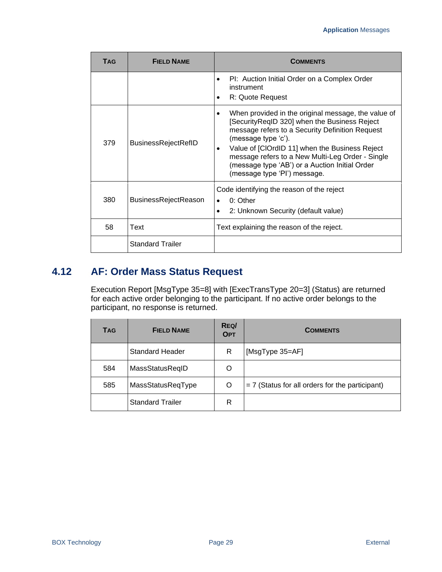| TAG | <b>FIELD NAME</b>           | <b>COMMENTS</b>                                                                                                                                                                                                                                                                                                                                                                         |  |
|-----|-----------------------------|-----------------------------------------------------------------------------------------------------------------------------------------------------------------------------------------------------------------------------------------------------------------------------------------------------------------------------------------------------------------------------------------|--|
|     |                             | PI: Auction Initial Order on a Complex Order<br>$\bullet$<br>instrument<br>R: Quote Request                                                                                                                                                                                                                                                                                             |  |
| 379 | <b>BusinessRejectRefID</b>  | When provided in the original message, the value of<br>$\bullet$<br>[SecurityReqID 320] when the Business Reject<br>message refers to a Security Definition Request<br>(message type 'c').<br>Value of [ClOrdID 11] when the Business Reject<br>٠<br>message refers to a New Multi-Leg Order - Single<br>(message type 'AB') or a Auction Initial Order<br>(message type 'PI') message. |  |
| 380 | <b>BusinessRejectReason</b> | Code identifying the reason of the reject<br>0: Other<br>$\bullet$<br>2: Unknown Security (default value)                                                                                                                                                                                                                                                                               |  |
| 58  | Text                        | Text explaining the reason of the reject.                                                                                                                                                                                                                                                                                                                                               |  |
|     | <b>Standard Trailer</b>     |                                                                                                                                                                                                                                                                                                                                                                                         |  |

### <span id="page-34-0"></span>**4.12 AF: Order Mass Status Request**

Execution Report [MsgType 35=8] with [ExecTransType 20=3] (Status) are returned for each active order belonging to the participant. If no active order belongs to the participant, no response is returned.

| TAG | <b>FIELD NAME</b>       | REQ/<br><b>OPT</b> | <b>COMMENTS</b>                                   |
|-----|-------------------------|--------------------|---------------------------------------------------|
|     | <b>Standard Header</b>  | R                  | [MsgType 35=AF]                                   |
| 584 | MassStatusReqID         | O                  |                                                   |
| 585 | MassStatusReqType       | O                  | $= 7$ (Status for all orders for the participant) |
|     | <b>Standard Trailer</b> | R                  |                                                   |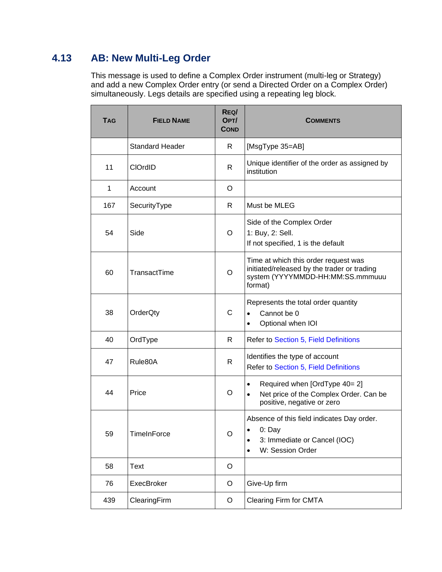### <span id="page-35-0"></span>**4.13 AB: New Multi-Leg Order**

This message is used to define a Complex Order instrument (multi-leg or Strategy) and add a new Complex Order entry (or send a Directed Order on a Complex Order) simultaneously. Legs details are specified using a repeating leg block.

| <b>TAG</b>   | <b>FIELD NAME</b>      | REQ/<br>OPT/<br><b>COND</b> | COMMENTS                                                                                                                             |
|--------------|------------------------|-----------------------------|--------------------------------------------------------------------------------------------------------------------------------------|
|              | <b>Standard Header</b> | R                           | [MsgType 35=AB]                                                                                                                      |
| 11           | <b>CIOrdID</b>         | R                           | Unique identifier of the order as assigned by<br>institution                                                                         |
| $\mathbf{1}$ | Account                | $\circ$                     |                                                                                                                                      |
| 167          | SecurityType           | R                           | Must be MLEG                                                                                                                         |
| 54           | Side                   | $\circ$                     | Side of the Complex Order<br>1: Buy, 2: Sell.<br>If not specified, 1 is the default                                                  |
| 60           | TransactTime           | $\circ$                     | Time at which this order request was<br>initiated/released by the trader or trading<br>system (YYYYMMDD-HH:MM:SS.mmmuuu<br>format)   |
| 38           | OrderQty               | C                           | Represents the total order quantity<br>Cannot be 0<br>$\bullet$<br>Optional when IOI<br>$\bullet$                                    |
| 40           | OrdType                | $\mathsf{R}$                | Refer to Section 5, Field Definitions                                                                                                |
| 47           | Rule80A                | $\mathsf{R}$                | Identifies the type of account<br>Refer to Section 5, Field Definitions                                                              |
| 44           | Price                  | O                           | Required when [OrdType 40= 2]<br>$\bullet$<br>Net price of the Complex Order. Can be<br>$\bullet$<br>positive, negative or zero      |
| 59           | <b>TimeInForce</b>     | O                           | Absence of this field indicates Day order.<br>$0:$ Day<br>3: Immediate or Cancel (IOC)<br>$\bullet$<br>W: Session Order<br>$\bullet$ |
| 58           | Text                   | O                           |                                                                                                                                      |
| 76           | ExecBroker             | O                           | Give-Up firm                                                                                                                         |
| 439          | ClearingFirm           | O                           | Clearing Firm for CMTA                                                                                                               |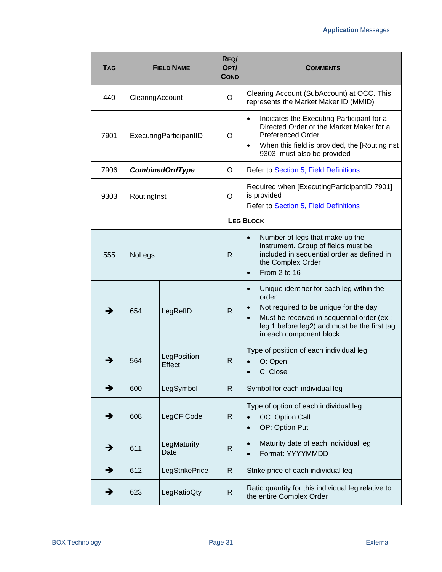| <b>TAG</b> | <b>FIELD NAME</b>      |                        | REQ/<br>OPT/<br><b>COND</b> | <b>COMMENTS</b>                                                                                                                                                                                                                   |
|------------|------------------------|------------------------|-----------------------------|-----------------------------------------------------------------------------------------------------------------------------------------------------------------------------------------------------------------------------------|
| 440        | ClearingAccount        |                        | O                           | Clearing Account (SubAccount) at OCC. This<br>represents the Market Maker ID (MMID)                                                                                                                                               |
| 7901       | ExecutingParticipantID |                        | O                           | Indicates the Executing Participant for a<br>$\bullet$<br>Directed Order or the Market Maker for a<br><b>Preferenced Order</b><br>When this field is provided, the [RoutingInst<br>9303] must also be provided                    |
| 7906       |                        | <b>CombinedOrdType</b> | O                           | Refer to Section 5, Field Definitions                                                                                                                                                                                             |
| 9303       |                        | RoutingInst            |                             | Required when [ExecutingParticipantID 7901]<br>is provided<br>Refer to Section 5, Field Definitions                                                                                                                               |
|            |                        |                        |                             | <b>LEG BLOCK</b>                                                                                                                                                                                                                  |
| 555        | NoLegs                 |                        | R                           | Number of legs that make up the<br>$\bullet$<br>instrument. Group of fields must be<br>included in sequential order as defined in<br>the Complex Order<br>From 2 to 16<br>$\bullet$                                               |
| →          | 654                    | LegRefID               | R.                          | Unique identifier for each leg within the<br>$\bullet$<br>order<br>Not required to be unique for the day<br>Must be received in sequential order (ex.:<br>leg 1 before leg2) and must be the first tag<br>in each component block |
| →          | 564                    | LegPosition<br>Effect  | $\mathsf{R}$                | Type of position of each individual leg<br>O: Open<br>C: Close<br>$\bullet$                                                                                                                                                       |
| →          | 600                    | LegSymbol              | $\mathsf{R}$                | Symbol for each individual leg                                                                                                                                                                                                    |
| →          | 608                    | LegCFICode             | $\mathsf{R}$                | Type of option of each individual leg<br>OC: Option Call<br>$\bullet$<br>OP: Option Put<br>$\bullet$                                                                                                                              |
| →          | 611                    | LegMaturity<br>Date    | $\mathsf{R}$                | Maturity date of each individual leg<br>$\bullet$<br>Format: YYYYMMDD<br>$\bullet$                                                                                                                                                |
| →          | 612                    | LegStrikePrice         | R                           | Strike price of each individual leg                                                                                                                                                                                               |
| →          | 623                    | LegRatioQty            | $\mathsf{R}$                | Ratio quantity for this individual leg relative to<br>the entire Complex Order                                                                                                                                                    |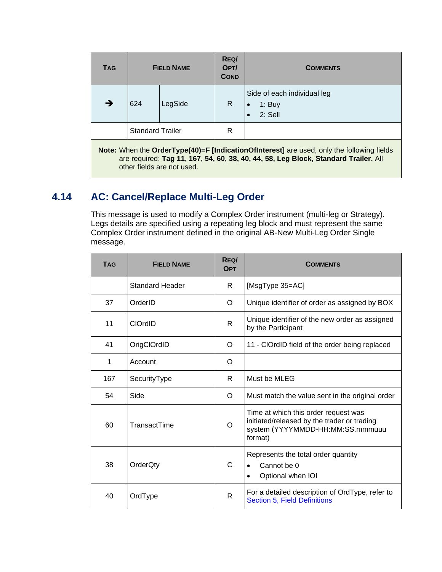| <b>TAG</b>                                                                                                                                                                       | <b>FIELD NAME</b>       |         | REQ/<br>OPT/<br><b>COND</b> | <b>COMMENTS</b>                                                 |  |
|----------------------------------------------------------------------------------------------------------------------------------------------------------------------------------|-------------------------|---------|-----------------------------|-----------------------------------------------------------------|--|
| →                                                                                                                                                                                | 624                     | LegSide | R                           | Side of each individual leg<br>1: Buy<br>$2:$ Sell<br>$\bullet$ |  |
|                                                                                                                                                                                  | <b>Standard Trailer</b> |         | R                           |                                                                 |  |
| Note: When the OrderType(40)=F [IndicationOfInterest] are used, only the following fields<br>are required: Tag 11, 167, 54, 60, 38, 40, 44, 58, Leg Block, Standard Trailer. All |                         |         |                             |                                                                 |  |

#### other fields are not used.

### <span id="page-37-0"></span>**4.14 AC: Cancel/Replace Multi-Leg Order**

This message is used to modify a Complex Order instrument (multi-leg or Strategy). Legs details are specified using a repeating leg block and must represent the same Complex Order instrument defined in the original AB-New Multi-Leg Order Single message.

| TAG | <b>FIELD NAME</b>      | REQ/<br><b>OPT</b> | <b>COMMENTS</b>                                                                                                                    |
|-----|------------------------|--------------------|------------------------------------------------------------------------------------------------------------------------------------|
|     | <b>Standard Header</b> | R.                 | [MsgType 35=AC]                                                                                                                    |
| 37  | OrderID                | O                  | Unique identifier of order as assigned by BOX                                                                                      |
| 11  | <b>CIOrdID</b>         | R                  | Unique identifier of the new order as assigned<br>by the Participant                                                               |
| 41  | OrigClOrdID            | O                  | 11 - ClOrdID field of the order being replaced                                                                                     |
| 1   | Account                | O                  |                                                                                                                                    |
| 167 | SecurityType           | R                  | Must be MLEG                                                                                                                       |
| 54  | Side                   | O                  | Must match the value sent in the original order                                                                                    |
| 60  | TransactTime           | $\Omega$           | Time at which this order request was<br>initiated/released by the trader or trading<br>system (YYYYMMDD-HH:MM:SS.mmmuuu<br>format) |
| 38  | OrderQty               | $\mathsf{C}$       | Represents the total order quantity<br>Cannot be 0<br>$\bullet$<br>Optional when IOI<br>$\bullet$                                  |
| 40  | OrdType                | R                  | For a detailed description of OrdType, refer to<br><b>Section 5, Field Definitions</b>                                             |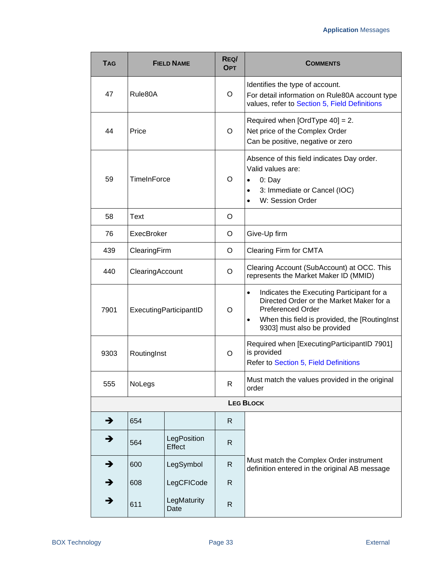| <b>TAG</b> |                        | <b>FIELD NAME</b>     | REQ/<br><b>OPT</b> | <b>COMMENTS</b>                                                                                                                                                                                                             |
|------------|------------------------|-----------------------|--------------------|-----------------------------------------------------------------------------------------------------------------------------------------------------------------------------------------------------------------------------|
| 47         | Rule80A                |                       | O                  | Identifies the type of account.<br>For detail information on Rule80A account type<br>values, refer to Section 5, Field Definitions                                                                                          |
| 44         | Price                  |                       | O                  | Required when [OrdType $40$ ] = 2.<br>Net price of the Complex Order<br>Can be positive, negative or zero                                                                                                                   |
| 59         | TimeInForce            |                       | O                  | Absence of this field indicates Day order.<br>Valid values are:<br>$0:$ Day<br>$\bullet$<br>3: Immediate or Cancel (IOC)<br>$\bullet$<br>W: Session Order<br>$\bullet$                                                      |
| 58         | Text                   |                       | O                  |                                                                                                                                                                                                                             |
| 76         | ExecBroker             |                       | O                  | Give-Up firm                                                                                                                                                                                                                |
| 439        | ClearingFirm           |                       | O                  | <b>Clearing Firm for CMTA</b>                                                                                                                                                                                               |
| 440        | ClearingAccount        |                       | O                  | Clearing Account (SubAccount) at OCC. This<br>represents the Market Maker ID (MMID)                                                                                                                                         |
| 7901       | ExecutingParticipantID |                       | O                  | Indicates the Executing Participant for a<br>$\bullet$<br>Directed Order or the Market Maker for a<br><b>Preferenced Order</b><br>When this field is provided, the [RoutingInst<br>$\bullet$<br>9303] must also be provided |
| 9303       | RoutingInst            |                       | O                  | Required when [ExecutingParticipantID 7901]<br>is provided<br>Refer to Section 5, Field Definitions                                                                                                                         |
| 555        | NoLegs                 |                       | R                  | Must match the values provided in the original<br>order                                                                                                                                                                     |
|            |                        |                       |                    | <b>LEG BLOCK</b>                                                                                                                                                                                                            |
| →          | 654                    |                       | $\mathsf{R}$       |                                                                                                                                                                                                                             |
| →          | 564                    | LegPosition<br>Effect | $\mathsf{R}$       |                                                                                                                                                                                                                             |
| →          | 600                    | LegSymbol             |                    | Must match the Complex Order instrument<br>definition entered in the original AB message                                                                                                                                    |
| →          | 608                    | LegCFICode            | R.                 |                                                                                                                                                                                                                             |
| →          | 611                    | LegMaturity<br>Date   | R.                 |                                                                                                                                                                                                                             |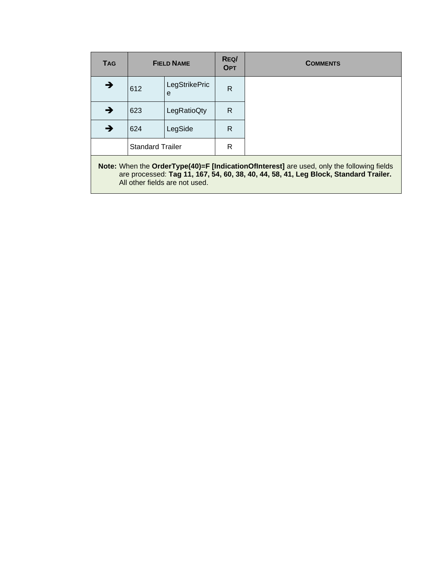| <b>TAG</b>                                                                                                                                                                                                                        | <b>FIELD NAME</b>       |                    | REQ/<br><b>OPT</b> | <b>COMMENTS</b> |
|-----------------------------------------------------------------------------------------------------------------------------------------------------------------------------------------------------------------------------------|-------------------------|--------------------|--------------------|-----------------|
| →                                                                                                                                                                                                                                 | 612                     | LegStrikePric<br>e | $\mathsf{R}$       |                 |
| →                                                                                                                                                                                                                                 | 623                     | LegRatioQty        | R                  |                 |
| →                                                                                                                                                                                                                                 | 624                     | LegSide            | R                  |                 |
|                                                                                                                                                                                                                                   | <b>Standard Trailer</b> |                    | R                  |                 |
| <b>Note:</b> When the <b>OrderType(40)=F [IndicationOfInterest]</b> are used, only the following fields<br>are processed: Tag 11, 167, 54, 60, 38, 40, 44, 58, 41, Leg Block, Standard Trailer.<br>All other fields are not used. |                         |                    |                    |                 |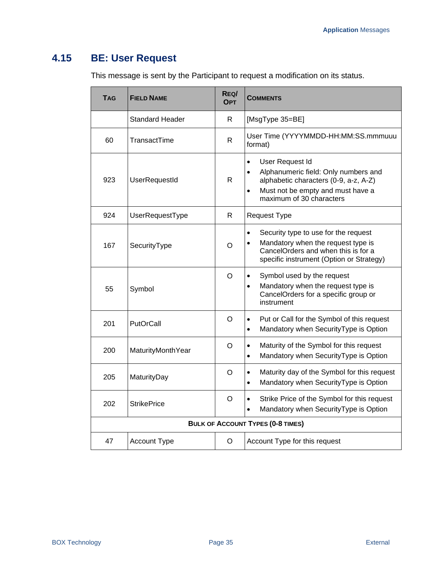### <span id="page-40-0"></span>**4.15 BE: User Request**

This message is sent by the Participant to request a modification on its status.

| <b>TAG</b> | <b>FIELD NAME</b>      | REQ/<br><b>OPT</b> | <b>COMMENTS</b>                                                                                                                                                                                          |
|------------|------------------------|--------------------|----------------------------------------------------------------------------------------------------------------------------------------------------------------------------------------------------------|
|            | <b>Standard Header</b> | R                  | [MsgType 35=BE]                                                                                                                                                                                          |
| 60         | TransactTime           | R.                 | User Time (YYYYMMDD-HH:MM:SS.mmmuuu<br>format)                                                                                                                                                           |
| 923        | <b>UserRequestId</b>   | $\mathsf{R}$       | User Request Id<br>$\bullet$<br>Alphanumeric field: Only numbers and<br>$\bullet$<br>alphabetic characters (0-9, a-z, A-Z)<br>Must not be empty and must have a<br>$\bullet$<br>maximum of 30 characters |
| 924        | UserRequestType        | R                  | <b>Request Type</b>                                                                                                                                                                                      |
| 167        | SecurityType           | $\Omega$           | Security type to use for the request<br>$\bullet$<br>Mandatory when the request type is<br>$\bullet$<br>CancelOrders and when this is for a<br>specific instrument (Option or Strategy)                  |
| 55         | Symbol                 | $\circ$            | Symbol used by the request<br>$\bullet$<br>Mandatory when the request type is<br>$\bullet$<br>CancelOrders for a specific group or<br>instrument                                                         |
| 201        | PutOrCall              | O                  | Put or Call for the Symbol of this request<br>$\bullet$<br>Mandatory when SecurityType is Option<br>$\bullet$                                                                                            |
| 200        | MaturityMonthYear      | O                  | Maturity of the Symbol for this request<br>$\bullet$<br>Mandatory when SecurityType is Option<br>$\bullet$                                                                                               |
| 205        | MaturityDay            | $\circ$            | Maturity day of the Symbol for this request<br>$\bullet$<br>Mandatory when SecurityType is Option<br>$\bullet$                                                                                           |
| 202        | <b>StrikePrice</b>     | $\circ$            | Strike Price of the Symbol for this request<br>$\bullet$<br>Mandatory when SecurityType is Option<br>$\bullet$                                                                                           |
|            |                        |                    | <b>BULK OF ACCOUNT TYPES (0-8 TIMES)</b>                                                                                                                                                                 |
| 47         | Account Type           | O                  | Account Type for this request                                                                                                                                                                            |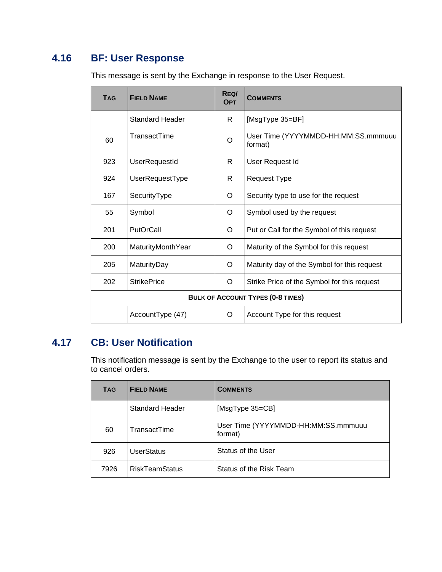### <span id="page-41-0"></span>**4.16 BF: User Response**

This message is sent by the Exchange in response to the User Request.

| <b>TAG</b> | <b>FIELD NAME</b>      | REQ/<br><b>OPT</b> | <b>COMMENTS</b>                                |
|------------|------------------------|--------------------|------------------------------------------------|
|            | <b>Standard Header</b> | R.                 | [MsgType 35=BF]                                |
| 60         | TransactTime           | O                  | User Time (YYYYMMDD-HH:MM:SS.mmmuuu<br>format) |
| 923        | UserRequestId          | R.                 | User Request Id                                |
| 924        | UserRequestType        | R.                 | <b>Request Type</b>                            |
| 167        | SecurityType           | O                  | Security type to use for the request           |
| 55         | Symbol                 | O                  | Symbol used by the request                     |
| 201        | PutOrCall              | O                  | Put or Call for the Symbol of this request     |
| 200        | MaturityMonthYear      | O                  | Maturity of the Symbol for this request        |
| 205        | MaturityDay            | O                  | Maturity day of the Symbol for this request    |
| 202        | <b>StrikePrice</b>     | O                  | Strike Price of the Symbol for this request    |
|            |                        |                    | <b>BULK OF ACCOUNT TYPES (0-8 TIMES)</b>       |
|            | AccountType (47)       | O                  | Account Type for this request                  |

### <span id="page-41-1"></span>**4.17 CB: User Notification**

This notification message is sent by the Exchange to the user to report its status and to cancel orders.

| <b>TAG</b> | <b>FIELD NAME</b>      | <b>COMMENTS</b>                                |
|------------|------------------------|------------------------------------------------|
|            | <b>Standard Header</b> | [MsgType 35=CB]                                |
| 60         | TransactTime           | User Time (YYYYMMDD-HH:MM:SS.mmmuuu<br>format) |
| 926        | <b>UserStatus</b>      | Status of the User                             |
| 7926       | <b>RiskTeamStatus</b>  | Status of the Risk Team                        |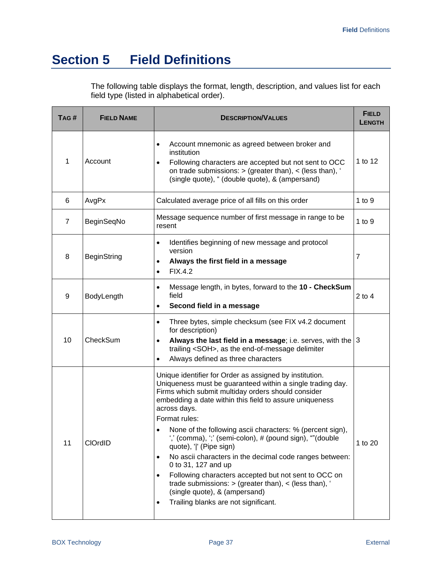## <span id="page-42-0"></span>**Section 5 Field Definitions**

The following table displays the format, length, description, and values list for each field type (listed in alphabetical order).

| TAG#           | <b>FIELD NAME</b>  | <b>DESCRIPTION/VALUES</b>                                                                                                                                                                                                                                                                                                                                                                                                                                                                                                                                                                                                                                                                                                            | <b>FIELD</b><br>LENGTH |
|----------------|--------------------|--------------------------------------------------------------------------------------------------------------------------------------------------------------------------------------------------------------------------------------------------------------------------------------------------------------------------------------------------------------------------------------------------------------------------------------------------------------------------------------------------------------------------------------------------------------------------------------------------------------------------------------------------------------------------------------------------------------------------------------|------------------------|
| 1              | Account            | Account mnemonic as agreed between broker and<br>$\bullet$<br>institution<br>Following characters are accepted but not sent to OCC<br>$\bullet$<br>on trade submissions: $>$ (greater than), $<$ (less than),<br>(single quote), " (double quote), & (ampersand)                                                                                                                                                                                                                                                                                                                                                                                                                                                                     | 1 to 12                |
| 6              | AvgPx              | Calculated average price of all fills on this order                                                                                                                                                                                                                                                                                                                                                                                                                                                                                                                                                                                                                                                                                  | 1 to $9$               |
| $\overline{7}$ | BeginSeqNo         | Message sequence number of first message in range to be<br>resent                                                                                                                                                                                                                                                                                                                                                                                                                                                                                                                                                                                                                                                                    | 1 to $9$               |
| 8              | <b>BeginString</b> | Identifies beginning of new message and protocol<br>$\bullet$<br>version<br>Always the first field in a message<br>$\bullet$<br><b>FIX.4.2</b><br>$\bullet$                                                                                                                                                                                                                                                                                                                                                                                                                                                                                                                                                                          | $\overline{7}$         |
| 9              | BodyLength         | Message length, in bytes, forward to the 10 - CheckSum<br>$\bullet$<br>field<br>Second field in a message<br>$\bullet$                                                                                                                                                                                                                                                                                                                                                                                                                                                                                                                                                                                                               | $2$ to $4$             |
| 10             | CheckSum           | Three bytes, simple checksum (see FIX v4.2 document<br>$\bullet$<br>for description)<br>Always the last field in a message; i.e. serves, with the   3<br>$\bullet$<br>trailing <soh>, as the end-of-message delimiter<br/>Always defined as three characters<br/><math display="inline">\bullet</math></soh>                                                                                                                                                                                                                                                                                                                                                                                                                         |                        |
| 11             | CIOrdID            | Unique identifier for Order as assigned by institution.<br>Uniqueness must be guaranteed within a single trading day.<br>Firms which submit multiday orders should consider<br>embedding a date within this field to assure uniqueness<br>across days.<br>Format rules:<br>None of the following ascii characters: % (percent sign),<br>',' (comma), ';' (semi-colon), # (pound sign), ""(double<br>quote), ' ' (Pipe sign)<br>No ascii characters in the decimal code ranges between:<br>$\bullet$<br>0 to 31, 127 and up<br>Following characters accepted but not sent to OCC on<br>٠<br>trade submissions: $>$ (greater than), $<$ (less than), $<$<br>(single quote), & (ampersand)<br>Trailing blanks are not significant.<br>٠ | 1 to 20                |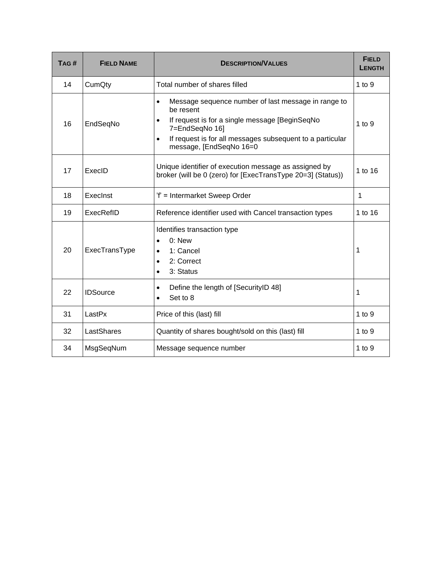| TAG# | <b>FIELD NAME</b> | <b>DESCRIPTION/VALUES</b>                                                                                                                                                                                                                                           | <b>FIELD</b><br><b>LENGTH</b> |
|------|-------------------|---------------------------------------------------------------------------------------------------------------------------------------------------------------------------------------------------------------------------------------------------------------------|-------------------------------|
| 14   | CumQty            | Total number of shares filled                                                                                                                                                                                                                                       | $1$ to $9$                    |
| 16   | EndSeqNo          | Message sequence number of last message in range to<br>$\bullet$<br>be resent<br>If request is for a single message [BeginSeqNo<br>$\bullet$<br>7=EndSeqNo 16]<br>If request is for all messages subsequent to a particular<br>$\bullet$<br>message, [EndSeqNo 16=0 | $1$ to $9$                    |
| 17   | ExecID            | Unique identifier of execution message as assigned by<br>broker (will be 0 (zero) for [ExecTransType 20=3] (Status))                                                                                                                                                | 1 to 16                       |
| 18   | ExecInst          | 'f' = Intermarket Sweep Order                                                                                                                                                                                                                                       | 1                             |
| 19   | ExecRefID         | Reference identifier used with Cancel transaction types                                                                                                                                                                                                             | 1 to 16                       |
| 20   | ExecTransType     | Identifies transaction type<br>$0:$ New<br>$\bullet$<br>1: Cancel<br>$\bullet$<br>2: Correct<br>$\bullet$<br>3: Status<br>$\bullet$                                                                                                                                 | 1                             |
| 22   | <b>IDSource</b>   | Define the length of [SecurityID 48]<br>$\bullet$<br>Set to 8<br>$\bullet$                                                                                                                                                                                          | 1                             |
| 31   | LastPx            | Price of this (last) fill                                                                                                                                                                                                                                           | $1$ to $9$                    |
| 32   | LastShares        | Quantity of shares bought/sold on this (last) fill                                                                                                                                                                                                                  | 1 to $9$                      |
| 34   | MsgSeqNum         | Message sequence number                                                                                                                                                                                                                                             | 1 to $9$                      |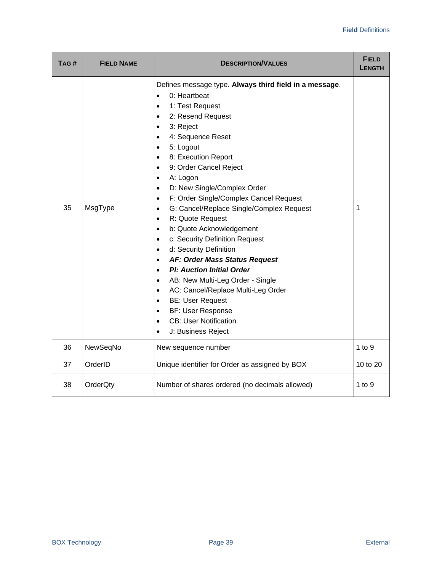| TAG # | <b>FIELD NAME</b> | <b>DESCRIPTION/VALUES</b>                                                                                                                                                                                                                                                                                                                                                                                                                                                                                                                                                                                                                                                                                                                                                                                                                                                                                                                                                                                                                       | <b>FIELD</b><br><b>LENGTH</b> |
|-------|-------------------|-------------------------------------------------------------------------------------------------------------------------------------------------------------------------------------------------------------------------------------------------------------------------------------------------------------------------------------------------------------------------------------------------------------------------------------------------------------------------------------------------------------------------------------------------------------------------------------------------------------------------------------------------------------------------------------------------------------------------------------------------------------------------------------------------------------------------------------------------------------------------------------------------------------------------------------------------------------------------------------------------------------------------------------------------|-------------------------------|
| 35    | MsgType           | Defines message type. Always third field in a message.<br>0: Heartbeat<br>$\bullet$<br>1: Test Request<br>$\bullet$<br>2: Resend Request<br>$\bullet$<br>3: Reject<br>$\bullet$<br>4: Sequence Reset<br>$\bullet$<br>5: Logout<br>$\bullet$<br>8: Execution Report<br>$\bullet$<br>9: Order Cancel Reject<br>$\bullet$<br>A: Logon<br>$\bullet$<br>D: New Single/Complex Order<br>$\bullet$<br>F: Order Single/Complex Cancel Request<br>$\bullet$<br>G: Cancel/Replace Single/Complex Request<br>$\bullet$<br>R: Quote Request<br>$\bullet$<br>b: Quote Acknowledgement<br>$\bullet$<br>c: Security Definition Request<br>$\bullet$<br>d: Security Definition<br>$\bullet$<br>AF: Order Mass Status Request<br>$\bullet$<br><b>PI: Auction Initial Order</b><br>$\bullet$<br>AB: New Multi-Leg Order - Single<br>$\bullet$<br>AC: Cancel/Replace Multi-Leg Order<br>$\bullet$<br><b>BE: User Request</b><br>$\bullet$<br><b>BF: User Response</b><br>$\bullet$<br><b>CB: User Notification</b><br>$\bullet$<br>J: Business Reject<br>$\bullet$ | 1                             |
| 36    | NewSeqNo          | New sequence number                                                                                                                                                                                                                                                                                                                                                                                                                                                                                                                                                                                                                                                                                                                                                                                                                                                                                                                                                                                                                             | $1$ to $9$                    |
| 37    | OrderID           | Unique identifier for Order as assigned by BOX                                                                                                                                                                                                                                                                                                                                                                                                                                                                                                                                                                                                                                                                                                                                                                                                                                                                                                                                                                                                  | 10 to 20                      |
| 38    | OrderQty          | Number of shares ordered (no decimals allowed)                                                                                                                                                                                                                                                                                                                                                                                                                                                                                                                                                                                                                                                                                                                                                                                                                                                                                                                                                                                                  | 1 to $9$                      |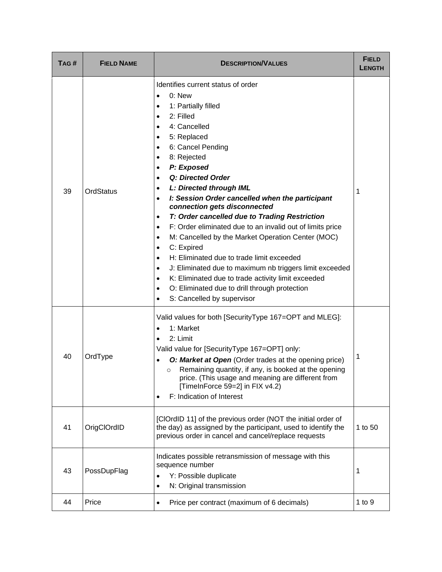| TAG# | <b>FIELD NAME</b> | <b>DESCRIPTION/VALUES</b>                                                                                                                                                                                                                                                                                                                                                                                                                                                                                                                                                                                                                                                                                                                                                                                                                                                                                                                                                                        | <b>FIELD</b><br><b>LENGTH</b> |
|------|-------------------|--------------------------------------------------------------------------------------------------------------------------------------------------------------------------------------------------------------------------------------------------------------------------------------------------------------------------------------------------------------------------------------------------------------------------------------------------------------------------------------------------------------------------------------------------------------------------------------------------------------------------------------------------------------------------------------------------------------------------------------------------------------------------------------------------------------------------------------------------------------------------------------------------------------------------------------------------------------------------------------------------|-------------------------------|
| 39   | OrdStatus         | Identifies current status of order<br>$0:$ New<br>$\bullet$<br>1: Partially filled<br>$\bullet$<br>2: Filled<br>$\bullet$<br>4: Cancelled<br>$\bullet$<br>5: Replaced<br>$\bullet$<br>6: Cancel Pending<br>$\bullet$<br>8: Rejected<br>$\bullet$<br>P: Exposed<br>٠<br>Q: Directed Order<br>$\bullet$<br>L: Directed through IML<br>$\bullet$<br>I: Session Order cancelled when the participant<br>$\bullet$<br>connection gets disconnected<br>T: Order cancelled due to Trading Restriction<br>$\bullet$<br>F: Order eliminated due to an invalid out of limits price<br>$\bullet$<br>M: Cancelled by the Market Operation Center (MOC)<br>$\bullet$<br>C: Expired<br>$\bullet$<br>H: Eliminated due to trade limit exceeded<br>$\bullet$<br>J: Eliminated due to maximum nb triggers limit exceeded<br>$\bullet$<br>K: Eliminated due to trade activity limit exceeded<br>$\bullet$<br>O: Eliminated due to drill through protection<br>$\bullet$<br>S: Cancelled by supervisor<br>$\bullet$ | 1                             |
| 40   | OrdType           | Valid values for both [Security Type 167=OPT and MLEG]:<br>1: Market<br>$\bullet$<br>2: Limit<br>$\bullet$<br>Valid value for [SecurityType 167=OPT] only:<br>O: Market at Open (Order trades at the opening price)<br>$\bullet$<br>Remaining quantity, if any, is booked at the opening<br>$\circ$<br>price. (This usage and meaning are different from<br>[TimeInForce 59=2] in FIX v4.2)<br>F: Indication of Interest<br>$\bullet$                                                                                                                                                                                                                                                                                                                                                                                                                                                                                                                                                            | 1                             |
| 41   | OrigClOrdID       | [ClOrdID 11] of the previous order (NOT the initial order of<br>the day) as assigned by the participant, used to identify the<br>previous order in cancel and cancel/replace requests                                                                                                                                                                                                                                                                                                                                                                                                                                                                                                                                                                                                                                                                                                                                                                                                            | 1 to 50                       |
| 43   | PossDupFlag       | Indicates possible retransmission of message with this<br>sequence number<br>Y: Possible duplicate<br>$\bullet$<br>N: Original transmission<br>$\bullet$                                                                                                                                                                                                                                                                                                                                                                                                                                                                                                                                                                                                                                                                                                                                                                                                                                         | 1                             |
| 44   | Price             | Price per contract (maximum of 6 decimals)<br>$\bullet$                                                                                                                                                                                                                                                                                                                                                                                                                                                                                                                                                                                                                                                                                                                                                                                                                                                                                                                                          | 1 to $9$                      |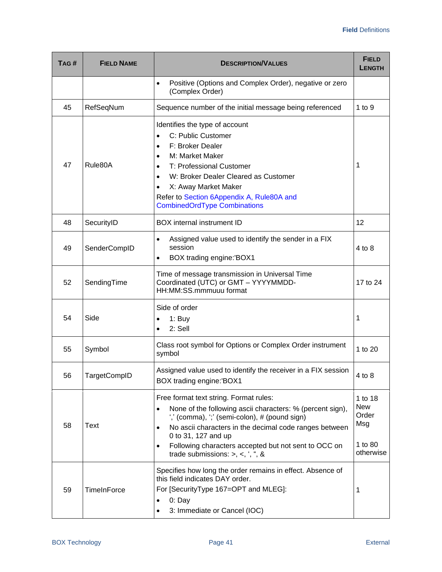| TAG# | <b>FIELD NAME</b>  | <b>DESCRIPTION/VALUES</b>                                                                                                                                                                                                                                                                                                                                                                      | <b>FIELD</b><br><b>LENGTH</b>                                 |
|------|--------------------|------------------------------------------------------------------------------------------------------------------------------------------------------------------------------------------------------------------------------------------------------------------------------------------------------------------------------------------------------------------------------------------------|---------------------------------------------------------------|
|      |                    | Positive (Options and Complex Order), negative or zero<br>$\bullet$<br>(Complex Order)                                                                                                                                                                                                                                                                                                         |                                                               |
| 45   | RefSeqNum          | Sequence number of the initial message being referenced                                                                                                                                                                                                                                                                                                                                        | 1 to $9$                                                      |
| 47   | Rule80A            | Identifies the type of account<br>C: Public Customer<br>$\bullet$<br>F: Broker Dealer<br>$\bullet$<br>M: Market Maker<br>$\bullet$<br>T: Professional Customer<br>$\bullet$<br>W: Broker Dealer Cleared as Customer<br>$\bullet$<br>X: Away Market Maker<br>$\bullet$<br>Refer to Section 6Appendix A, Rule80A and<br><b>CombinedOrdType Combinations</b>                                      | 1                                                             |
| 48   | SecurityID         | <b>BOX</b> internal instrument ID                                                                                                                                                                                                                                                                                                                                                              | 12                                                            |
| 49   | SenderCompID       | Assigned value used to identify the sender in a FIX<br>$\bullet$<br>session<br>BOX trading engine:'BOX1<br>$\bullet$                                                                                                                                                                                                                                                                           | 4 to 8                                                        |
| 52   | SendingTime        | Time of message transmission in Universal Time<br>Coordinated (UTC) or GMT - YYYYMMDD-<br>HH:MM:SS.mmmuuu format                                                                                                                                                                                                                                                                               | 17 to 24                                                      |
| 54   | Side               | Side of order<br>$1:$ Buy<br>2: Sell<br>$\bullet$                                                                                                                                                                                                                                                                                                                                              | 1                                                             |
| 55   | Symbol             | Class root symbol for Options or Complex Order instrument<br>symbol                                                                                                                                                                                                                                                                                                                            | 1 to 20                                                       |
| 56   | TargetCompID       | Assigned value used to identify the receiver in a FIX session<br>BOX trading engine:'BOX1                                                                                                                                                                                                                                                                                                      | 4 to 8                                                        |
| 58   | <b>Text</b>        | Free format text string. Format rules:<br>None of the following ascii characters: % (percent sign),<br>$\bullet$<br>",' (comma), ";' (semi-colon), $#$ (pound sign)<br>No ascii characters in the decimal code ranges between<br>$\bullet$<br>0 to 31, 127 and up<br>Following characters accepted but not sent to OCC on<br>$\bullet$<br>trade submissions: $>$ , $<$ , $\cdot$ , $\cdot$ , & | 1 to 18<br><b>New</b><br>Order<br>Msg<br>1 to 80<br>otherwise |
| 59   | <b>TimeInForce</b> | Specifies how long the order remains in effect. Absence of<br>this field indicates DAY order.<br>For [SecurityType 167=OPT and MLEG]:<br>$0:$ Day<br>$\bullet$<br>3: Immediate or Cancel (IOC)<br>$\bullet$                                                                                                                                                                                    | 1                                                             |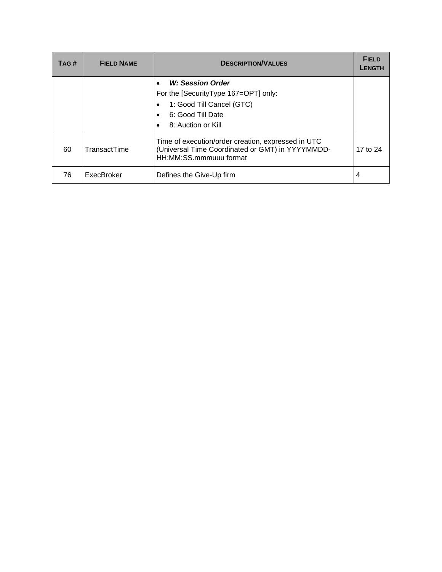| TAG# | <b>FIELD NAME</b> | <b>DESCRIPTION/VALUES</b>                                                                                                                                                    | <b>FIELD</b><br><b>LENGTH</b> |
|------|-------------------|------------------------------------------------------------------------------------------------------------------------------------------------------------------------------|-------------------------------|
|      |                   | W: Session Order<br>$\bullet$<br>For the [SecurityType 167=OPT] only:<br>1: Good Till Cancel (GTC)<br>٠<br>6: Good Till Date<br>$\bullet$<br>8: Auction or Kill<br>$\bullet$ |                               |
| 60   | TransactTime      | Time of execution/order creation, expressed in UTC<br>(Universal Time Coordinated or GMT) in YYYYMMDD-<br>HH:MM:SS.mmmuuu format                                             | 17 to 24                      |
| 76   | ExecBroker        | Defines the Give-Up firm                                                                                                                                                     | 4                             |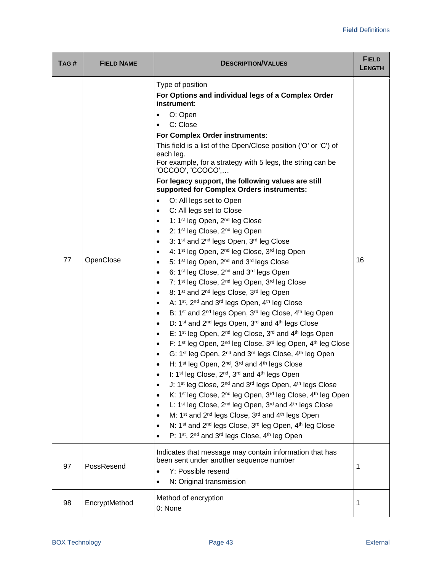| TAG# | <b>FIELD NAME</b> | <b>DESCRIPTION/VALUES</b>                                                                                                                                                                                                                                                                                                                                                                                                                                                                                                                                                                                                                                                                                                                                                                                                                                                                                                                                                                                                                                                                                                                                                                                                                                                                                                                                                                                                                                                                                                                                                                                                                                                                                                                                                                                                                                                                                                                                                                                                                                                                                                                                                                                                                                                                                                                                                                                                                                                                                                                                                                                                                                                       | <b>FIELD</b><br><b>LENGTH</b> |
|------|-------------------|---------------------------------------------------------------------------------------------------------------------------------------------------------------------------------------------------------------------------------------------------------------------------------------------------------------------------------------------------------------------------------------------------------------------------------------------------------------------------------------------------------------------------------------------------------------------------------------------------------------------------------------------------------------------------------------------------------------------------------------------------------------------------------------------------------------------------------------------------------------------------------------------------------------------------------------------------------------------------------------------------------------------------------------------------------------------------------------------------------------------------------------------------------------------------------------------------------------------------------------------------------------------------------------------------------------------------------------------------------------------------------------------------------------------------------------------------------------------------------------------------------------------------------------------------------------------------------------------------------------------------------------------------------------------------------------------------------------------------------------------------------------------------------------------------------------------------------------------------------------------------------------------------------------------------------------------------------------------------------------------------------------------------------------------------------------------------------------------------------------------------------------------------------------------------------------------------------------------------------------------------------------------------------------------------------------------------------------------------------------------------------------------------------------------------------------------------------------------------------------------------------------------------------------------------------------------------------------------------------------------------------------------------------------------------------|-------------------------------|
| 77   | OpenClose         | Type of position<br>For Options and individual legs of a Complex Order<br>instrument:<br>O: Open<br>C: Close<br>For Complex Order instruments:<br>This field is a list of the Open/Close position ('O' or 'C') of<br>each leg.<br>For example, for a strategy with 5 legs, the string can be<br>'OCCOO', 'CCOCO',<br>For legacy support, the following values are still<br>supported for Complex Orders instruments:<br>O: All legs set to Open<br>C: All legs set to Close<br>1: 1st leg Open, 2nd leg Close<br>$\bullet$<br>2: 1st leg Close, 2nd leg Open<br>3: 1 <sup>st</sup> and 2 <sup>nd</sup> legs Open, 3 <sup>rd</sup> leg Close<br>4: 1 <sup>st</sup> leg Open, 2 <sup>nd</sup> leg Close, 3 <sup>rd</sup> leg Open<br>$\bullet$<br>5: 1st leg Open, 2 <sup>nd</sup> and 3 <sup>rd</sup> legs Close<br>6: 1 <sup>st</sup> leg Close, 2 <sup>nd</sup> and 3 <sup>rd</sup> legs Open<br>$\bullet$<br>7: 1 <sup>st</sup> leg Close, 2 <sup>nd</sup> leg Open, 3 <sup>rd</sup> leg Close<br>$\bullet$<br>8: 1 <sup>st</sup> and 2 <sup>nd</sup> legs Close, 3 <sup>rd</sup> leg Open<br>A: 1 <sup>st</sup> , 2 <sup>nd</sup> and 3 <sup>rd</sup> legs Open, 4 <sup>th</sup> leg Close<br>$\bullet$<br>B: 1 <sup>st</sup> and 2 <sup>nd</sup> legs Open, 3 <sup>rd</sup> leg Close, 4 <sup>th</sup> leg Open<br>D: 1 <sup>st</sup> and 2 <sup>nd</sup> legs Open, 3 <sup>rd</sup> and 4 <sup>th</sup> legs Close<br>٠<br>E: 1 <sup>st</sup> leg Open, 2 <sup>nd</sup> leg Close, 3 <sup>rd</sup> and 4 <sup>th</sup> legs Open<br>$\bullet$<br>F: 1st leg Open, 2 <sup>nd</sup> leg Close, 3 <sup>rd</sup> leg Open, 4 <sup>th</sup> leg Close<br>$\bullet$<br>G: 1 <sup>st</sup> leg Open, 2 <sup>nd</sup> and 3 <sup>rd</sup> legs Close, 4 <sup>th</sup> leg Open<br>٠<br>H: 1 <sup>st</sup> leg Open, 2 <sup>nd</sup> , 3 <sup>rd</sup> and 4 <sup>th</sup> legs Close<br>I: 1 <sup>st</sup> leg Close, 2 <sup>nd</sup> , 3 <sup>rd</sup> and 4 <sup>th</sup> legs Open<br>$\bullet$<br>J: 1 <sup>st</sup> leg Close, 2 <sup>nd</sup> and 3 <sup>rd</sup> legs Open, 4 <sup>th</sup> legs Close<br>$\bullet$<br>K: 1 <sup>st</sup> leg Close, 2 <sup>nd</sup> leg Open, 3 <sup>rd</sup> leg Close, 4 <sup>th</sup> leg Open<br>$\bullet$<br>L: 1 <sup>st</sup> leg Close, 2 <sup>nd</sup> leg Open, 3 <sup>rd</sup> and 4 <sup>th</sup> legs Close<br>$\bullet$<br>M: 1 <sup>st</sup> and 2 <sup>nd</sup> legs Close, 3 <sup>rd</sup> and 4 <sup>th</sup> legs Open<br>$\bullet$<br>N: 1 <sup>st</sup> and 2 <sup>nd</sup> legs Close, 3 <sup>rd</sup> leg Open, 4 <sup>th</sup> leg Close<br>$\bullet$<br>P: 1st, 2nd and 3rd legs Close, 4th leg Open<br>$\bullet$ | 16                            |
| 97   | PossResend        | Indicates that message may contain information that has<br>been sent under another sequence number<br>Y: Possible resend<br>$\bullet$<br>N: Original transmission<br>$\bullet$                                                                                                                                                                                                                                                                                                                                                                                                                                                                                                                                                                                                                                                                                                                                                                                                                                                                                                                                                                                                                                                                                                                                                                                                                                                                                                                                                                                                                                                                                                                                                                                                                                                                                                                                                                                                                                                                                                                                                                                                                                                                                                                                                                                                                                                                                                                                                                                                                                                                                                  | 1                             |
| 98   | EncryptMethod     | Method of encryption<br>0: None                                                                                                                                                                                                                                                                                                                                                                                                                                                                                                                                                                                                                                                                                                                                                                                                                                                                                                                                                                                                                                                                                                                                                                                                                                                                                                                                                                                                                                                                                                                                                                                                                                                                                                                                                                                                                                                                                                                                                                                                                                                                                                                                                                                                                                                                                                                                                                                                                                                                                                                                                                                                                                                 | 1                             |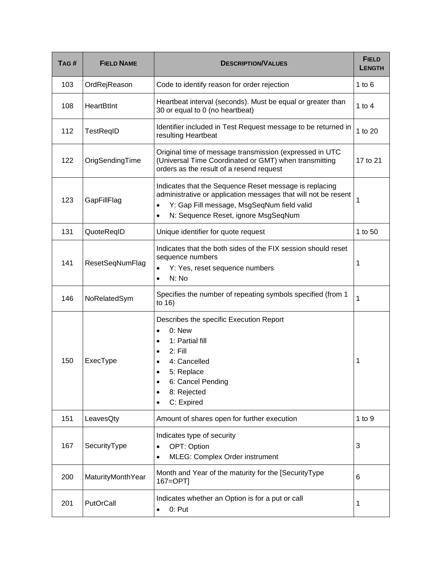| TAG# | <b>FIELD NAME</b> | <b>DESCRIPTION/VALUES</b>                                                                                                                                                                                                               | <b>FIELD</b><br><b>LENGTH</b> |
|------|-------------------|-----------------------------------------------------------------------------------------------------------------------------------------------------------------------------------------------------------------------------------------|-------------------------------|
| 103  | OrdRejReason      | Code to identify reason for order rejection                                                                                                                                                                                             | 1 to $6$                      |
| 108  | <b>HeartBtInt</b> | Heartbeat interval (seconds). Must be equal or greater than<br>30 or equal to 0 (no heartbeat)                                                                                                                                          | 1 to $4$                      |
| 112  | TestReqID         | Identifier included in Test Request message to be returned in<br>resulting Heartbeat                                                                                                                                                    | 1 to 20                       |
| 122  | OrigSendingTime   | Original time of message transmission (expressed in UTC<br>(Universal Time Coordinated or GMT) when transmitting<br>orders as the result of a resend request                                                                            | 17 to 21                      |
| 123  | GapFillFlag       | Indicates that the Sequence Reset message is replacing<br>administrative or application messages that will not be resent<br>Y: Gap Fill message, MsgSeqNum field valid<br>$\bullet$<br>N: Sequence Reset, ignore MsgSeqNum<br>$\bullet$ | 1                             |
| 131  | QuoteReqID        | Unique identifier for quote request                                                                                                                                                                                                     | 1 to 50                       |
| 141  | ResetSeqNumFlag   | Indicates that the both sides of the FIX session should reset<br>sequence numbers<br>Y: Yes, reset sequence numbers<br>$\bullet$<br>N: No<br>$\bullet$                                                                                  | 1                             |
| 146  | NoRelatedSym      | Specifies the number of repeating symbols specified (from 1<br>to 16)                                                                                                                                                                   | 1                             |
| 150  | ExecType          | Describes the specific Execution Report<br>0: New<br>$\bullet$<br>1: Partial fill<br>$\bullet$<br>$2:$ Fill<br>4: Cancelled<br>5: Replace<br>$\bullet$<br>6: Cancel Pending<br>$\bullet$<br>8: Rejected<br>C: Expired                   | 1                             |
| 151  | LeavesQty         | Amount of shares open for further execution                                                                                                                                                                                             | $1$ to $9$                    |
| 167  | SecurityType      | Indicates type of security<br>OPT: Option<br>MLEG: Complex Order instrument<br>$\bullet$                                                                                                                                                | 3                             |
| 200  | MaturityMonthYear | Month and Year of the maturity for the [SecurityType<br>167=OPT]                                                                                                                                                                        | 6                             |
| 201  | PutOrCall         | Indicates whether an Option is for a put or call<br>0: Put<br>$\bullet$                                                                                                                                                                 | 1                             |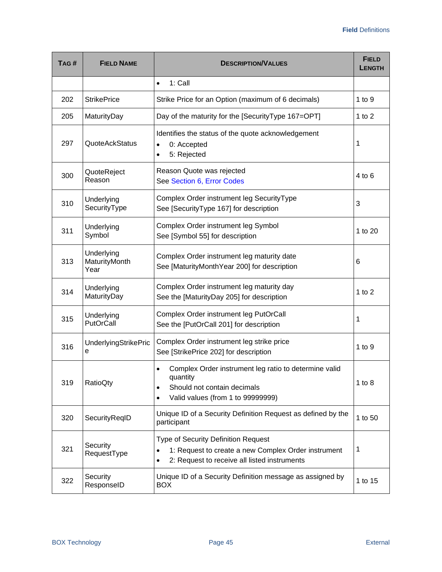| TAG# | <b>FIELD NAME</b>                   | <b>DESCRIPTION/VALUES</b>                                                                                                                                                    | <b>FIELD</b><br><b>LENGTH</b> |
|------|-------------------------------------|------------------------------------------------------------------------------------------------------------------------------------------------------------------------------|-------------------------------|
|      |                                     | 1: Call<br>$\bullet$                                                                                                                                                         |                               |
| 202  | <b>StrikePrice</b>                  | Strike Price for an Option (maximum of 6 decimals)                                                                                                                           | 1 to $9$                      |
| 205  | MaturityDay                         | Day of the maturity for the [SecurityType 167=OPT]                                                                                                                           | 1 to $2$                      |
| 297  | QuoteAckStatus                      | Identifies the status of the quote acknowledgement<br>0: Accepted<br>$\bullet$<br>5: Rejected<br>$\bullet$                                                                   | 1                             |
| 300  | QuoteReject<br>Reason               | Reason Quote was rejected<br>See Section 6, Error Codes                                                                                                                      | 4 to 6                        |
| 310  | Underlying<br>SecurityType          | Complex Order instrument leg Security Type<br>See [SecurityType 167] for description                                                                                         | 3                             |
| 311  | Underlying<br>Symbol                | Complex Order instrument leg Symbol<br>See [Symbol 55] for description                                                                                                       | 1 to 20                       |
| 313  | Underlying<br>MaturityMonth<br>Year | Complex Order instrument leg maturity date<br>See [MaturityMonthYear 200] for description                                                                                    | 6                             |
| 314  | Underlying<br>MaturityDay           | Complex Order instrument leg maturity day<br>See the [MaturityDay 205] for description                                                                                       | 1 to $2$                      |
| 315  | Underlying<br>PutOrCall             | Complex Order instrument leg PutOrCall<br>See the [PutOrCall 201] for description                                                                                            | 1                             |
| 316  | <b>UnderlyingStrikePric</b><br>е    | Complex Order instrument leg strike price<br>See [StrikePrice 202] for description                                                                                           | 1 to $9$                      |
| 319  | RatioQty                            | Complex Order instrument leg ratio to determine valid<br>$\bullet$<br>quantity<br>Should not contain decimals<br>$\bullet$<br>Valid values (from 1 to 99999999)<br>$\bullet$ | 1 to $8$                      |
| 320  | SecurityReqID                       | Unique ID of a Security Definition Request as defined by the<br>participant                                                                                                  | 1 to 50                       |
| 321  | Security<br>RequestType             | Type of Security Definition Request<br>1: Request to create a new Complex Order instrument<br>$\bullet$<br>2: Request to receive all listed instruments                      | 1                             |
| 322  | Security<br>ResponseID              | Unique ID of a Security Definition message as assigned by<br><b>BOX</b>                                                                                                      | 1 to 15                       |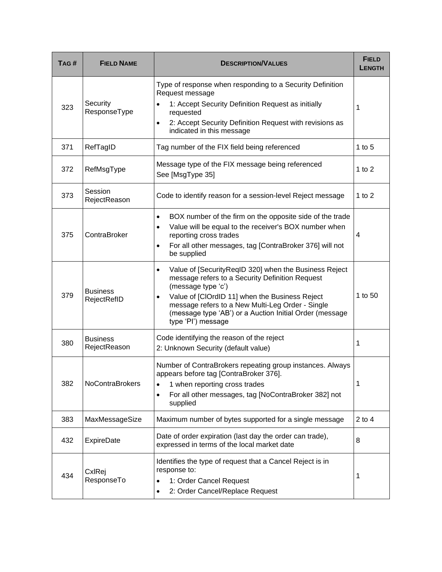| TAG# | <b>FIELD NAME</b>               | <b>DESCRIPTION/VALUES</b>                                                                                                                                                                                                                                                                                                                       | <b>FIELD</b><br><b>LENGTH</b> |
|------|---------------------------------|-------------------------------------------------------------------------------------------------------------------------------------------------------------------------------------------------------------------------------------------------------------------------------------------------------------------------------------------------|-------------------------------|
| 323  | Security<br>ResponseType        | Type of response when responding to a Security Definition<br>Request message<br>1: Accept Security Definition Request as initially<br>requested<br>2: Accept Security Definition Request with revisions as<br>$\bullet$<br>indicated in this message                                                                                            | 1                             |
| 371  | RefTagID                        | Tag number of the FIX field being referenced                                                                                                                                                                                                                                                                                                    | $1$ to $5$                    |
| 372  | RefMsgType                      | Message type of the FIX message being referenced<br>See [MsgType 35]                                                                                                                                                                                                                                                                            | 1 to $2$                      |
| 373  | Session<br>RejectReason         | Code to identify reason for a session-level Reject message                                                                                                                                                                                                                                                                                      | $1$ to $2$                    |
| 375  | ContraBroker                    | BOX number of the firm on the opposite side of the trade<br>$\bullet$<br>Value will be equal to the receiver's BOX number when<br>$\bullet$<br>reporting cross trades<br>For all other messages, tag [ContraBroker 376] will not<br>$\bullet$<br>be supplied                                                                                    | 4                             |
| 379  | <b>Business</b><br>RejectRefID  | Value of [SecurityReqID 320] when the Business Reject<br>$\bullet$<br>message refers to a Security Definition Request<br>(message type 'c')<br>Value of [ClOrdID 11] when the Business Reject<br>$\bullet$<br>message refers to a New Multi-Leg Order - Single<br>(message type 'AB') or a Auction Initial Order (message<br>type 'Pl') message | 1 to 50                       |
| 380  | <b>Business</b><br>RejectReason | Code identifying the reason of the reject<br>2: Unknown Security (default value)                                                                                                                                                                                                                                                                | 1                             |
| 382  | <b>NoContraBrokers</b>          | Number of ContraBrokers repeating group instances. Always<br>appears before tag [ContraBroker 376].<br>1 when reporting cross trades<br>$\bullet$<br>For all other messages, tag [NoContraBroker 382] not<br>$\bullet$<br>supplied                                                                                                              | 1                             |
| 383  | MaxMessageSize                  | Maximum number of bytes supported for a single message                                                                                                                                                                                                                                                                                          | $2$ to 4                      |
| 432  | <b>ExpireDate</b>               | Date of order expiration (last day the order can trade),<br>expressed in terms of the local market date                                                                                                                                                                                                                                         | 8                             |
| 434  | CxIRej<br>ResponseTo            | Identifies the type of request that a Cancel Reject is in<br>response to:<br>1: Order Cancel Request<br>$\bullet$<br>2: Order Cancel/Replace Request<br>$\bullet$                                                                                                                                                                               | 1                             |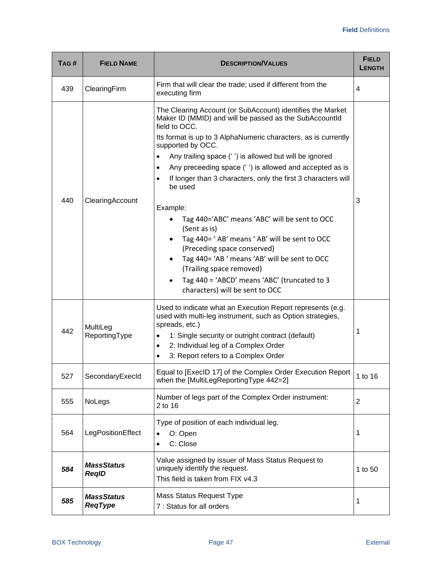| TAG# | <b>FIELD NAME</b>                 | <b>DESCRIPTION/VALUES</b>                                                                                                                                                                                                                                                                                                                                                                                                                                                                                                                                                                                                                                                                                                                                                                                     | <b>FIELD</b><br><b>LENGTH</b> |
|------|-----------------------------------|---------------------------------------------------------------------------------------------------------------------------------------------------------------------------------------------------------------------------------------------------------------------------------------------------------------------------------------------------------------------------------------------------------------------------------------------------------------------------------------------------------------------------------------------------------------------------------------------------------------------------------------------------------------------------------------------------------------------------------------------------------------------------------------------------------------|-------------------------------|
| 439  | ClearingFirm                      | Firm that will clear the trade; used if different from the<br>executing firm                                                                                                                                                                                                                                                                                                                                                                                                                                                                                                                                                                                                                                                                                                                                  | 4                             |
| 440  | ClearingAccount                   | The Clearing Account (or SubAccount) identifies the Market<br>Maker ID (MMID) and will be passed as the SubAccountId<br>field to OCC.<br>Its format is up to 3 AlphaNumeric characters, as is currently<br>supported by OCC.<br>Any trailing space ('') is allowed but will be ignored<br>$\bullet$<br>Any preceeding space ('') is allowed and accepted as is<br>$\bullet$<br>If longer than 3 characters, only the first 3 characters will<br>be used<br>Example:<br>Tag 440='ABC' means 'ABC' will be sent to OCC<br>(Sent as is)<br>Tag 440= 'AB' means 'AB' will be sent to OCC<br>(Preceding space conserved)<br>Tag 440= 'AB ' means 'AB' will be sent to OCC<br>$\bullet$<br>(Trailing space removed)<br>Tag 440 = 'ABCD' means 'ABC' (truncated to 3<br>$\bullet$<br>characters) will be sent to OCC | 3                             |
| 442  | MultiLeg<br>ReportingType         | Used to indicate what an Execution Report represents (e.g.<br>used with multi-leg instrument, such as Option strategies,<br>spreads, etc.)<br>1: Single security or outright contract (default)<br>2: Individual leg of a Complex Order<br>$\bullet$<br>3: Report refers to a Complex Order<br>$\bullet$                                                                                                                                                                                                                                                                                                                                                                                                                                                                                                      | 1                             |
| 527  | SecondaryExecId                   | Equal to [ExecID 17] of the Complex Order Execution Report<br>when the [MultiLegReportingType 442=2]                                                                                                                                                                                                                                                                                                                                                                                                                                                                                                                                                                                                                                                                                                          | 1 to 16                       |
| 555  | NoLegs                            | Number of legs part of the Complex Order instrument:<br>2 to 16                                                                                                                                                                                                                                                                                                                                                                                                                                                                                                                                                                                                                                                                                                                                               | $\overline{2}$                |
| 564  | LegPositionEffect                 | Type of position of each individual leg.<br>O: Open<br>$\bullet$<br>C: Close                                                                                                                                                                                                                                                                                                                                                                                                                                                                                                                                                                                                                                                                                                                                  | 1                             |
| 584  | <b>MassStatus</b><br><b>RegID</b> | Value assigned by issuer of Mass Status Request to<br>uniquely identify the request.<br>This field is taken from FIX v4.3                                                                                                                                                                                                                                                                                                                                                                                                                                                                                                                                                                                                                                                                                     | 1 to 50                       |
| 585  | <b>MassStatus</b><br>ReqType      | Mass Status Request Type<br>7 : Status for all orders                                                                                                                                                                                                                                                                                                                                                                                                                                                                                                                                                                                                                                                                                                                                                         | 1                             |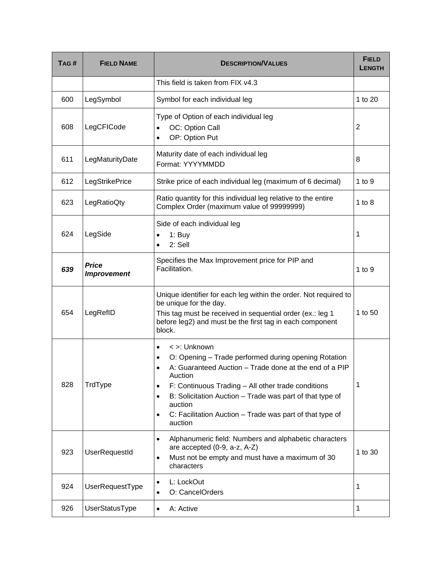| TAG# | <b>FIELD NAME</b>                  | <b>DESCRIPTION/VALUES</b>                                                                                                                                                                                                                                                                                                                                                                                                  | <b>FIELD</b><br><b>LENGTH</b> |
|------|------------------------------------|----------------------------------------------------------------------------------------------------------------------------------------------------------------------------------------------------------------------------------------------------------------------------------------------------------------------------------------------------------------------------------------------------------------------------|-------------------------------|
|      |                                    | This field is taken from FIX v4.3                                                                                                                                                                                                                                                                                                                                                                                          |                               |
| 600  | LegSymbol                          | Symbol for each individual leg                                                                                                                                                                                                                                                                                                                                                                                             | 1 to 20                       |
| 608  | LegCFICode                         | Type of Option of each individual leg<br>OC: Option Call<br>$\bullet$<br>OP: Option Put<br>$\bullet$                                                                                                                                                                                                                                                                                                                       | 2                             |
| 611  | LegMaturityDate                    | Maturity date of each individual leg<br>Format: YYYYMMDD                                                                                                                                                                                                                                                                                                                                                                   | 8                             |
| 612  | LegStrikePrice                     | Strike price of each individual leg (maximum of 6 decimal)                                                                                                                                                                                                                                                                                                                                                                 | 1 to $9$                      |
| 623  | LegRatioQty                        | Ratio quantity for this individual leg relative to the entire<br>Complex Order (maximum value of 99999999)                                                                                                                                                                                                                                                                                                                 | 1 to $8$                      |
| 624  | LegSide                            | Side of each individual leg<br>$1:$ Buy<br>2: Sell<br>$\bullet$                                                                                                                                                                                                                                                                                                                                                            | 1                             |
| 639  | <b>Price</b><br><b>Improvement</b> | Specifies the Max Improvement price for PIP and<br>Facilitation.                                                                                                                                                                                                                                                                                                                                                           | 1 to $9$                      |
| 654  | LegRefID                           | Unique identifier for each leg within the order. Not required to<br>be unique for the day.<br>This tag must be received in sequential order (ex.: leg 1<br>before leg2) and must be the first tag in each component<br>block.                                                                                                                                                                                              | 1 to 50                       |
| 828  | TrdType                            | <>: Unknown<br>$\bullet$<br>O: Opening - Trade performed during opening Rotation<br>$\bullet$<br>A: Guaranteed Auction - Trade done at the end of a PIP<br>$\bullet$<br>Auction<br>F: Continuous Trading - All other trade conditions<br>$\bullet$<br>B: Solicitation Auction - Trade was part of that type of<br>$\bullet$<br>auction<br>C: Facilitation Auction - Trade was part of that type of<br>$\bullet$<br>auction | 1                             |
| 923  | <b>UserRequestId</b>               | Alphanumeric field: Numbers and alphabetic characters<br>$\bullet$<br>are accepted (0-9, a-z, A-Z)<br>Must not be empty and must have a maximum of 30<br>$\bullet$<br>characters                                                                                                                                                                                                                                           | 1 to 30                       |
| 924  | UserRequestType                    | L: LockOut<br>$\bullet$<br>O: CancelOrders<br>$\bullet$                                                                                                                                                                                                                                                                                                                                                                    | 1                             |
| 926  | UserStatusType                     | A: Active<br>$\bullet$                                                                                                                                                                                                                                                                                                                                                                                                     | 1                             |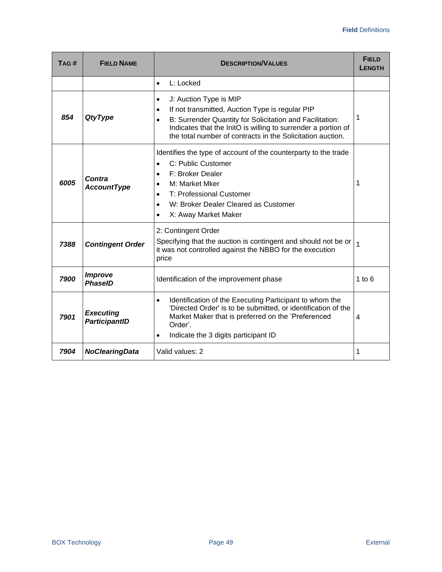| TAG# | <b>FIELD NAME</b>                        | <b>DESCRIPTION/VALUES</b>                                                                                                                                                                                                                                                                                   | <b>FIELD</b><br><b>LENGTH</b> |
|------|------------------------------------------|-------------------------------------------------------------------------------------------------------------------------------------------------------------------------------------------------------------------------------------------------------------------------------------------------------------|-------------------------------|
|      |                                          | L: Locked<br>$\bullet$                                                                                                                                                                                                                                                                                      |                               |
| 854  | <b>QtyType</b>                           | J: Auction Type is MIP<br>$\bullet$<br>If not transmitted, Auction Type is regular PIP<br>$\bullet$<br>B: Surrender Quantity for Solicitation and Facilitation:<br>$\bullet$<br>Indicates that the InitO is willing to surrender a portion of<br>the total number of contracts in the Solicitation auction. | 1                             |
| 6005 | Contra<br><b>AccountType</b>             | Identifies the type of account of the counterparty to the trade<br>C: Public Customer<br>$\bullet$<br>F: Broker Dealer<br>$\bullet$<br>M: Market Mker<br>$\bullet$<br>T: Professional Customer<br>$\bullet$<br>W: Broker Dealer Cleared as Customer<br>$\bullet$<br>X: Away Market Maker<br>$\bullet$       | 1                             |
| 7388 | <b>Contingent Order</b>                  | 2: Contingent Order<br>Specifying that the auction is contingent and should not be or<br>it was not controlled against the NBBO for the execution<br>price                                                                                                                                                  | $\overline{1}$                |
| 7900 | <b>Improve</b><br><b>PhaseID</b>         | Identification of the improvement phase                                                                                                                                                                                                                                                                     | 1 to $6$                      |
| 7901 | <b>Executing</b><br><b>ParticipantID</b> | Identification of the Executing Participant to whom the<br>$\bullet$<br>'Directed Order' is to be submitted, or identification of the<br>Market Maker that is preferred on the 'Preferenced<br>Order'.<br>Indicate the 3 digits participant ID<br>$\bullet$                                                 | $\overline{4}$                |
| 7904 | <b>NoClearingData</b>                    | Valid values: 2                                                                                                                                                                                                                                                                                             | 1                             |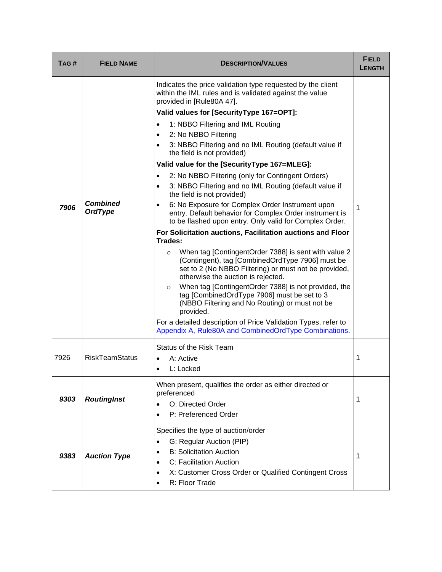| TAG# | <b>FIELD NAME</b>                 | <b>DESCRIPTION/VALUES</b>                                                                                                                                                                                                                                                                                                                                                                                                                                                                                                                                                                                                                                                                                                                                                                                                                                                                                                                                                                                                                                                                                                                                                                                                                                                                                                                                                                                            | <b>FIELD</b><br><b>LENGTH</b> |
|------|-----------------------------------|----------------------------------------------------------------------------------------------------------------------------------------------------------------------------------------------------------------------------------------------------------------------------------------------------------------------------------------------------------------------------------------------------------------------------------------------------------------------------------------------------------------------------------------------------------------------------------------------------------------------------------------------------------------------------------------------------------------------------------------------------------------------------------------------------------------------------------------------------------------------------------------------------------------------------------------------------------------------------------------------------------------------------------------------------------------------------------------------------------------------------------------------------------------------------------------------------------------------------------------------------------------------------------------------------------------------------------------------------------------------------------------------------------------------|-------------------------------|
| 7906 | <b>Combined</b><br><b>OrdType</b> | Indicates the price validation type requested by the client<br>within the IML rules and is validated against the value<br>provided in [Rule80A 47].<br>Valid values for [SecurityType 167=OPT]:<br>1: NBBO Filtering and IML Routing<br>$\bullet$<br>2: No NBBO Filtering<br>$\bullet$<br>3: NBBO Filtering and no IML Routing (default value if<br>$\bullet$<br>the field is not provided)<br>Valid value for the [SecurityType 167=MLEG]:<br>2: No NBBO Filtering (only for Contingent Orders)<br>$\bullet$<br>3: NBBO Filtering and no IML Routing (default value if<br>$\bullet$<br>the field is not provided)<br>6: No Exposure for Complex Order Instrument upon<br>$\bullet$<br>entry. Default behavior for Complex Order instrument is<br>to be flashed upon entry. Only valid for Complex Order.<br>For Solicitation auctions, Facilitation auctions and Floor<br>Trades:<br>When tag [ContingentOrder 7388] is sent with value 2<br>$\circ$<br>(Contingent), tag [CombinedOrdType 7906] must be<br>set to 2 (No NBBO Filtering) or must not be provided,<br>otherwise the auction is rejected.<br>When tag [ContingentOrder 7388] is not provided, the<br>$\circ$<br>tag [CombinedOrdType 7906] must be set to 3<br>(NBBO Filtering and No Routing) or must not be<br>provided.<br>For a detailed description of Price Validation Types, refer to<br>Appendix A, Rule80A and CombinedOrdType Combinations. | 1                             |
| 7926 | <b>RiskTeamStatus</b>             | Status of the Risk Team<br>A: Active<br>$\bullet$<br>L: Locked<br>$\bullet$                                                                                                                                                                                                                                                                                                                                                                                                                                                                                                                                                                                                                                                                                                                                                                                                                                                                                                                                                                                                                                                                                                                                                                                                                                                                                                                                          | 1                             |
| 9303 | <b>RoutingInst</b>                | When present, qualifies the order as either directed or<br>preferenced<br>O: Directed Order<br>P: Preferenced Order<br>$\bullet$                                                                                                                                                                                                                                                                                                                                                                                                                                                                                                                                                                                                                                                                                                                                                                                                                                                                                                                                                                                                                                                                                                                                                                                                                                                                                     | 1                             |
| 9383 | <b>Auction Type</b>               | Specifies the type of auction/order<br>G: Regular Auction (PIP)<br>$\bullet$<br><b>B: Solicitation Auction</b><br>$\bullet$<br>C: Facilitation Auction<br>$\bullet$<br>X: Customer Cross Order or Qualified Contingent Cross<br>$\bullet$<br>R: Floor Trade<br>$\bullet$                                                                                                                                                                                                                                                                                                                                                                                                                                                                                                                                                                                                                                                                                                                                                                                                                                                                                                                                                                                                                                                                                                                                             | 1                             |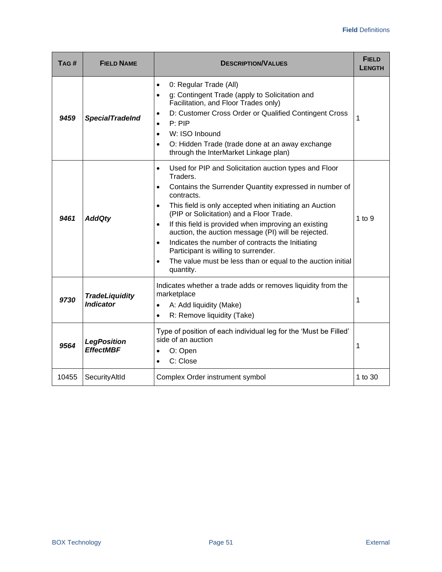| TAG#  | <b>FIELD NAME</b>                         | <b>DESCRIPTION/VALUES</b>                                                                                                                                                                                                                                                                                                                                                                                                                                                                                                                                                                               | <b>FIELD</b><br><b>LENGTH</b> |
|-------|-------------------------------------------|---------------------------------------------------------------------------------------------------------------------------------------------------------------------------------------------------------------------------------------------------------------------------------------------------------------------------------------------------------------------------------------------------------------------------------------------------------------------------------------------------------------------------------------------------------------------------------------------------------|-------------------------------|
| 9459  | <b>SpecialTradeInd</b>                    | 0: Regular Trade (All)<br>$\bullet$<br>g: Contingent Trade (apply to Solicitation and<br>$\bullet$<br>Facilitation, and Floor Trades only)<br>D: Customer Cross Order or Qualified Contingent Cross<br>$\bullet$<br>P: PIP<br>$\bullet$<br>W: ISO Inbound<br>$\bullet$<br>O: Hidden Trade (trade done at an away exchange<br>$\bullet$<br>through the InterMarket Linkage plan)                                                                                                                                                                                                                         | 1                             |
| 9461  | <b>AddQty</b>                             | Used for PIP and Solicitation auction types and Floor<br>$\bullet$<br>Traders.<br>Contains the Surrender Quantity expressed in number of<br>$\bullet$<br>contracts.<br>This field is only accepted when initiating an Auction<br>$\bullet$<br>(PIP or Solicitation) and a Floor Trade.<br>If this field is provided when improving an existing<br>$\bullet$<br>auction, the auction message (PI) will be rejected.<br>Indicates the number of contracts the Initiating<br>$\bullet$<br>Participant is willing to surrender.<br>The value must be less than or equal to the auction initial<br>quantity. | $1$ to $9$                    |
| 9730  | <b>TradeLiquidity</b><br><b>Indicator</b> | Indicates whether a trade adds or removes liquidity from the<br>marketplace<br>A: Add liquidity (Make)<br>$\bullet$<br>R: Remove liquidity (Take)<br>$\bullet$                                                                                                                                                                                                                                                                                                                                                                                                                                          | 1                             |
| 9564  | <b>LegPosition</b><br><b>EffectMBF</b>    | Type of position of each individual leg for the 'Must be Filled'<br>side of an auction<br>O: Open<br>C: Close<br>$\bullet$                                                                                                                                                                                                                                                                                                                                                                                                                                                                              | 1                             |
| 10455 | SecurityAltId                             | Complex Order instrument symbol                                                                                                                                                                                                                                                                                                                                                                                                                                                                                                                                                                         | 1 to 30                       |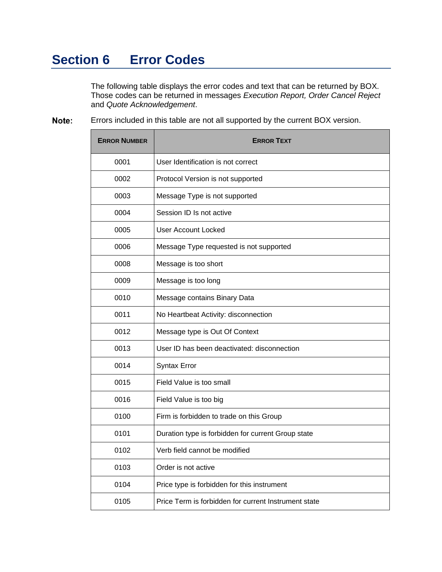## <span id="page-57-0"></span>**Section 6 Error Codes**

The following table displays the error codes and text that can be returned by BOX. Those codes can be returned in messages *Execution Report, Order Cancel Reject* and *Quote Acknowledgement*.

Errors included in this table are not all supported by the current BOX version. Note:

| <b>ERROR NUMBER</b> | <b>ERROR TEXT</b>                                    |
|---------------------|------------------------------------------------------|
| 0001                | User Identification is not correct                   |
| 0002                | Protocol Version is not supported                    |
| 0003                | Message Type is not supported                        |
| 0004                | Session ID Is not active                             |
| 0005                | <b>User Account Locked</b>                           |
| 0006                | Message Type requested is not supported              |
| 0008                | Message is too short                                 |
| 0009                | Message is too long                                  |
| 0010                | Message contains Binary Data                         |
| 0011                | No Heartbeat Activity: disconnection                 |
| 0012                | Message type is Out Of Context                       |
| 0013                | User ID has been deactivated: disconnection          |
| 0014                | <b>Syntax Error</b>                                  |
| 0015                | Field Value is too small                             |
| 0016                | Field Value is too big                               |
| 0100                | Firm is forbidden to trade on this Group             |
| 0101                | Duration type is forbidden for current Group state   |
| 0102                | Verb field cannot be modified                        |
| 0103                | Order is not active                                  |
| 0104                | Price type is forbidden for this instrument          |
| 0105                | Price Term is forbidden for current Instrument state |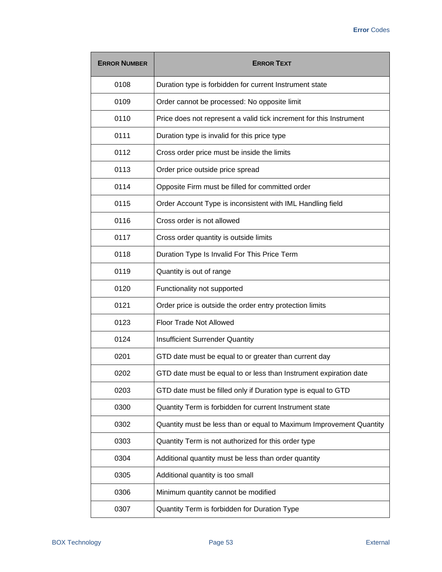| <b>ERROR NUMBER</b> | <b>ERROR TEXT</b>                                                   |
|---------------------|---------------------------------------------------------------------|
| 0108                | Duration type is forbidden for current Instrument state             |
| 0109                | Order cannot be processed: No opposite limit                        |
| 0110                | Price does not represent a valid tick increment for this Instrument |
| 0111                | Duration type is invalid for this price type                        |
| 0112                | Cross order price must be inside the limits                         |
| 0113                | Order price outside price spread                                    |
| 0114                | Opposite Firm must be filled for committed order                    |
| 0115                | Order Account Type is inconsistent with IML Handling field          |
| 0116                | Cross order is not allowed                                          |
| 0117                | Cross order quantity is outside limits                              |
| 0118                | Duration Type Is Invalid For This Price Term                        |
| 0119                | Quantity is out of range                                            |
| 0120                | Functionality not supported                                         |
| 0121                | Order price is outside the order entry protection limits            |
| 0123                | <b>Floor Trade Not Allowed</b>                                      |
| 0124                | <b>Insufficient Surrender Quantity</b>                              |
| 0201                | GTD date must be equal to or greater than current day               |
| 0202                | GTD date must be equal to or less than Instrument expiration date   |
| 0203                | GTD date must be filled only if Duration type is equal to GTD       |
| 0300                | Quantity Term is forbidden for current Instrument state             |
| 0302                | Quantity must be less than or equal to Maximum Improvement Quantity |
| 0303                | Quantity Term is not authorized for this order type                 |
| 0304                | Additional quantity must be less than order quantity                |
| 0305                | Additional quantity is too small                                    |
| 0306                | Minimum quantity cannot be modified                                 |
| 0307                | Quantity Term is forbidden for Duration Type                        |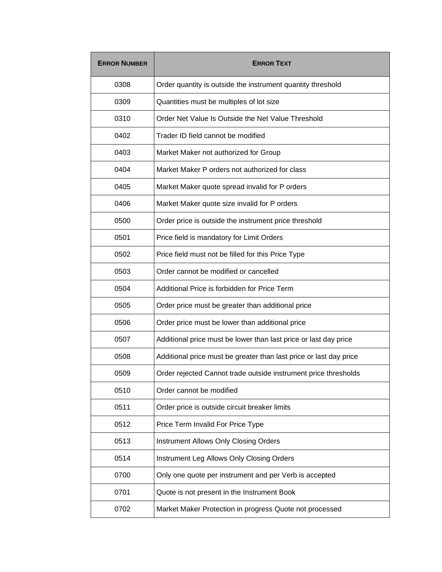| <b>ERROR NUMBER</b> | <b>ERROR TEXT</b>                                                  |
|---------------------|--------------------------------------------------------------------|
| 0308                | Order quantity is outside the instrument quantity threshold        |
| 0309                | Quantities must be multiples of lot size                           |
| 0310                | Order Net Value Is Outside the Net Value Threshold                 |
| 0402                | Trader ID field cannot be modified                                 |
| 0403                | Market Maker not authorized for Group                              |
| 0404                | Market Maker P orders not authorized for class                     |
| 0405                | Market Maker quote spread invalid for P orders                     |
| 0406                | Market Maker quote size invalid for P orders                       |
| 0500                | Order price is outside the instrument price threshold              |
| 0501                | Price field is mandatory for Limit Orders                          |
| 0502                | Price field must not be filled for this Price Type                 |
| 0503                | Order cannot be modified or cancelled                              |
| 0504                | Additional Price is forbidden for Price Term                       |
| 0505                | Order price must be greater than additional price                  |
| 0506                | Order price must be lower than additional price                    |
| 0507                | Additional price must be lower than last price or last day price   |
| 0508                | Additional price must be greater than last price or last day price |
| 0509                | Order rejected Cannot trade outside instrument price thresholds    |
| 0510                | Order cannot be modified                                           |
| 0511                | Order price is outside circuit breaker limits                      |
| 0512                | Price Term Invalid For Price Type                                  |
| 0513                | Instrument Allows Only Closing Orders                              |
| 0514                | Instrument Leg Allows Only Closing Orders                          |
| 0700                | Only one quote per instrument and per Verb is accepted             |
| 0701                | Quote is not present in the Instrument Book                        |
| 0702                | Market Maker Protection in progress Quote not processed            |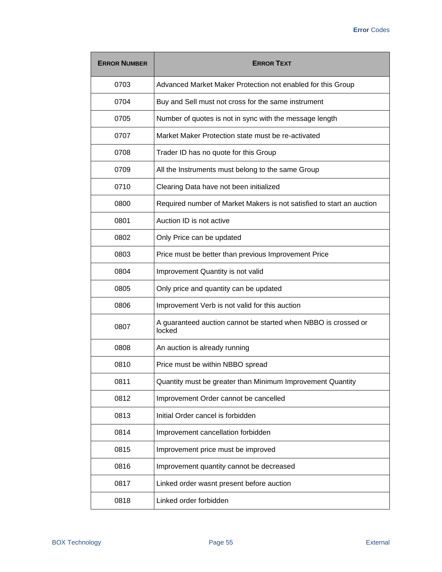| <b>ERROR NUMBER</b> | <b>ERROR TEXT</b>                                                        |
|---------------------|--------------------------------------------------------------------------|
| 0703                | Advanced Market Maker Protection not enabled for this Group              |
| 0704                | Buy and Sell must not cross for the same instrument                      |
| 0705                | Number of quotes is not in sync with the message length                  |
| 0707                | Market Maker Protection state must be re-activated                       |
| 0708                | Trader ID has no quote for this Group                                    |
| 0709                | All the Instruments must belong to the same Group                        |
| 0710                | Clearing Data have not been initialized                                  |
| 0800                | Required number of Market Makers is not satisfied to start an auction    |
| 0801                | Auction ID is not active                                                 |
| 0802                | Only Price can be updated                                                |
| 0803                | Price must be better than previous Improvement Price                     |
| 0804                | Improvement Quantity is not valid                                        |
| 0805                | Only price and quantity can be updated                                   |
| 0806                | Improvement Verb is not valid for this auction                           |
| 0807                | A guaranteed auction cannot be started when NBBO is crossed or<br>locked |
| 0808                | An auction is already running                                            |
| 0810                | Price must be within NBBO spread                                         |
| 0811                | Quantity must be greater than Minimum Improvement Quantity               |
| 0812                | Improvement Order cannot be cancelled                                    |
| 0813                | Initial Order cancel is forbidden                                        |
| 0814                | Improvement cancellation forbidden                                       |
| 0815                | Improvement price must be improved                                       |
| 0816                | Improvement quantity cannot be decreased                                 |
| 0817                | Linked order wasnt present before auction                                |
| 0818                | Linked order forbidden                                                   |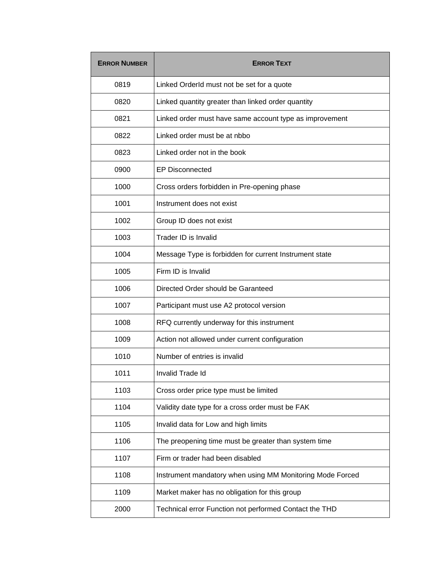| <b>ERROR NUMBER</b> | <b>ERROR TEXT</b>                                         |
|---------------------|-----------------------------------------------------------|
| 0819                | Linked Orderld must not be set for a quote                |
| 0820                | Linked quantity greater than linked order quantity        |
| 0821                | Linked order must have same account type as improvement   |
| 0822                | Linked order must be at nbbo                              |
| 0823                | Linked order not in the book                              |
| 0900                | <b>EP Disconnected</b>                                    |
| 1000                | Cross orders forbidden in Pre-opening phase               |
| 1001                | Instrument does not exist                                 |
| 1002                | Group ID does not exist                                   |
| 1003                | Trader ID is Invalid                                      |
| 1004                | Message Type is forbidden for current Instrument state    |
| 1005                | Firm ID is Invalid                                        |
| 1006                | Directed Order should be Garanteed                        |
| 1007                | Participant must use A2 protocol version                  |
| 1008                | RFQ currently underway for this instrument                |
| 1009                | Action not allowed under current configuration            |
| 1010                | Number of entries is invalid                              |
| 1011                | Invalid Trade Id                                          |
| 1103                | Cross order price type must be limited                    |
| 1104                | Validity date type for a cross order must be FAK          |
| 1105                | Invalid data for Low and high limits                      |
| 1106                | The preopening time must be greater than system time      |
| 1107                | Firm or trader had been disabled                          |
| 1108                | Instrument mandatory when using MM Monitoring Mode Forced |
| 1109                | Market maker has no obligation for this group             |
| 2000                | Technical error Function not performed Contact the THD    |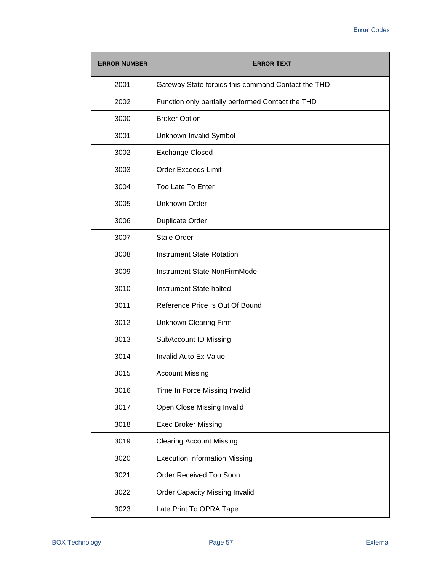| <b>ERROR NUMBER</b> | <b>ERROR TEXT</b>                                  |
|---------------------|----------------------------------------------------|
| 2001                | Gateway State forbids this command Contact the THD |
| 2002                | Function only partially performed Contact the THD  |
| 3000                | <b>Broker Option</b>                               |
| 3001                | Unknown Invalid Symbol                             |
| 3002                | <b>Exchange Closed</b>                             |
| 3003                | <b>Order Exceeds Limit</b>                         |
| 3004                | <b>Too Late To Enter</b>                           |
| 3005                | <b>Unknown Order</b>                               |
| 3006                | <b>Duplicate Order</b>                             |
| 3007                | <b>Stale Order</b>                                 |
| 3008                | <b>Instrument State Rotation</b>                   |
| 3009                | Instrument State NonFirmMode                       |
| 3010                | Instrument State halted                            |
| 3011                | Reference Price Is Out Of Bound                    |
| 3012                | <b>Unknown Clearing Firm</b>                       |
| 3013                | SubAccount ID Missing                              |
| 3014                | Invalid Auto Ex Value                              |
| 3015                | <b>Account Missing</b>                             |
| 3016                | Time In Force Missing Invalid                      |
| 3017                | Open Close Missing Invalid                         |
| 3018                | <b>Exec Broker Missing</b>                         |
| 3019                | <b>Clearing Account Missing</b>                    |
| 3020                | <b>Execution Information Missing</b>               |
| 3021                | Order Received Too Soon                            |
| 3022                | <b>Order Capacity Missing Invalid</b>              |
| 3023                | Late Print To OPRA Tape                            |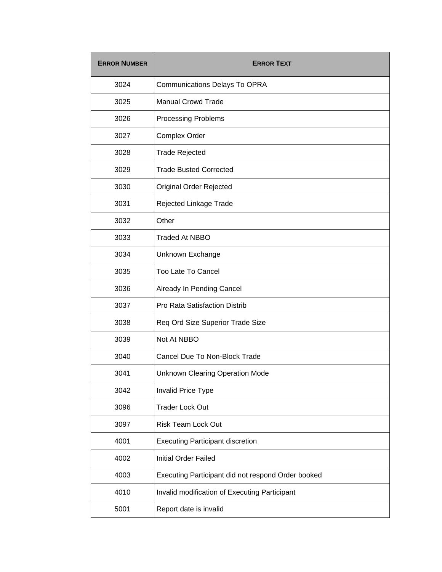| <b>ERROR NUMBER</b> | <b>ERROR TEXT</b>                                  |
|---------------------|----------------------------------------------------|
| 3024                | <b>Communications Delays To OPRA</b>               |
| 3025                | <b>Manual Crowd Trade</b>                          |
| 3026                | <b>Processing Problems</b>                         |
| 3027                | Complex Order                                      |
| 3028                | <b>Trade Rejected</b>                              |
| 3029                | <b>Trade Busted Corrected</b>                      |
| 3030                | <b>Original Order Rejected</b>                     |
| 3031                | Rejected Linkage Trade                             |
| 3032                | Other                                              |
| 3033                | <b>Traded At NBBO</b>                              |
| 3034                | Unknown Exchange                                   |
| 3035                | Too Late To Cancel                                 |
| 3036                | Already In Pending Cancel                          |
| 3037                | Pro Rata Satisfaction Distrib                      |
| 3038                | Req Ord Size Superior Trade Size                   |
| 3039                | Not At NBBO                                        |
| 3040                | Cancel Due To Non-Block Trade                      |
| 3041                | <b>Unknown Clearing Operation Mode</b>             |
| 3042                | Invalid Price Type                                 |
| 3096                | <b>Trader Lock Out</b>                             |
| 3097                | <b>Risk Team Lock Out</b>                          |
| 4001                | <b>Executing Participant discretion</b>            |
| 4002                | <b>Initial Order Failed</b>                        |
| 4003                | Executing Participant did not respond Order booked |
| 4010                | Invalid modification of Executing Participant      |
| 5001                | Report date is invalid                             |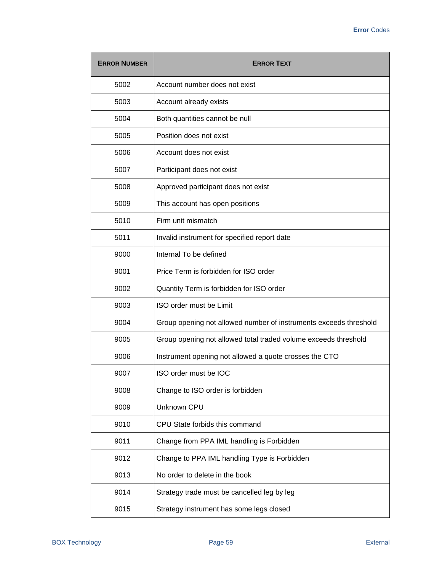| <b>ERROR NUMBER</b> | <b>ERROR TEXT</b>                                                 |
|---------------------|-------------------------------------------------------------------|
| 5002                | Account number does not exist                                     |
| 5003                | Account already exists                                            |
| 5004                | Both quantities cannot be null                                    |
| 5005                | Position does not exist                                           |
| 5006                | Account does not exist                                            |
| 5007                | Participant does not exist                                        |
| 5008                | Approved participant does not exist                               |
| 5009                | This account has open positions                                   |
| 5010                | Firm unit mismatch                                                |
| 5011                | Invalid instrument for specified report date                      |
| 9000                | Internal To be defined                                            |
| 9001                | Price Term is forbidden for ISO order                             |
| 9002                | Quantity Term is forbidden for ISO order                          |
| 9003                | ISO order must be Limit                                           |
| 9004                | Group opening not allowed number of instruments exceeds threshold |
| 9005                | Group opening not allowed total traded volume exceeds threshold   |
| 9006                | Instrument opening not allowed a quote crosses the CTO            |
| 9007                | ISO order must be IOC                                             |
| 9008                | Change to ISO order is forbidden                                  |
| 9009                | Unknown CPU                                                       |
| 9010                | CPU State forbids this command                                    |
| 9011                | Change from PPA IML handling is Forbidden                         |
| 9012                | Change to PPA IML handling Type is Forbidden                      |
| 9013                | No order to delete in the book                                    |
| 9014                | Strategy trade must be cancelled leg by leg                       |
| 9015                | Strategy instrument has some legs closed                          |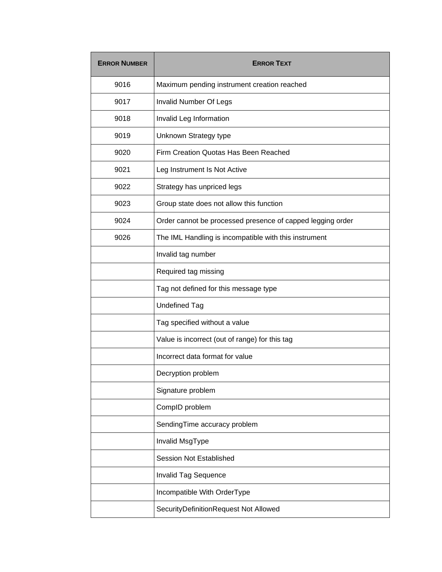| <b>ERROR NUMBER</b> | <b>ERROR TEXT</b>                                          |
|---------------------|------------------------------------------------------------|
| 9016                | Maximum pending instrument creation reached                |
| 9017                | <b>Invalid Number Of Legs</b>                              |
| 9018                | Invalid Leg Information                                    |
| 9019                | Unknown Strategy type                                      |
| 9020                | Firm Creation Quotas Has Been Reached                      |
| 9021                | Leg Instrument Is Not Active                               |
| 9022                | Strategy has unpriced legs                                 |
| 9023                | Group state does not allow this function                   |
| 9024                | Order cannot be processed presence of capped legging order |
| 9026                | The IML Handling is incompatible with this instrument      |
|                     | Invalid tag number                                         |
|                     | Required tag missing                                       |
|                     | Tag not defined for this message type                      |
|                     | <b>Undefined Tag</b>                                       |
|                     | Tag specified without a value                              |
|                     | Value is incorrect (out of range) for this tag             |
|                     | Incorrect data format for value                            |
|                     | Decryption problem                                         |
|                     | Signature problem                                          |
|                     | CompID problem                                             |
|                     | SendingTime accuracy problem                               |
|                     | Invalid MsgType                                            |
|                     | Session Not Established                                    |
|                     | <b>Invalid Tag Sequence</b>                                |
|                     | Incompatible With OrderType                                |
|                     | SecurityDefinitionRequest Not Allowed                      |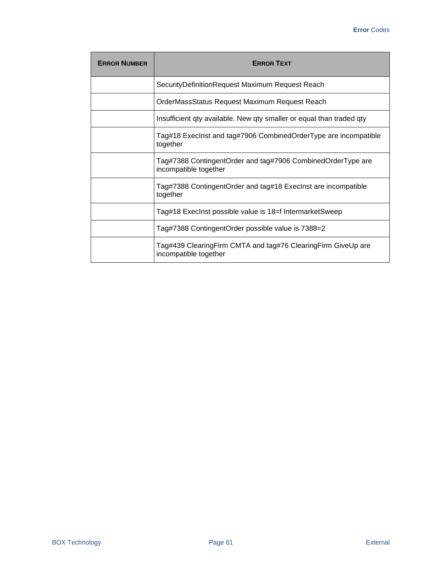| <b>ERROR NUMBER</b> | <b>ERROR TEXT</b>                                                                     |
|---------------------|---------------------------------------------------------------------------------------|
|                     | SecurityDefinitionRequest Maximum Request Reach                                       |
|                     | OrderMassStatus Request Maximum Request Reach                                         |
|                     | Insufficient qty available. New qty smaller or equal than traded qty                  |
|                     | Tag#18 ExecInst and tag#7906 CombinedOrderType are incompatible<br>together           |
|                     | Tag#7388 ContingentOrder and tag#7906 CombinedOrderType are<br>incompatible together  |
|                     | Tag#7388 ContingentOrder and tag#18 Execlnst are incompatible<br>together             |
|                     | Tag#18 ExecInst possible value is 18=f IntermarketSweep                               |
|                     | Tag#7388 ContingentOrder possible value is 7388=2                                     |
|                     | Tag#439 ClearingFirm CMTA and tag#76 ClearingFirm GiveUp are<br>incompatible together |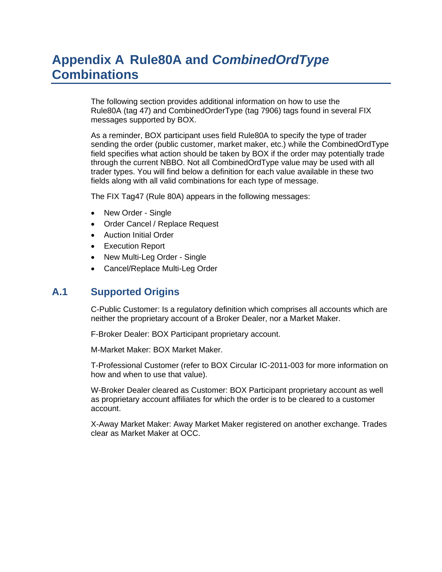## <span id="page-67-0"></span>**Appendix A Rule80A and** *CombinedOrdType* **Combinations**

The following section provides additional information on how to use the Rule80A (tag 47) and CombinedOrderType (tag 7906) tags found in several FIX messages supported by BOX.

As a reminder, BOX participant uses field Rule80A to specify the type of trader sending the order (public customer, market maker, etc.) while the CombinedOrdType field specifies what action should be taken by BOX if the order may potentially trade through the current NBBO. Not all CombinedOrdType value may be used with all trader types. You will find below a definition for each value available in these two fields along with all valid combinations for each type of message.

The FIX Tag47 (Rule 80A) appears in the following messages:

- New Order Single
- Order Cancel / Replace Request
- Auction Initial Order
- Execution Report
- New Multi-Leg Order Single
- Cancel/Replace Multi-Leg Order

#### **A.1 Supported Origins**

C-Public Customer: Is a regulatory definition which comprises all accounts which are neither the proprietary account of a Broker Dealer, nor a Market Maker.

F-Broker Dealer: BOX Participant proprietary account.

M-Market Maker: BOX Market Maker.

T-Professional Customer (refer to BOX Circular IC-2011-003 for more information on how and when to use that value).

W-Broker Dealer cleared as Customer: BOX Participant proprietary account as well as proprietary account affiliates for which the order is to be cleared to a customer account.

X-Away Market Maker: Away Market Maker registered on another exchange. Trades clear as Market Maker at OCC.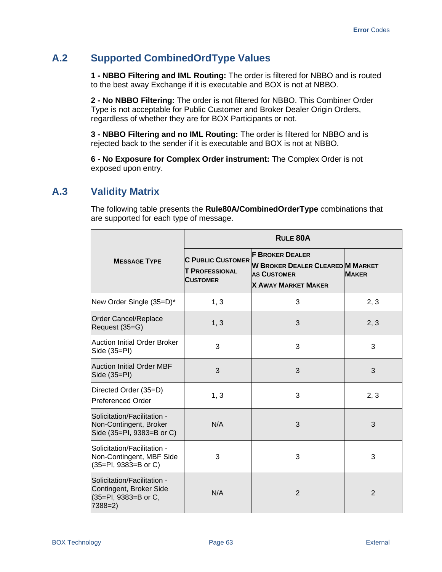#### **A.2 Supported CombinedOrdType Values**

**1 - NBBO Filtering and IML Routing:** The order is filtered for NBBO and is routed to the best away Exchange if it is executable and BOX is not at NBBO.

**2 - No NBBO Filtering:** The order is not filtered for NBBO. This Combiner Order Type is not acceptable for Public Customer and Broker Dealer Origin Orders, regardless of whether they are for BOX Participants or not.

**3 - NBBO Filtering and no IML Routing:** The order is filtered for NBBO and is rejected back to the sender if it is executable and BOX is not at NBBO.

**6 - No Exposure for Complex Order instrument:** The Complex Order is not exposed upon entry.

#### **A.3 Validity Matrix**

The following table presents the **Rule80A/CombinedOrderType** combinations that are supported for each type of message.

|                                                                                            | <b>RULE 80A</b>                                                      |                                                                                                                       |                |  |
|--------------------------------------------------------------------------------------------|----------------------------------------------------------------------|-----------------------------------------------------------------------------------------------------------------------|----------------|--|
| <b>MESSAGE TYPE</b>                                                                        | <b>C PUBLIC CUSTOMER</b><br><b>T PROFESSIONAL</b><br><b>CUSTOMER</b> | <b>F BROKER DEALER</b><br><b>W BROKER DEALER CLEARED M MARKET</b><br><b>AS CUSTOMER</b><br><b>X AWAY MARKET MAKER</b> | <b>MAKER</b>   |  |
| New Order Single (35=D)*                                                                   | 1, 3                                                                 | 3                                                                                                                     | 2, 3           |  |
| Order Cancel/Replace<br>Request (35=G)                                                     | 1, 3                                                                 | 3                                                                                                                     | 2, 3           |  |
| Auction Initial Order Broker<br>Side (35=PI)                                               | 3                                                                    | 3                                                                                                                     | 3              |  |
| <b>Auction Initial Order MBF</b><br>Side (35=PI)                                           | 3                                                                    | 3                                                                                                                     | 3              |  |
| Directed Order (35=D)<br>Preferenced Order                                                 | 1, 3                                                                 | 3                                                                                                                     | 2, 3           |  |
| Solicitation/Facilitation -<br>Non-Contingent, Broker<br>Side (35=PI, 9383=B or C)         | N/A                                                                  | 3                                                                                                                     | 3              |  |
| <b>Solicitation/Facilitation -</b><br>Non-Contingent, MBF Side<br>(35=PI, 9383=B or C)     | 3                                                                    | 3                                                                                                                     | 3              |  |
| Solicitation/Facilitation -<br>Contingent, Broker Side<br>(35=PI, 9383=B or C,<br>$7388=2$ | N/A                                                                  | $\overline{2}$                                                                                                        | $\overline{2}$ |  |